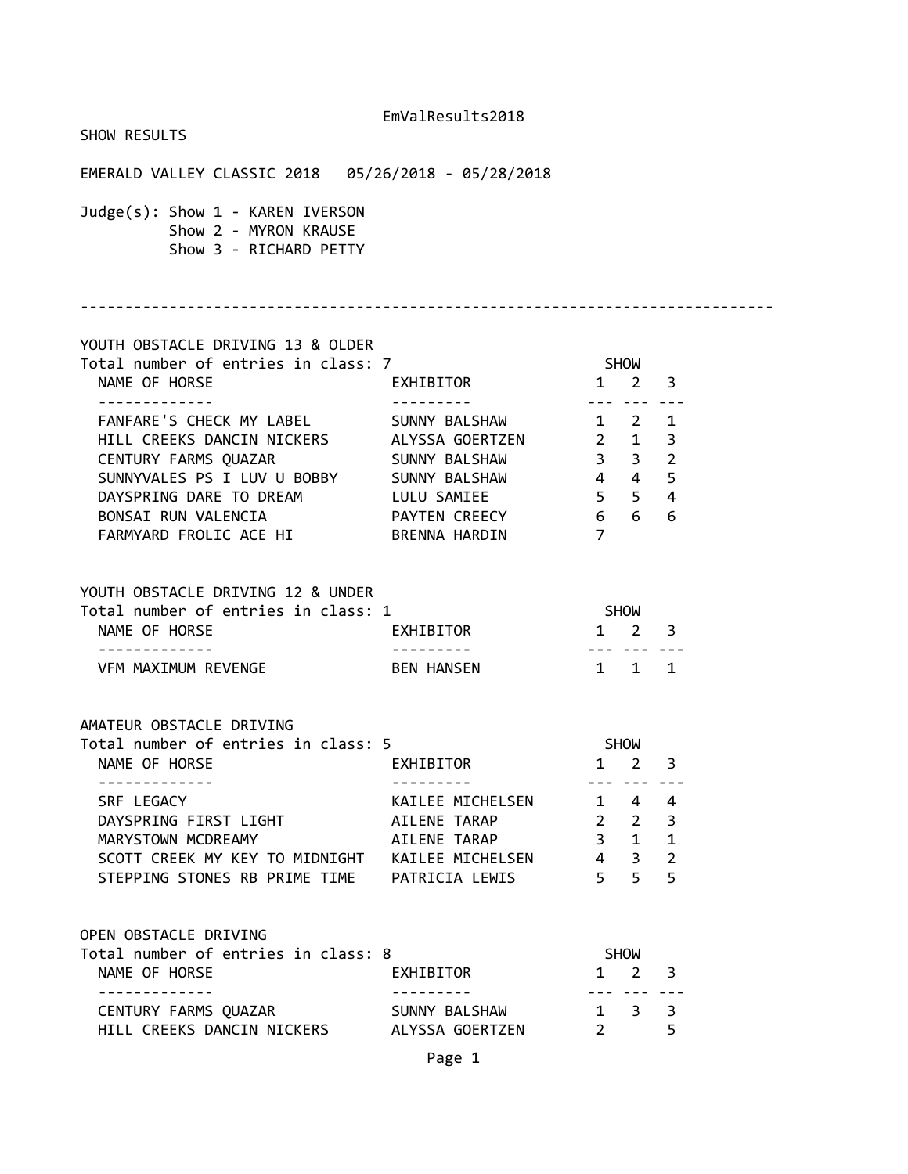| SHOW RESULTS                                                                        |                  |                                   |                                |                |  |
|-------------------------------------------------------------------------------------|------------------|-----------------------------------|--------------------------------|----------------|--|
|                                                                                     |                  |                                   |                                |                |  |
| Judge(s): Show 1 - KAREN IVERSON<br>Show 2 - MYRON KRAUSE<br>Show 3 - RICHARD PETTY |                  |                                   |                                |                |  |
| YOUTH OBSTACLE DRIVING 13 & OLDER                                                   |                  |                                   |                                |                |  |
| Total number of entries in class: 7<br>NAME OF HORSE                                | EXHIBITOR 1 2 3  | <b>SHOW</b>                       |                                |                |  |
| FANFARE'S CHECK MY LABEL SUNNY BALSHAW 1 2 1                                        |                  |                                   |                                |                |  |
| HILL CREEKS DANCIN NICKERS ALYSSA GOERTZEN 2 1 3                                    |                  |                                   |                                |                |  |
|                                                                                     |                  |                                   |                                |                |  |
|                                                                                     |                  |                                   |                                |                |  |
| DAYSPRING DARE TO DREAM LULU SAMIEE                                                 |                  | $5 \quad 5 \quad 4$               |                                |                |  |
| BONSAI RUN VALENCIA <b>PAYTEN CREECY</b> 6 6 6                                      |                  |                                   |                                |                |  |
| FARMYARD FROLIC ACE HI BRENNA HARDIN                                                |                  | $\overline{7}$                    |                                |                |  |
| YOUTH OBSTACLE DRIVING 12 & UNDER                                                   |                  |                                   |                                |                |  |
| Total number of entries in class: 1                                                 |                  | <b>SHOW</b>                       |                                |                |  |
| <b>EXHIBITOR</b><br>NAME OF HORSE<br>. <u>.</u>                                     |                  | $1 \quad 2 \quad 3$<br>. <i>.</i> |                                |                |  |
| VFM MAXIMUM REVENGE BEN HANSEN                                                      |                  | 1 1 1                             |                                |                |  |
| AMATEUR OBSTACLE DRIVING                                                            |                  |                                   |                                |                |  |
| Total number of entries in class: 5                                                 |                  | <b>SHOW</b>                       |                                |                |  |
| NAME OF HORSE<br>- - - - - - - - - - - - -                                          | EXHIBITOR 1 2 3  |                                   | <u>--- --- ---</u>             |                |  |
| SRF LEGACY                                                                          | KAILEE MICHELSEN |                                   | $1 \quad 4$                    | 4              |  |
| DAYSPRING FIRST LIGHT                                                               | AILENE TARAP     | $\overline{\mathbf{2}}$           | $2^{\circ}$                    | $\overline{3}$ |  |
| MARYSTOWN MCDREAMY                                                                  | AILENE TARAP     | $3 \quad 1$                       |                                | $\mathbf{1}$   |  |
| SCOTT CREEK MY KEY TO MIDNIGHT KAILEE MICHELSEN 4 3                                 |                  |                                   |                                | $\overline{2}$ |  |
| STEPPING STONES RB PRIME TIME PATRICIA LEWIS                                        |                  | 5 <sub>1</sub>                    | 5 <sup>7</sup>                 | 5              |  |
| OPEN OBSTACLE DRIVING                                                               |                  |                                   |                                |                |  |
| Total number of entries in class: 8                                                 |                  |                                   | SHOW                           |                |  |
| NAME OF HORSE<br>. <u>.</u>                                                         | EXHIBITOR        |                                   | $1 \quad 2$<br>--- --- ---     | 3              |  |
| CENTURY FARMS QUAZAR SUNNY BALSHAW                                                  |                  |                                   | $1 \quad 3$                    | 3              |  |
| HILL CREEKS DANCIN NICKERS ALYSSA GOERTZEN                                          |                  |                                   | $2 \left( \frac{1}{2} \right)$ | 5              |  |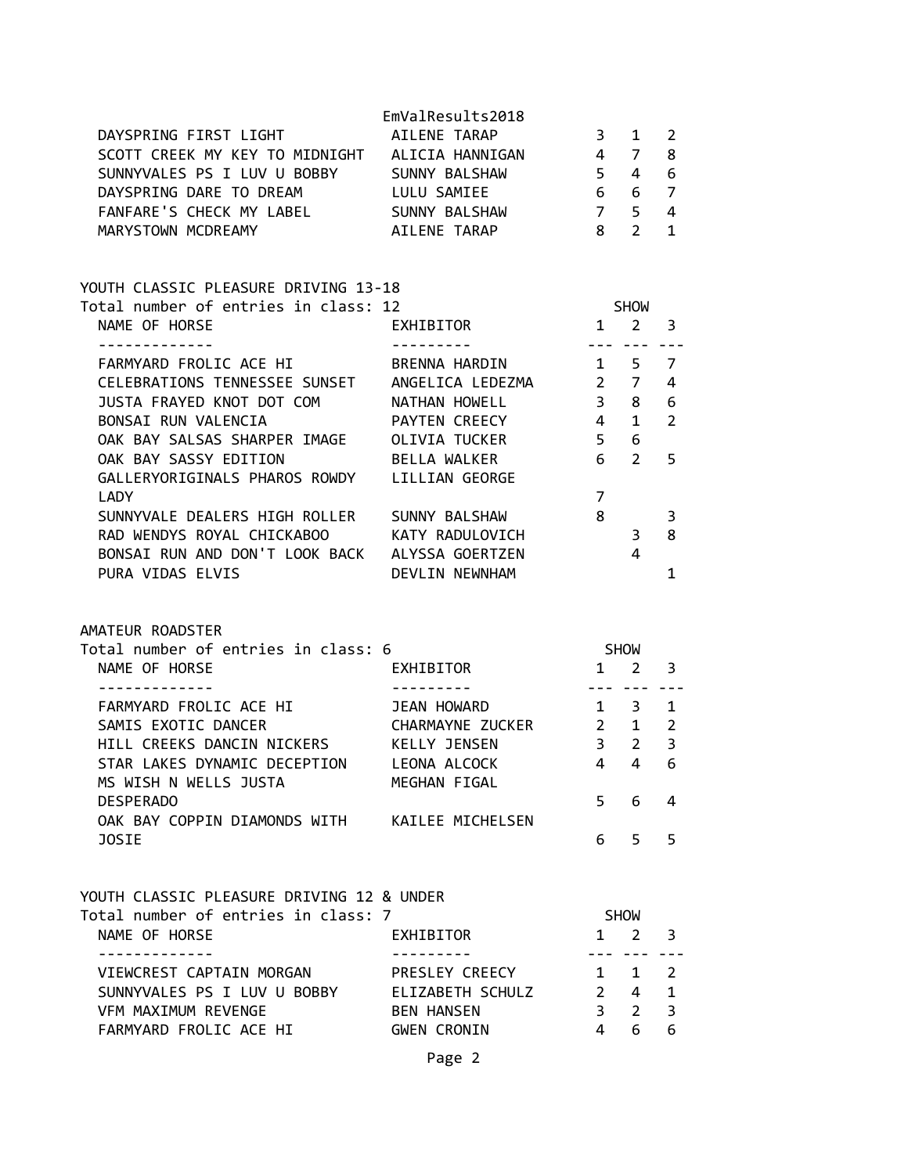| DAYSPRING FIRST LIGHT<br>SCOTT CREEK MY KEY TO MIDNIGHT ALICIA HANNIGAN<br>SUNNYVALES PS I LUV U BOBBY SUNNY BALSHAW<br>DAYSPRING DARE TO DREAM LULU SAMIEE<br>FANFARE'S CHECK MY LABEL SUNNY BALSHAW<br>MARYSTOWN MCDREAMY                                                                                                     | EmValResults2018<br>AILENE TARAP<br>AILENE TARAP          | $3^{\circ}$<br>4 7<br>$6\overline{6}$<br>7 <sub>5</sub><br>8 <sup>8</sup>                     | $\mathbf{1}$<br>$5\quad 4\quad 6$<br>$6\overline{6}$<br>$2^{\circ}$ | 2<br>8<br>$\overline{7}$<br>4<br>$\mathbf{1}$      |
|---------------------------------------------------------------------------------------------------------------------------------------------------------------------------------------------------------------------------------------------------------------------------------------------------------------------------------|-----------------------------------------------------------|-----------------------------------------------------------------------------------------------|---------------------------------------------------------------------|----------------------------------------------------|
| YOUTH CLASSIC PLEASURE DRIVING 13-18<br>Total number of entries in class: 12                                                                                                                                                                                                                                                    |                                                           |                                                                                               | <b>SHOW</b>                                                         |                                                    |
| NAME OF HORSE                                                                                                                                                                                                                                                                                                                   | EXHIBITOR                                                 | $1 \quad 2 \quad 3$                                                                           |                                                                     |                                                    |
| -------------<br>FARMYARD FROLIC ACE HI BRENNA HARDIN 1 5 7<br>CELEBRATIONS TENNESSEE SUNSET ANGELICA LEDEZMA 2 7<br>JUSTA FRAYED KNOT DOT COM<br>BONSAI RUN VALENCIA FAYTEN CREECY<br>OAK BAY SALSAS SHARPER IMAGE OLIVIA TUCKER<br>OAK BAY SASSY EDITION BELLA WALKER<br>GALLERYORIGINALS PHAROS ROWDY LILLIAN GEORGE<br>LADY | ---------<br>NATHAN HOWELL<br>PAYTEN CREECY               | ___________<br>$\begin{bmatrix} 4 & 1 \end{bmatrix}$<br>5 <sub>5</sub><br>6 <sup>1</sup><br>7 | $3 \quad 8$<br>6<br>$\overline{2}$                                  | 4<br>6<br>$\overline{2}$<br>5                      |
| SUNNYVALE DEALERS HIGH ROLLER SUNNY BALSHAW<br>RAD WENDYS ROYAL CHICKABOO KATY RADULOVICH<br>BONSAI RUN AND DON'T LOOK BACK ALYSSA GOERTZEN<br>PURA VIDAS ELVIS                                                                                                                                                                 | DEVLIN NEWNHAM                                            | $\overline{\phantom{1}}$ 8<br>$\overline{\phantom{a}}$                                        | 4                                                                   | 3<br>8<br>$\mathbf{1}$                             |
| AMATEUR ROADSTER                                                                                                                                                                                                                                                                                                                |                                                           |                                                                                               |                                                                     |                                                    |
| Total number of entries in class: 6<br>NAME OF HORSE                                                                                                                                                                                                                                                                            | EXHIBITOR<br>---------- <b>-</b>                          | <b>SHOW</b><br>$1 \quad 2 \quad 3$                                                            |                                                                     |                                                    |
| -------------<br>FARMYARD FROLIC ACE HI<br>SAMIS EXOTIC DANCER<br>HILL CREEKS DANCIN NICKERS KELLY JENSEN<br>STAR LAKES DYNAMIC DECEPTION LEONA ALCOCK<br>MS WISH N WELLS JUSTA<br><b>DESPERADO</b>                                                                                                                             | JEAN HOWARD<br>CHARMAYNE ZUCKER 2 1<br>MEGHAN FIGAL       | . <b>.</b><br>$1 \quad 3$<br>$5 -$                                                            | 3 <sub>2</sub><br>4 4 6<br>6                                        | $\mathbf{1}$<br>$2^{\circ}$<br>$\overline{3}$<br>4 |
| OAK BAY COPPIN DIAMONDS WITH KAILEE MICHELSEN<br><b>JOSIE</b>                                                                                                                                                                                                                                                                   |                                                           | 6                                                                                             | 5                                                                   | 5                                                  |
| YOUTH CLASSIC PLEASURE DRIVING 12 & UNDER<br>Total number of entries in class: 7<br>NAME OF HORSE                                                                                                                                                                                                                               | EXHIBITOR                                                 | 1                                                                                             | SHOW<br>2                                                           | 3                                                  |
| <u> - - - - - - - - - - -</u><br>VIEWCREST CAPTAIN MORGAN<br>SUNNYVALES PS I LUV U BOBBY ELIZABETH SCHULZ<br>VFM MAXIMUM REVENGE<br>FARMYARD FROLIC ACE HI                                                                                                                                                                      | PRESLEY CREECY<br><b>BEN HANSEN</b><br><b>GWEN CRONIN</b> | $2^{\sim}$<br>3 <sup>7</sup><br>$\overline{4}$                                                | $- - - -$<br>$1 \quad 1$<br>4 <sup>1</sup><br>$\overline{2}$<br>6   | $\overline{2}$<br>$\mathbf{1}$<br>3<br>6           |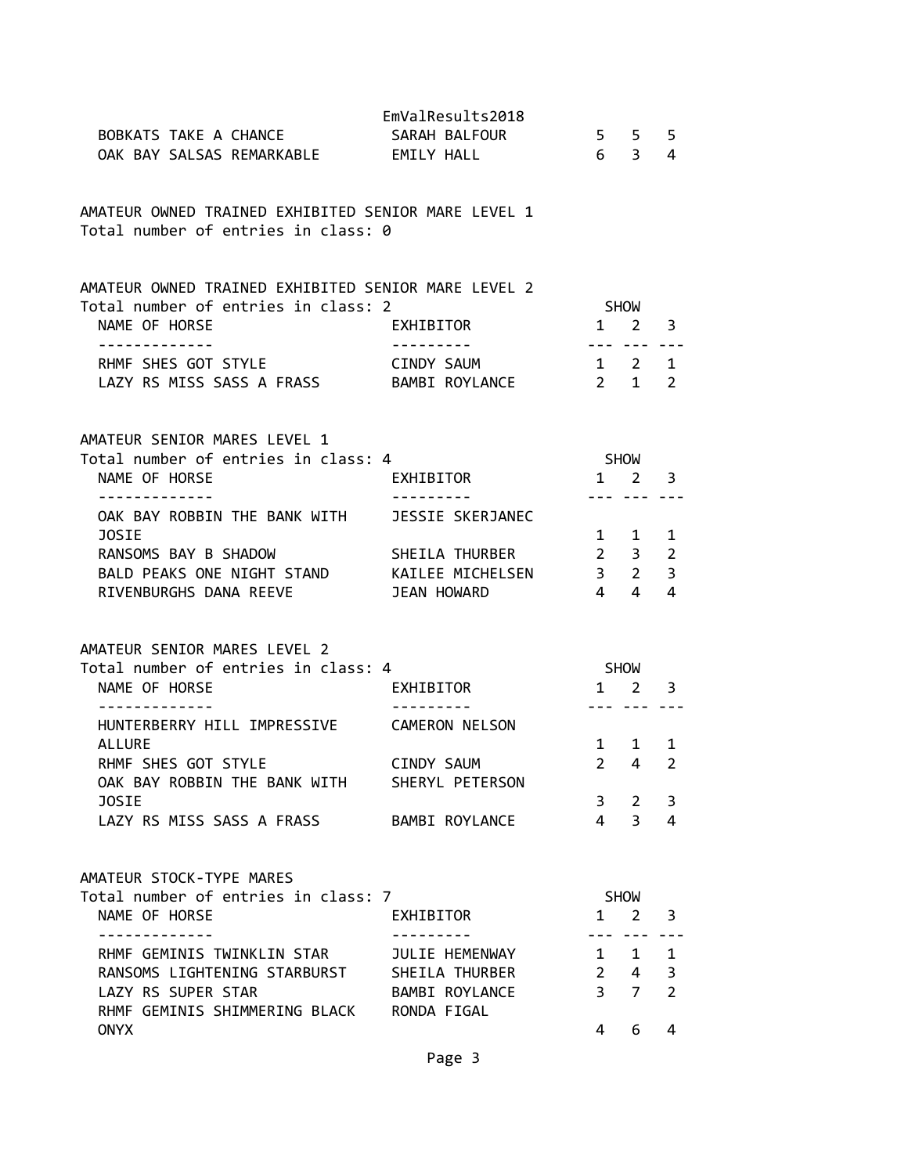| BOBKATS TAKE A CHANCE<br>OAK BAY SALSAS REMARKABLE EMILY HALL                                                                                                                  | EmValResults2018<br>SARAH BALFOUR                     |                                                    | 5 5<br>6 3                                                                        | 5<br>4                              |
|--------------------------------------------------------------------------------------------------------------------------------------------------------------------------------|-------------------------------------------------------|----------------------------------------------------|-----------------------------------------------------------------------------------|-------------------------------------|
| AMATEUR OWNED TRAINED EXHIBITED SENIOR MARE LEVEL 1<br>Total number of entries in class: 0                                                                                     |                                                       |                                                    |                                                                                   |                                     |
| AMATEUR OWNED TRAINED EXHIBITED SENIOR MARE LEVEL 2<br>Total number of entries in class: 2<br>NAME OF HORSE                                                                    | EXHIBITOR                                             | $1 \quad 2$                                        | SHOW                                                                              | 3                                   |
| -------------<br>RHMF SHES GOT STYLE<br>LAZY RS MISS SASS A FRASS BAMBI ROYLANCE                                                                                               | . <u>.</u><br>CINDY SAUM                              | ---- --- ---<br>$1 \quad 2 \quad 1$<br>$2 \quad 1$ |                                                                                   | $\overline{2}$                      |
| AMATEUR SENIOR MARES LEVEL 1<br>Total number of entries in class: 4<br>NAME OF HORSE<br>-------------                                                                          | EXHIBITOR<br>----------                               | SHOW                                               | $1 \quad 2 \quad 3$<br><u>--- --- ---</u>                                         |                                     |
| OAK BAY ROBBIN THE BANK WITH<br>JOSIE<br>RANSOMS BAY B SHADOW<br>BALD PEAKS ONE NIGHT STAND KAILEE MICHELSEN<br>RIVENBURGHS DANA REEVE                                         | JESSIE SKERJANEC<br>SHEILA THURBER<br>JEAN HOWARD     | $2 \quad 3$<br>$\overline{4}$                      | 1 1<br>$3\quad 2$<br>$\overline{4}$                                               | 1<br>$\overline{2}$<br>3<br>4       |
| AMATEUR SENIOR MARES LEVEL 2<br>Total number of entries in class: 4<br>NAME OF HORSE                                                                                           | EXHIBITOR                                             |                                                    | SHOW<br>$1 \quad 2 \quad 3$                                                       |                                     |
| HUNTERBERRY HILL IMPRESSIVE CAMERON NELSON<br><b>ALLURE</b><br>RHMF SHES GOT STYLE<br>OAK BAY ROBBIN THE BANK WITH<br><b>JOSIE</b><br>LAZY RS MISS SASS A FRASS BAMBI ROYLANCE | CINDY SAUM<br>SHERYL PETERSON                         | 3<br>$\overline{4}$                                | <u>--- --- ---</u><br>$1 \quad 1$<br>$2 \quad 4$<br>$2^{\circ}$<br>$\overline{3}$ | 1<br>$\overline{2}$<br>3<br>4       |
| AMATEUR STOCK-TYPE MARES<br>Total number of entries in class: 7<br>NAME OF HORSE                                                                                               | EXHIBITOR                                             |                                                    | SHOW<br>$1 \quad 2$                                                               | 3                                   |
| . <u>.</u><br>RHMF GEMINIS TWINKLIN STAR<br>RANSOMS LIGHTENING STARBURST SHEILA THURBER<br>LAZY RS SUPER STAR                                                                  | $- - - - - - - -$<br>JULIE HEMENWAY<br>BAMBI ROYLANCE | $1 \quad$<br>$2^{\sim}$<br>3 <sup>7</sup>          | $\mathbf{1}$<br>$4 \quad$<br>$\overline{7}$                                       | $\mathbf{1}$<br>3<br>$\overline{2}$ |
| RHMF GEMINIS SHIMMERING BLACK RONDA FIGAL<br><b>ONYX</b>                                                                                                                       |                                                       | 4                                                  | 6                                                                                 | 4                                   |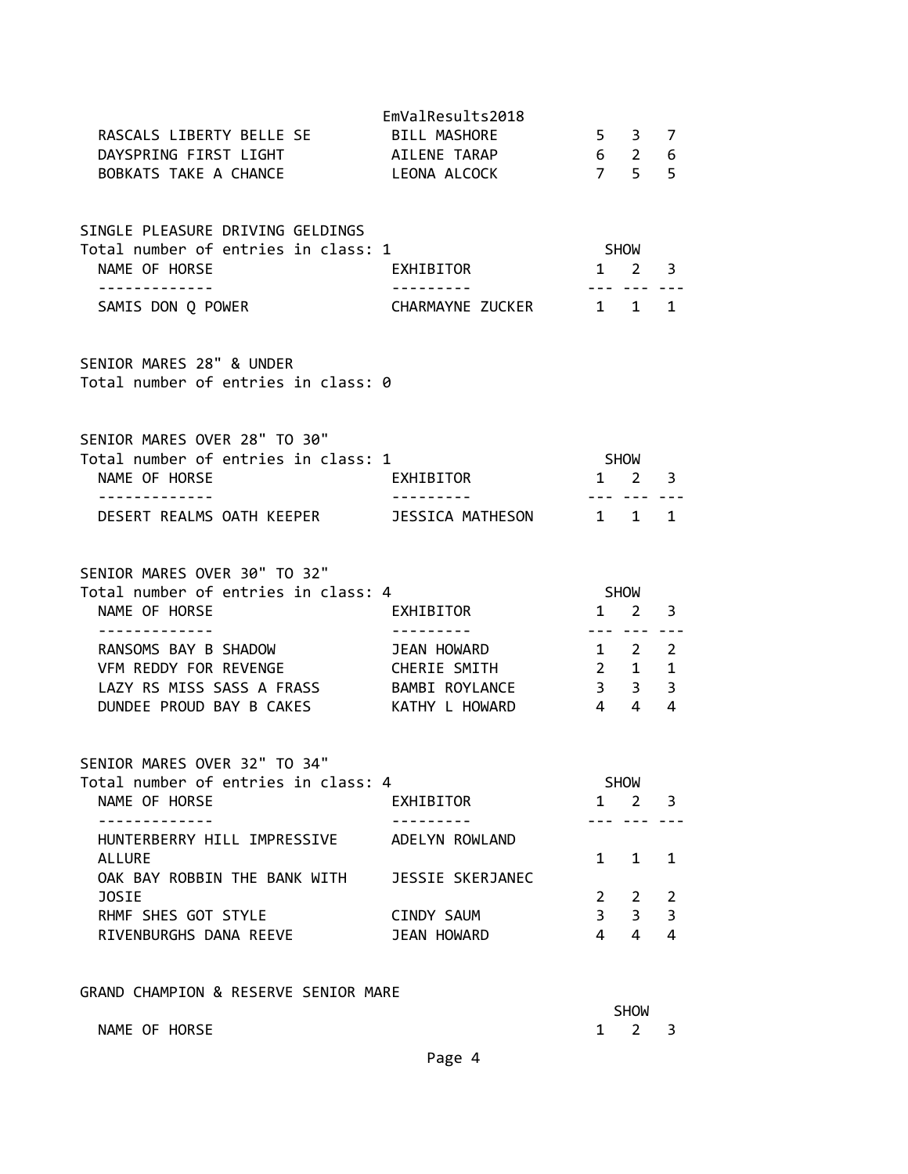| RASCALS LIBERTY BELLE SE BILL MASHORE                                                   | EmValResults2018          | 5 3 7                            |                        |                     |
|-----------------------------------------------------------------------------------------|---------------------------|----------------------------------|------------------------|---------------------|
| DAYSPRING FIRST LIGHT AILENE TARAP<br>BOBKATS TAKE A CHANCE                             | LEONA ALCOCK              | $6\quad 2\quad 6$<br>7 5 5       |                        |                     |
| SINGLE PLEASURE DRIVING GELDINGS<br>Total number of entries in class: 1                 |                           | SHOW                             |                        |                     |
| NAME OF HORSE<br>. <u>.</u>                                                             | EXHIBITOR                 | $1 \quad 2 \quad 3$              | --- --- ---            |                     |
| SAMIS DON Q POWER                                                                       | CHARMAYNE ZUCKER 1 1 1    |                                  |                        |                     |
| SENIOR MARES 28" & UNDER<br>Total number of entries in class: 0                         |                           |                                  |                        |                     |
| SENIOR MARES OVER 28" TO 30"<br>Total number of entries in class: 1                     |                           | <b>SHOW</b>                      |                        |                     |
| NAME OF HORSE                                                                           | EXHIBITOR                 | $1 \quad 2 \quad 3$              |                        |                     |
| - - - - - - - - - - - - -                                                               | .                         |                                  | --- --- ---            | 1                   |
| SENIOR MARES OVER 30" TO 32"<br>Total number of entries in class: 4                     |                           |                                  | SHOW                   |                     |
| NAME OF HORSE                                                                           | EXHIBITOR                 |                                  | $1 \quad 2$<br>--- --- | 3                   |
| RANSOMS BAY B SHADOW                                                                    | JEAN HOWARD               |                                  | $1 \quad 2 \quad 2$    |                     |
| VFM REDDY FOR REVENGE                                                                   | CHERIE SMITH 2 1 1        |                                  |                        |                     |
|                                                                                         |                           |                                  |                        | 3                   |
| LAZY RS MISS SASS A FRASS BAMBI ROYLANCE 3 3<br>DUNDEE PROUD BAY B CAKES KATHY L HOWARD |                           | 44                               |                        | 4                   |
| SENIOR MARES OVER 32" TO 34"                                                            |                           |                                  |                        |                     |
| Total number of entries in class: 4<br>NAME OF HORSE                                    | EXHIBITOR                 | $\mathbf{1}$                     | <b>SHOW</b><br>2       | 3                   |
| HUNTERBERRY HILL IMPRESSIVE                                                             | ADELYN ROWLAND            |                                  |                        |                     |
| <b>ALLURE</b><br>OAK BAY ROBBIN THE BANK WITH                                           | JESSIE SKERJANEC          | $\mathbf{1}$                     | 1                      | 1                   |
| <b>JOSIE</b>                                                                            |                           | $2 \quad$                        | 2                      | 2                   |
| RHMF SHES GOT STYLE<br>RIVENBURGHS DANA REEVE                                           | CINDY SAUM<br>JEAN HOWARD | 3 <sup>7</sup><br>$\overline{4}$ | 3<br>$\overline{4}$    | 3<br>$\overline{4}$ |
| GRAND CHAMPION & RESERVE SENIOR MARE                                                    |                           |                                  | <b>SHOW</b>            |                     |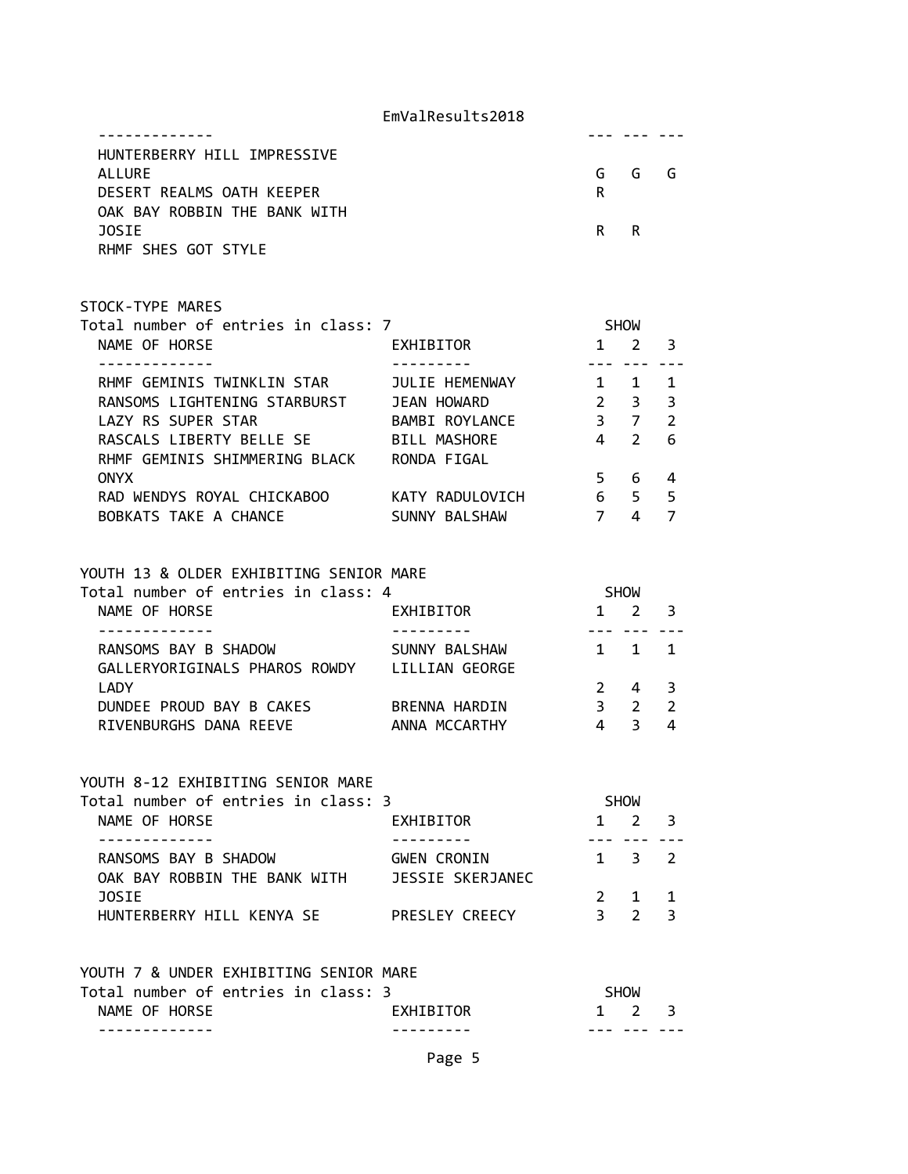| HUNTERBERRY HILL IMPRESSIVE  |     |      |  |
|------------------------------|-----|------|--|
| ALLURE                       |     | GGGG |  |
| DESERT REALMS OATH KEEPER    | R   |      |  |
| OAK BAY ROBBIN THE BANK WITH |     |      |  |
| <b>JOSTE</b>                 | R R |      |  |
| RHMF SHES GOT STYLE          |     |      |  |

#### STOCK-TYPE MARES

| Total number of entries in class: 7 |                     |               | <b>SHOW</b>   |               |  |
|-------------------------------------|---------------------|---------------|---------------|---------------|--|
| NAME OF HORSE                       | <b>EXHIBITOR</b>    |               |               | 3             |  |
|                                     |                     |               |               |               |  |
| RHMF GEMINIS TWINKLIN STAR          | JULIE HEMENWAY      |               |               | 1             |  |
| RANSOMS LIGHTENING STARBURST        | JEAN HOWARD         | $\mathcal{P}$ | 3             | 3             |  |
| LAZY RS SUPER STAR                  | BAMBI ROYLANCE      | 3             |               | $\mathcal{P}$ |  |
| RASCALS LIBERTY BELLE SE            | <b>BILL MASHORE</b> | 4             | $\mathcal{P}$ | 6             |  |
| RHMF GEMINIS SHIMMERING BLACK       | RONDA FIGAL         |               |               |               |  |
| <b>ONYX</b>                         |                     | 5             | 6             | 4             |  |
| RAD WENDYS ROYAL CHICKABOO          | KATY RADULOVICH     | 6             | 5             | 5             |  |
| BOBKATS TAKE A CHANCE               | SUNNY BALSHAW       |               | 4             |               |  |

## YOUTH 13 & OLDER EXHIBITING SENIOR MARE

| Total number of entries in class: 4 |                |    | <b>SHOW</b>    |                |  |
|-------------------------------------|----------------|----|----------------|----------------|--|
| NAME OF HORSE                       | EXHIBITOR      |    | 2 <sup>3</sup> |                |  |
|                                     |                |    |                |                |  |
| RANSOMS BAY B SHADOW                | SUNNY BALSHAW  |    | 1 1 1          |                |  |
| GALLERYORIGINALS PHAROS ROWDY       | LILLIAN GEORGE |    |                |                |  |
| <b>LADY</b>                         |                |    | $2 \t 4 \t 3$  |                |  |
| DUNDEE PROUD BAY B CAKES            | BRENNA HARDIN  | 3. | <sup>2</sup>   | $\overline{2}$ |  |
| RIVENBURGHS DANA REEVE              | ANNA MCCARTHY  |    |                | 4              |  |
|                                     |                |    |                |                |  |

## YOUTH 8-12 EXHIBITING SENIOR MARE

| Total number of entries in class: 3 |                    |   | <b>SHOW</b>         |  |
|-------------------------------------|--------------------|---|---------------------|--|
| NAME OF HORSE                       | EXHIBITOR          |   | $1 \t2 \t3$         |  |
|                                     |                    |   |                     |  |
| RANSOMS BAY B SHADOW                | <b>GWEN CRONIN</b> |   | $1 \quad 3 \quad 2$ |  |
| OAK BAY ROBBIN THE BANK WITH        | JESSIE SKERJANEC   |   |                     |  |
| <b>JOSTE</b>                        |                    |   | 2 1 1               |  |
| HUNTERBERRY HILL KENYA SE           | PRESLEY CREECY     | ર |                     |  |

## YOUTH 7 & UNDER EXHIBITING SENIOR MARE

| NAME OF HORSE                       |  | <b>FXHTRTTOR</b> | 1 2 3 |  |
|-------------------------------------|--|------------------|-------|--|
| Total number of entries in class: 3 |  |                  | SHOW  |  |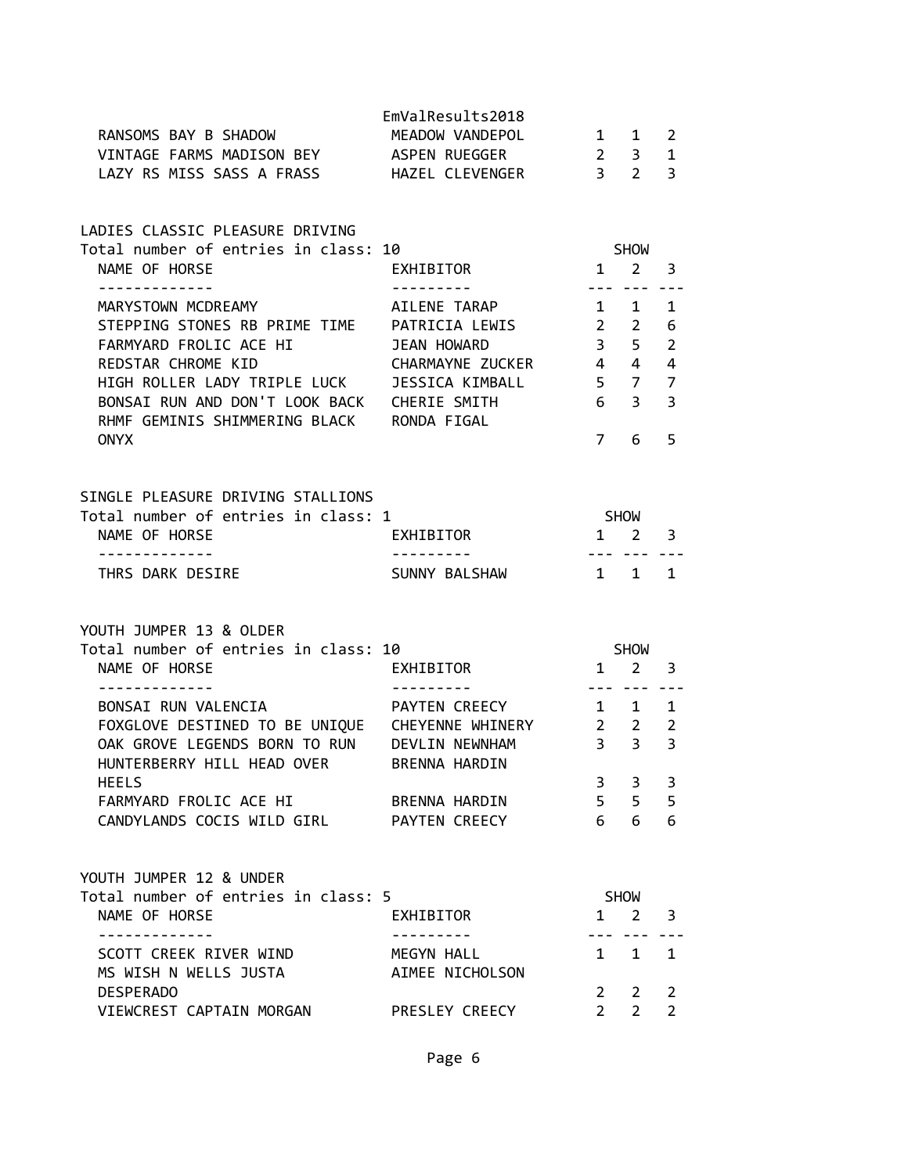| RANSOMS BAY B SHADOW<br>VINTAGE FARMS MADISON BEY ASPEN RUEGGER<br>LAZY RS MISS SASS A FRASS HAZEL CLEVENGER 3 2                                                                                                                                                                                   | EmValResults2018<br>MEADOW VANDEPOL                 | $1 \quad 1$<br>$2 \quad 3$                       |                                    | 2<br>$\mathbf 1$<br>$\overline{3}$                        |
|----------------------------------------------------------------------------------------------------------------------------------------------------------------------------------------------------------------------------------------------------------------------------------------------------|-----------------------------------------------------|--------------------------------------------------|------------------------------------|-----------------------------------------------------------|
| LADIES CLASSIC PLEASURE DRIVING<br>Total number of entries in class: 10<br>NAME OF HORSE                                                                                                                                                                                                           | EXHIBITOR                                           | $1 \quad 2$                                      | <b>SHOW</b>                        | 3                                                         |
| -------------<br>MARYSTOWN MCDREAMY<br>STEPPING STONES RB PRIME TIME PATRICIA LEWIS 2 2<br>FARMYARD FROLIC ACE HI<br>REDSTAR CHROME KID<br>HIGH ROLLER LADY TRIPLE LUCK JESSICA KIMBALL<br>BONSAI RUN AND DON'T LOOK BACK CHERIE SMITH<br>RHMF GEMINIS SHIMMERING BLACK RONDA FIGAL<br><b>ONYX</b> | AILENE TARAP<br>JEAN HOWARD<br>CHARMAYNE ZUCKER 4 4 | 1 1<br>$3 \quad 5$<br>$5 \quad 7$<br>$7^{\circ}$ | --- --- ---<br>6 <sup>3</sup><br>6 | 1<br>6<br>$\overline{2}$<br>4<br>$\overline{7}$<br>3<br>5 |
| SINGLE PLEASURE DRIVING STALLIONS<br>Total number of entries in class: 1<br>NAME OF HORSE                                                                                                                                                                                                          | EXHIBITOR                                           | <b>SHOW</b><br>$1 \quad 2 \quad 3$               |                                    |                                                           |
| - - - - - - - - - - - - -<br>THRS DARK DESIRE                                                                                                                                                                                                                                                      | - - - - - - - - - <sup>-</sup> -<br>SUNNY BALSHAW   | $1 \quad 1$                                      | --- --- ---                        | $\mathbf{1}$                                              |
| YOUTH JUMPER 13 & OLDER<br>Total number of entries in class: 10<br>NAME OF HORSE                                                                                                                                                                                                                   | EXHIBITOR                                           | $1 \quad 2$                                      | SHOW                               | $\overline{\mathbf{3}}$                                   |
| BONSAI RUN VALENCIA XIII PAYTEN CREECY<br>FOXGLOVE DESTINED TO BE UNIQUE  CHEYENNE WHINERY 2 2<br>OAK GROVE LEGENDS BORN TO RUN DEVLIN NEWNHAM<br>HUNTERBERRY HILL HEAD OVER BRENNA HARDIN                                                                                                         |                                                     | $- - -$<br>1 1 1<br>3 <sup>3</sup>               |                                    | 2<br>3                                                    |
| <b>HEELS</b><br>FARMYARD FROLIC ACE HI<br>CANDYLANDS COCIS WILD GIRL PAYTEN CREECY                                                                                                                                                                                                                 | BRENNA HARDIN                                       | $\mathbf{3}$<br>$6 -$                            | 3<br>5 <sub>5</sub><br>6           | 3<br>5<br>6                                               |
| YOUTH JUMPER 12 & UNDER<br>Total number of entries in class: 5<br>NAME OF HORSE                                                                                                                                                                                                                    | EXHIBITOR                                           |                                                  | <b>SHOW</b><br>$1 \quad 2$         | $\overline{\mathbf{3}}$                                   |
| .<br>SCOTT CREEK RIVER WIND<br>MS WISH N WELLS JUSTA                                                                                                                                                                                                                                               | MEGYN HALL<br>AIMEE NICHOLSON                       | $1 \quad$                                        | 1                                  | 1                                                         |
| <b>DESPERADO</b><br>VIEWCREST CAPTAIN MORGAN                                                                                                                                                                                                                                                       | PRESLEY CREECY                                      | $2^{\circ}$<br>$2^{\circ}$                       | $\overline{2}$<br>$2^{\circ}$      | 2<br>$\overline{2}$                                       |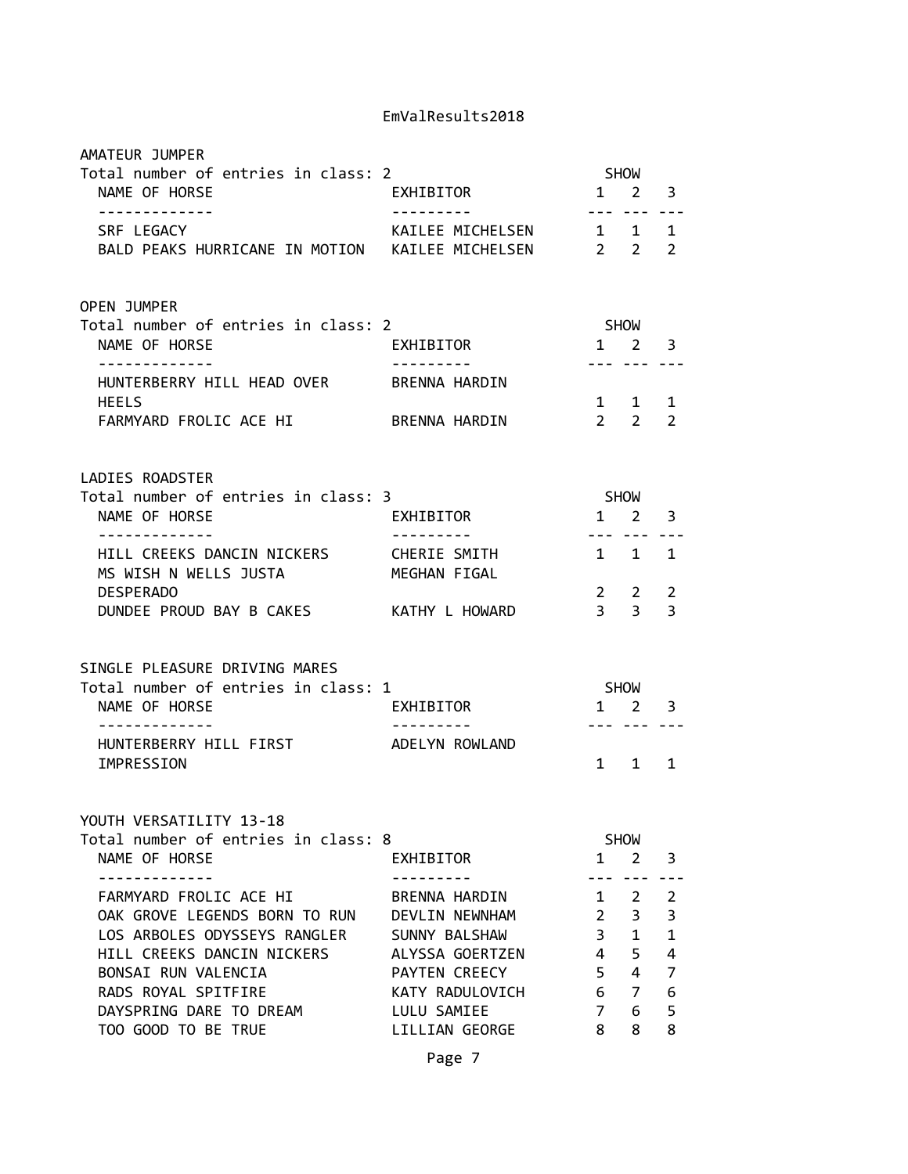| AMATEUR JUMPER<br>Total number of entries in class: 2<br>NAME OF HORSE                                                                                                                                                | EXHIBITOR                                                                                                                                |                                                                           | <b>SHOW</b><br>$1 \quad 2$                                  | 3                                              |
|-----------------------------------------------------------------------------------------------------------------------------------------------------------------------------------------------------------------------|------------------------------------------------------------------------------------------------------------------------------------------|---------------------------------------------------------------------------|-------------------------------------------------------------|------------------------------------------------|
| -------------<br>SRF LEGACY<br>BALD PEAKS HURRICANE IN MOTION KAILEE MICHELSEN 2 2                                                                                                                                    | KAILEE MICHELSEN 1 1                                                                                                                     | $- - -$                                                                   |                                                             | 1<br>$\overline{2}$                            |
| OPEN JUMPER<br>Total number of entries in class: 2<br>NAME OF HORSE                                                                                                                                                   | EXHIBITOR                                                                                                                                | $1 \quad 2$                                                               | SHOW                                                        | 3                                              |
| -------------<br>HUNTERBERRY HILL HEAD OVER<br><b>HEELS</b>                                                                                                                                                           | . <b>.</b> .<br>BRENNA HARDIN                                                                                                            | --- ---                                                                   | 1 1                                                         | 1                                              |
| FARMYARD FROLIC ACE HI                                                                                                                                                                                                | BRENNA HARDIN                                                                                                                            |                                                                           | $2 \quad 2$                                                 | $\overline{2}$                                 |
| LADIES ROADSTER                                                                                                                                                                                                       |                                                                                                                                          |                                                                           |                                                             |                                                |
| Total number of entries in class: 3<br>NAME OF HORSE                                                                                                                                                                  | EXHIBITOR                                                                                                                                | SHOW                                                                      | $1 \quad 2$                                                 | 3                                              |
| <u> - - - - - - - - - - - - -</u><br>HILL CREEKS DANCIN NICKERS<br>MS WISH N WELLS JUSTA                                                                                                                              | ----------<br>CHERIE SMITH<br>MEGHAN FIGAL                                                                                               | --- ---<br>1 1 1                                                          |                                                             |                                                |
| <b>DESPERADO</b><br>DUNDEE PROUD BAY B CAKES KATHY L HOWARD                                                                                                                                                           |                                                                                                                                          |                                                                           | $2 \quad 2$<br>$3 \quad 3$                                  | 2<br>3                                         |
| SINGLE PLEASURE DRIVING MARES                                                                                                                                                                                         |                                                                                                                                          |                                                                           |                                                             |                                                |
| Total number of entries in class: 1<br>NAME OF HORSE                                                                                                                                                                  | EXHIBITOR                                                                                                                                |                                                                           | SHOW<br>$1 \quad 2$                                         | 3                                              |
| HUNTERBERRY HILL FIRST<br>IMPRESSION                                                                                                                                                                                  | ADELYN ROWLAND                                                                                                                           | $1 \quad$                                                                 | --- ---<br>$\mathbf{1}$                                     | 1                                              |
| YOUTH VERSATILITY 13-18<br>Total number of entries in class: 8<br>NAME OF HORSE                                                                                                                                       | EXHIBITOR                                                                                                                                | 1                                                                         | <b>SHOW</b><br>$\overline{2}$                               | 3                                              |
| FARMYARD FROLIC ACE HI<br>OAK GROVE LEGENDS BORN TO RUN<br>LOS ARBOLES ODYSSEYS RANGLER<br>HILL CREEKS DANCIN NICKERS<br>BONSAI RUN VALENCIA<br>RADS ROYAL SPITFIRE<br>DAYSPRING DARE TO DREAM<br>TOO GOOD TO BE TRUE | BRENNA HARDIN<br>DEVLIN NEWNHAM<br>SUNNY BALSHAW<br>ALYSSA GOERTZEN<br>PAYTEN CREECY<br>KATY RADULOVICH<br>LULU SAMIEE<br>LILLIAN GEORGE | $\mathbf{1}$<br>$\overline{2}$<br>3<br>4<br>5<br>6<br>$\overline{7}$<br>8 | 2<br>3<br>$\mathbf 1$<br>5<br>4<br>$\overline{7}$<br>6<br>8 | 2<br>3<br>$\mathbf 1$<br>4<br>7<br>6<br>5<br>8 |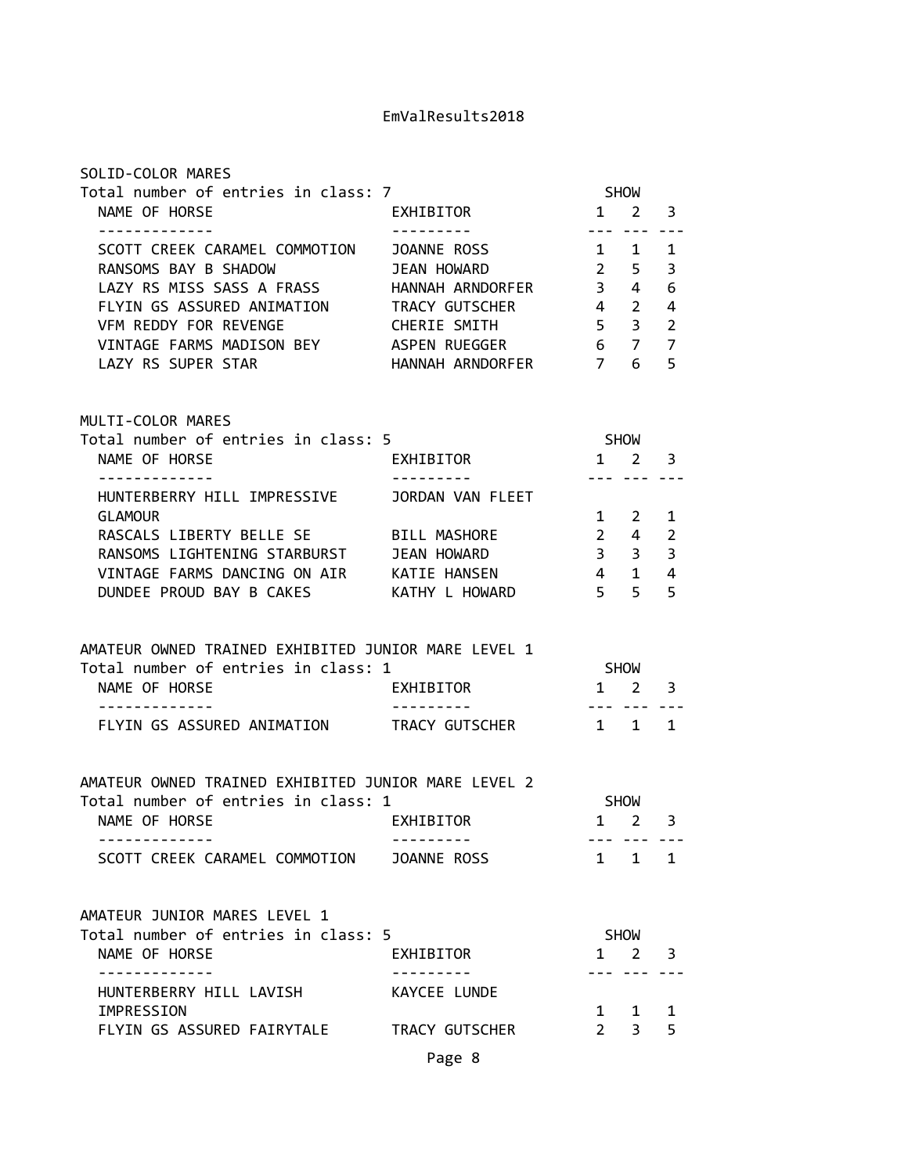| Total number of entries in class: 7                  |                                  | SHOW                                                                                                                                                                                                                                                                                                                                                                                                                                                                       |                                   |                     |
|------------------------------------------------------|----------------------------------|----------------------------------------------------------------------------------------------------------------------------------------------------------------------------------------------------------------------------------------------------------------------------------------------------------------------------------------------------------------------------------------------------------------------------------------------------------------------------|-----------------------------------|---------------------|
| NAME OF HORSE<br>-------------                       | EXHIBITOR<br>----------          |                                                                                                                                                                                                                                                                                                                                                                                                                                                                            | $1 \quad 2 \quad 3$<br>--- ---    |                     |
| SCOTT CREEK CARAMEL COMMOTION                        | JOANNE ROSS                      | 1 1                                                                                                                                                                                                                                                                                                                                                                                                                                                                        |                                   | 1                   |
| RANSOMS BAY B SHADOW                                 | JEAN HOWARD                      | $\overline{2}$                                                                                                                                                                                                                                                                                                                                                                                                                                                             | 5 <sub>1</sub>                    | 3                   |
| LAZY RS MISS SASS A FRASS                            | HANNAH ARNDORFER                 | $3 \quad 4$                                                                                                                                                                                                                                                                                                                                                                                                                                                                |                                   | 6                   |
| FLYIN GS ASSURED ANIMATION TRACY GUTSCHER            |                                  | $4\quad 2$                                                                                                                                                                                                                                                                                                                                                                                                                                                                 |                                   | 4                   |
| VFM REDDY FOR REVENGE                                | CHERIE SMITH                     | $5 \quad 3$                                                                                                                                                                                                                                                                                                                                                                                                                                                                |                                   | $\overline{2}$      |
| VINTAGE FARMS MADISON BEY ASPEN RUEGGER              |                                  |                                                                                                                                                                                                                                                                                                                                                                                                                                                                            | 6 7                               | $\overline{7}$      |
| LAZY RS SUPER STAR                                   | HANNAH ARNDORFER 7               |                                                                                                                                                                                                                                                                                                                                                                                                                                                                            | 6                                 | 5                   |
| MULTI-COLOR MARES                                    |                                  |                                                                                                                                                                                                                                                                                                                                                                                                                                                                            |                                   |                     |
| Total number of entries in class: 5                  |                                  |                                                                                                                                                                                                                                                                                                                                                                                                                                                                            | <b>SHOW</b>                       |                     |
| NAME OF HORSE                                        | EXHIBITOR                        | $1 \quad 2$                                                                                                                                                                                                                                                                                                                                                                                                                                                                |                                   | 3                   |
| -------------                                        | ---------                        | --- ---                                                                                                                                                                                                                                                                                                                                                                                                                                                                    |                                   |                     |
| HUNTERBERRY HILL IMPRESSIVE                          | JORDAN VAN FLEET                 |                                                                                                                                                                                                                                                                                                                                                                                                                                                                            |                                   |                     |
| <b>GLAMOUR</b>                                       |                                  |                                                                                                                                                                                                                                                                                                                                                                                                                                                                            | 1 2                               | 1                   |
| RASCALS LIBERTY BELLE SE                             | BILL MASHORE                     |                                                                                                                                                                                                                                                                                                                                                                                                                                                                            | $2 \quad 4$                       | $\overline{2}$      |
| RANSOMS LIGHTENING STARBURST                         | JEAN HOWARD                      |                                                                                                                                                                                                                                                                                                                                                                                                                                                                            | $3 \quad 3 \quad 3$               |                     |
| VINTAGE FARMS DANCING ON AIR KATIE HANSEN            |                                  | $4\quad1$                                                                                                                                                                                                                                                                                                                                                                                                                                                                  |                                   | 4                   |
| DUNDEE PROUD BAY B CAKES KATHY L HOWARD              |                                  | $5\quad 5$                                                                                                                                                                                                                                                                                                                                                                                                                                                                 |                                   | 5                   |
|                                                      |                                  |                                                                                                                                                                                                                                                                                                                                                                                                                                                                            |                                   |                     |
|                                                      |                                  |                                                                                                                                                                                                                                                                                                                                                                                                                                                                            |                                   |                     |
|                                                      |                                  |                                                                                                                                                                                                                                                                                                                                                                                                                                                                            |                                   |                     |
| AMATEUR OWNED TRAINED EXHIBITED JUNIOR MARE LEVEL 1  |                                  |                                                                                                                                                                                                                                                                                                                                                                                                                                                                            |                                   |                     |
| Total number of entries in class: 1<br>NAME OF HORSE | EXHIBITOR                        |                                                                                                                                                                                                                                                                                                                                                                                                                                                                            | SHOW<br>$1 \quad 2$               |                     |
|                                                      |                                  | $\frac{1}{2} \left( \frac{1}{2} \right) \left( \frac{1}{2} \right) \left( \frac{1}{2} \right) \left( \frac{1}{2} \right) \left( \frac{1}{2} \right) \left( \frac{1}{2} \right) \left( \frac{1}{2} \right) \left( \frac{1}{2} \right) \left( \frac{1}{2} \right) \left( \frac{1}{2} \right) \left( \frac{1}{2} \right) \left( \frac{1}{2} \right) \left( \frac{1}{2} \right) \left( \frac{1}{2} \right) \left( \frac{1}{2} \right) \left( \frac{1}{2} \right) \left( \frac$ |                                   | 3                   |
| FLYIN GS ASSURED ANIMATION TRACY GUTSCHER 1 1 1      |                                  |                                                                                                                                                                                                                                                                                                                                                                                                                                                                            |                                   |                     |
|                                                      |                                  |                                                                                                                                                                                                                                                                                                                                                                                                                                                                            |                                   |                     |
|                                                      |                                  |                                                                                                                                                                                                                                                                                                                                                                                                                                                                            |                                   |                     |
| AMATEUR OWNED TRAINED EXHIBITED JUNIOR MARE LEVEL 2  |                                  |                                                                                                                                                                                                                                                                                                                                                                                                                                                                            |                                   |                     |
| Total number of entries in class: 1                  |                                  |                                                                                                                                                                                                                                                                                                                                                                                                                                                                            | <b>SHOW</b>                       |                     |
| NAME OF HORSE                                        | EXHIBITOR                        | $1 \quad 2$                                                                                                                                                                                                                                                                                                                                                                                                                                                                |                                   | 3                   |
|                                                      |                                  |                                                                                                                                                                                                                                                                                                                                                                                                                                                                            |                                   |                     |
| SCOTT CREEK CARAMEL COMMOTION JOANNE ROSS            |                                  |                                                                                                                                                                                                                                                                                                                                                                                                                                                                            |                                   | $1 \quad 1 \quad 1$ |
|                                                      |                                  |                                                                                                                                                                                                                                                                                                                                                                                                                                                                            |                                   |                     |
| AMATEUR JUNIOR MARES LEVEL 1                         |                                  |                                                                                                                                                                                                                                                                                                                                                                                                                                                                            |                                   |                     |
| Total number of entries in class: 5                  |                                  |                                                                                                                                                                                                                                                                                                                                                                                                                                                                            | SHOW                              |                     |
| NAME OF HORSE                                        | EXHIBITOR<br>- - - - - - - - - - |                                                                                                                                                                                                                                                                                                                                                                                                                                                                            | $1 \quad 2 \quad 3$<br>222 222 2. |                     |
| HUNTERBERRY HILL LAVISH                              | KAYCEE LUNDE                     |                                                                                                                                                                                                                                                                                                                                                                                                                                                                            |                                   |                     |
| IMPRESSION                                           |                                  |                                                                                                                                                                                                                                                                                                                                                                                                                                                                            |                                   | 1                   |
| FLYIN GS ASSURED FAIRYTALE TRACY GUTSCHER            |                                  |                                                                                                                                                                                                                                                                                                                                                                                                                                                                            | $1 \quad 1$<br>$2 \quad 3$        | 5                   |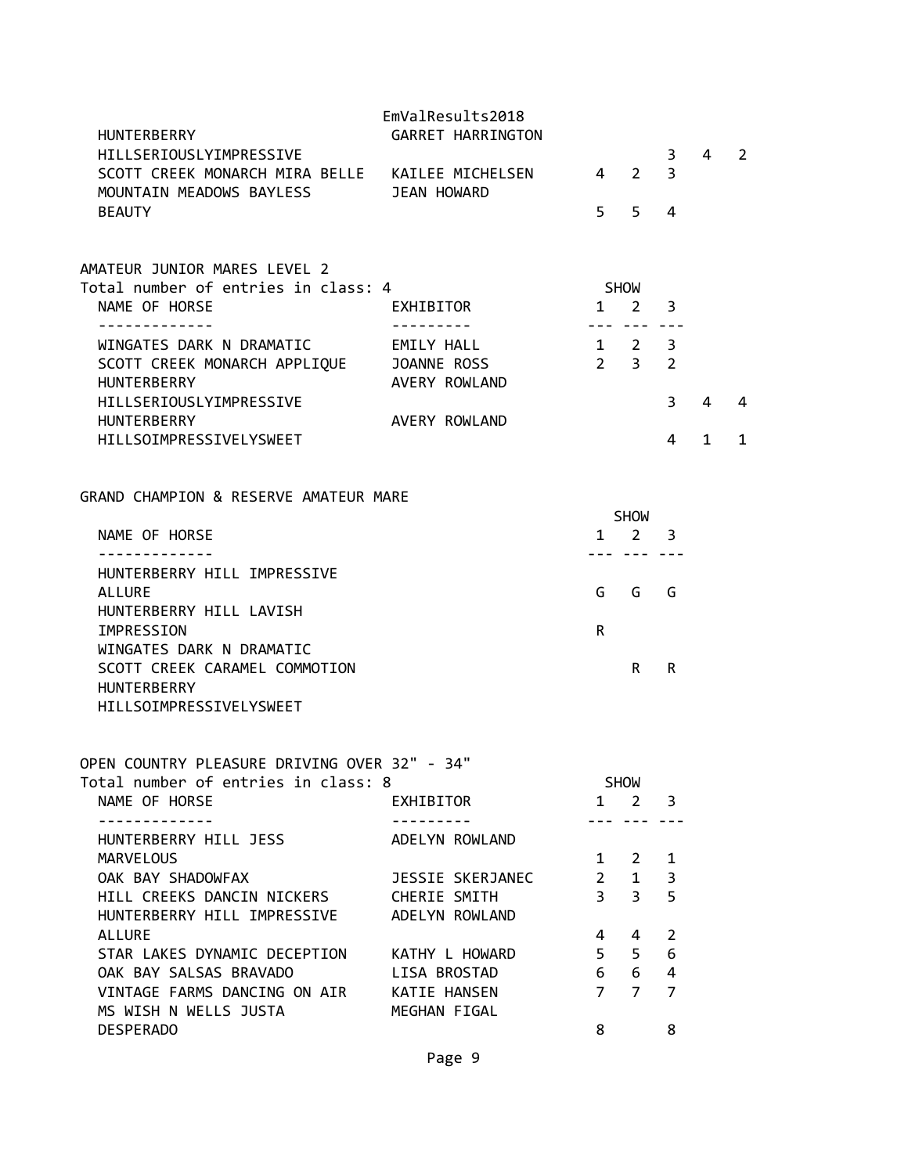| <b>HUNTERBERRY</b>                                                         | EmValResults2018<br><b>GARRET HARRINGTON</b> |                     |                                    |                |              |                |
|----------------------------------------------------------------------------|----------------------------------------------|---------------------|------------------------------------|----------------|--------------|----------------|
| HILLSERIOUSLYIMPRESSIVE<br>SCOTT CREEK MONARCH MIRA BELLE KAILEE MICHELSEN |                                              |                     | $4\quad 2$                         | 3<br>3         | 4            | $\overline{2}$ |
| MOUNTAIN MEADOWS BAYLESS JEAN HOWARD<br><b>BEAUTY</b>                      |                                              | 5                   | 5                                  | 4              |              |                |
| AMATEUR JUNIOR MARES LEVEL 2                                               |                                              |                     |                                    |                |              |                |
| Total number of entries in class: 4                                        |                                              |                     | <b>SHOW</b>                        |                |              |                |
| NAME OF HORSE                                                              | EXHIBITOR                                    | 1                   | $2^{\circ}$                        | 3              |              |                |
| ------------                                                               |                                              |                     | --- --- ---                        |                |              |                |
| WINGATES DARK N DRAMATIC EMILY HALL                                        |                                              | $1 \quad 2 \quad 3$ |                                    |                |              |                |
| SCOTT CREEK MONARCH APPLIQUE JOANNE ROSS                                   |                                              | 2 <sup>3</sup>      |                                    | 2              |              |                |
| <b>HUNTERBERRY</b>                                                         | AVERY ROWLAND                                |                     |                                    |                |              |                |
| HILLSERIOUSLYIMPRESSIVE                                                    |                                              |                     |                                    | 3              | 4            | 4              |
| HUNTERBERRY                                                                | AVERY ROWLAND                                |                     |                                    |                |              |                |
| HILLSOIMPRESSIVELYSWEET                                                    |                                              |                     |                                    | 4              | $\mathbf{1}$ | $\mathbf{1}$   |
| GRAND CHAMPION & RESERVE AMATEUR MARE                                      |                                              |                     |                                    |                |              |                |
|                                                                            |                                              |                     | SHOW                               |                |              |                |
| NAME OF HORSE<br>.                                                         |                                              |                     | $1 \quad 2 \quad 3$<br>--- --- --- |                |              |                |
| HUNTERBERRY HILL IMPRESSIVE                                                |                                              |                     |                                    |                |              |                |
| <b>ALLURE</b>                                                              |                                              | G                   | G                                  | G              |              |                |
| HUNTERBERRY HILL LAVISH<br>IMPRESSION                                      |                                              | R                   |                                    |                |              |                |
| WINGATES DARK N DRAMATIC                                                   |                                              |                     |                                    |                |              |                |
| SCOTT CREEK CARAMEL COMMOTION                                              |                                              |                     | R.                                 | R              |              |                |
| <b>HUNTERBERRY</b>                                                         |                                              |                     |                                    |                |              |                |
| HILLSOIMPRESSIVELYSWEET                                                    |                                              |                     |                                    |                |              |                |
| OPEN COUNTRY PLEASURE DRIVING OVER 32" - 34"                               |                                              |                     |                                    |                |              |                |
| Total number of entries in class: 8                                        |                                              |                     | <b>SHOW</b>                        |                |              |                |
| NAME OF HORSE                                                              | EXHIBITOR                                    | ---                 | $1 \quad 2$<br>$- - -$             | 3              |              |                |
| HUNTERBERRY HILL JESS                                                      | ADELYN ROWLAND                               |                     |                                    |                |              |                |
| <b>MARVELOUS</b>                                                           |                                              | $1 \quad$           | $\mathbf{2}$                       | 1              |              |                |
| OAK BAY SHADOWFAX                                                          | JESSIE SKERJANEC                             | $2^{\circ}$         | $1 \quad$                          | 3              |              |                |
| HILL CREEKS DANCIN NICKERS CHERIE SMITH                                    |                                              | 3 <sup>7</sup>      | $\overline{3}$                     | 5              |              |                |
| HUNTERBERRY HILL IMPRESSIVE ADELYN ROWLAND                                 |                                              |                     |                                    |                |              |                |
| ALLURE<br>STAR LAKES DYNAMIC DECEPTION KATHY L HOWARD                      |                                              | 4<br>5              | 4<br>5                             | 2<br>6         |              |                |
| OAK BAY SALSAS BRAVADO                                                     | LISA BROSTAD                                 | 6 <sup>1</sup>      | 6                                  | $\overline{4}$ |              |                |
| VINTAGE FARMS DANCING ON AIR KATIE HANSEN                                  |                                              | $7^{\circ}$         | $\overline{7}$                     | $\overline{7}$ |              |                |
| MS WISH N WELLS JUSTA                                                      | MEGHAN FIGAL                                 |                     |                                    |                |              |                |
| <b>DESPERADO</b>                                                           |                                              | 8                   |                                    | 8              |              |                |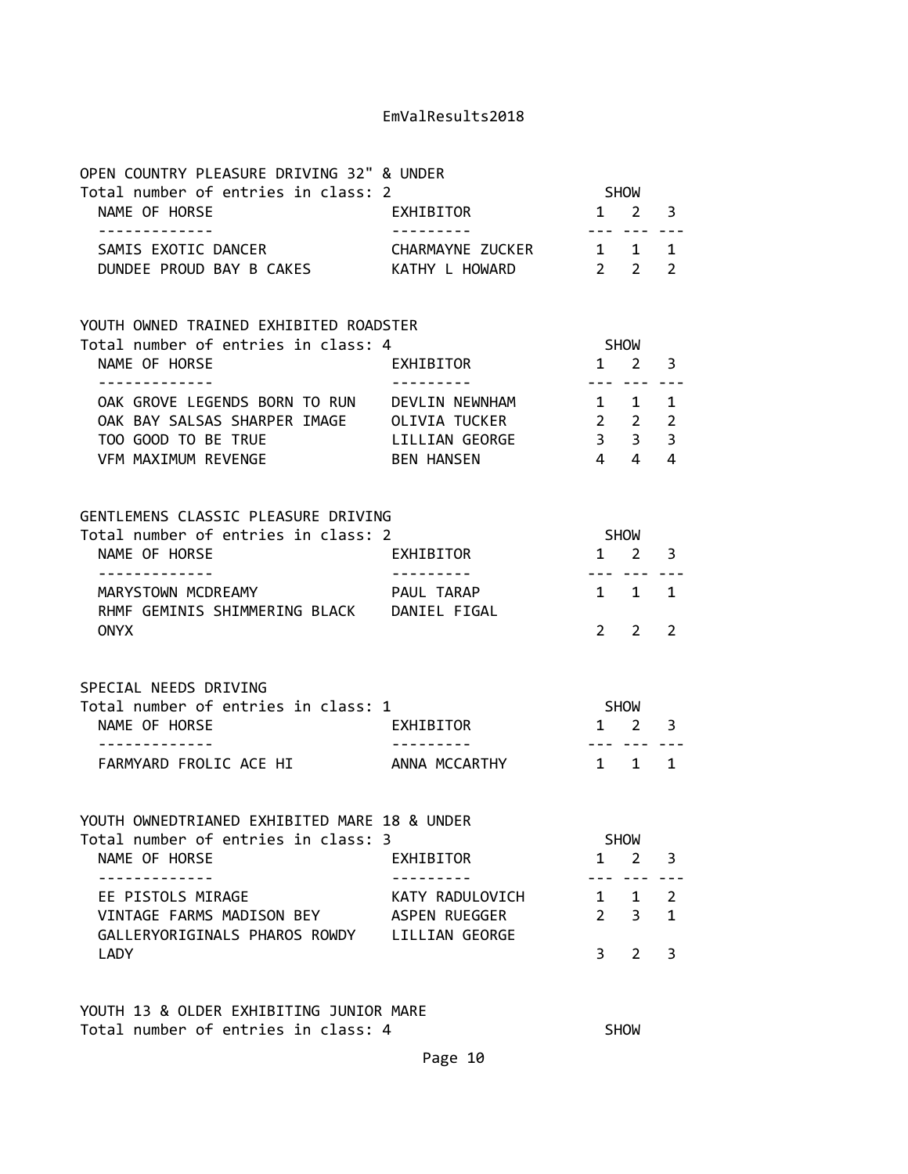| OPEN COUNTRY PLEASURE DRIVING 32" & UNDER                                                                                                           |                                  |                                                 |                               |                                |
|-----------------------------------------------------------------------------------------------------------------------------------------------------|----------------------------------|-------------------------------------------------|-------------------------------|--------------------------------|
| Total number of entries in class: 2<br>NAME OF HORSE<br><u> - - - - - - - - - - - - -</u>                                                           | EXHIBITOR                        | <b>SHOW</b><br>$1 \quad 2 \quad 3$<br>. <b></b> |                               |                                |
| SAMIS EXOTIC DANCER<br>DUNDEE PROUD BAY B CAKES AT KATHY L HOWARD                                                                                   | CHARMAYNE ZUCKER 1 1             | $2\quad 2$                                      |                               | 1<br>2                         |
| YOUTH OWNED TRAINED EXHIBITED ROADSTER                                                                                                              |                                  |                                                 |                               |                                |
| Total number of entries in class: 4<br>NAME OF HORSE<br>. <u>.</u>                                                                                  | EXHIBITOR                        | <b>SHOW</b><br>$1 \quad 2$                      | <u>--- --- ---</u>            | 3                              |
| OAK GROVE LEGENDS BORN TO RUN DEVLIN NEWNHAM<br>OAK BAY SALSAS SHARPER IMAGE OLIVIA TUCKER<br>TOO GOOD TO BE TRUE<br>VFM MAXIMUM REVENGE BEN HANSEN | LILLIAN GEORGE                   | $1 \quad 1 \quad 1$<br>$2\quad 2$<br>$4\quad 4$ | $3 \quad 3$                   | $\overline{2}$<br>3<br>4       |
| GENTLEMENS CLASSIC PLEASURE DRIVING<br>Total number of entries in class: 2<br>NAME OF HORSE<br>-------------                                        | EXHIBITOR                        | $1\quad 2$                                      | <b>SHOW</b><br>--- --- ---    | $\overline{\mathbf{3}}$        |
| MARYSTOWN MCDREAMY MARYSTOWN PAUL TARAP<br>RHMF GEMINIS SHIMMERING BLACK DANIEL FIGAL<br><b>ONYX</b>                                                |                                  | $1 \quad 1$                                     | $2 \quad 2$                   | 1<br>2                         |
| SPECIAL NEEDS DRIVING<br>Total number of entries in class: 1<br>NAME OF HORSE<br><b>EXHIBITOR</b>                                                   |                                  | <b>SHOW</b><br>$1 \quad 2 \quad 3$              |                               |                                |
| <u> - - - - - - - - - - - - -</u><br>FARMYARD FROLIC ACE HI ANNA MCCARTHY                                                                           | . <u>.</u>                       | $1 \quad 1$                                     |                               | 1                              |
| YOUTH OWNEDTRIANED EXHIBITED MARE 18 & UNDER<br>Total number of entries in class: 3<br>NAME OF HORSE                                                | EXHIBITOR                        | 1                                               | <b>SHOW</b><br>$\overline{2}$ | 3                              |
| -------------<br>EE PISTOLS MIRAGE<br>VINTAGE FARMS MADISON BEY<br>GALLERYORIGINALS PHAROS ROWDY LILLIAN GEORGE                                     | KATY RADULOVICH<br>ASPEN RUEGGER | $1 \quad$<br>$\overline{2}$                     | $\mathbf 1$<br>3              | $\overline{2}$<br>$\mathbf{1}$ |
| LADY                                                                                                                                                |                                  | 3                                               | $\overline{2}$                | 3                              |

YOUTH 13 & OLDER EXHIBITING JUNIOR MARE Total number of entries in class: 4 SHOW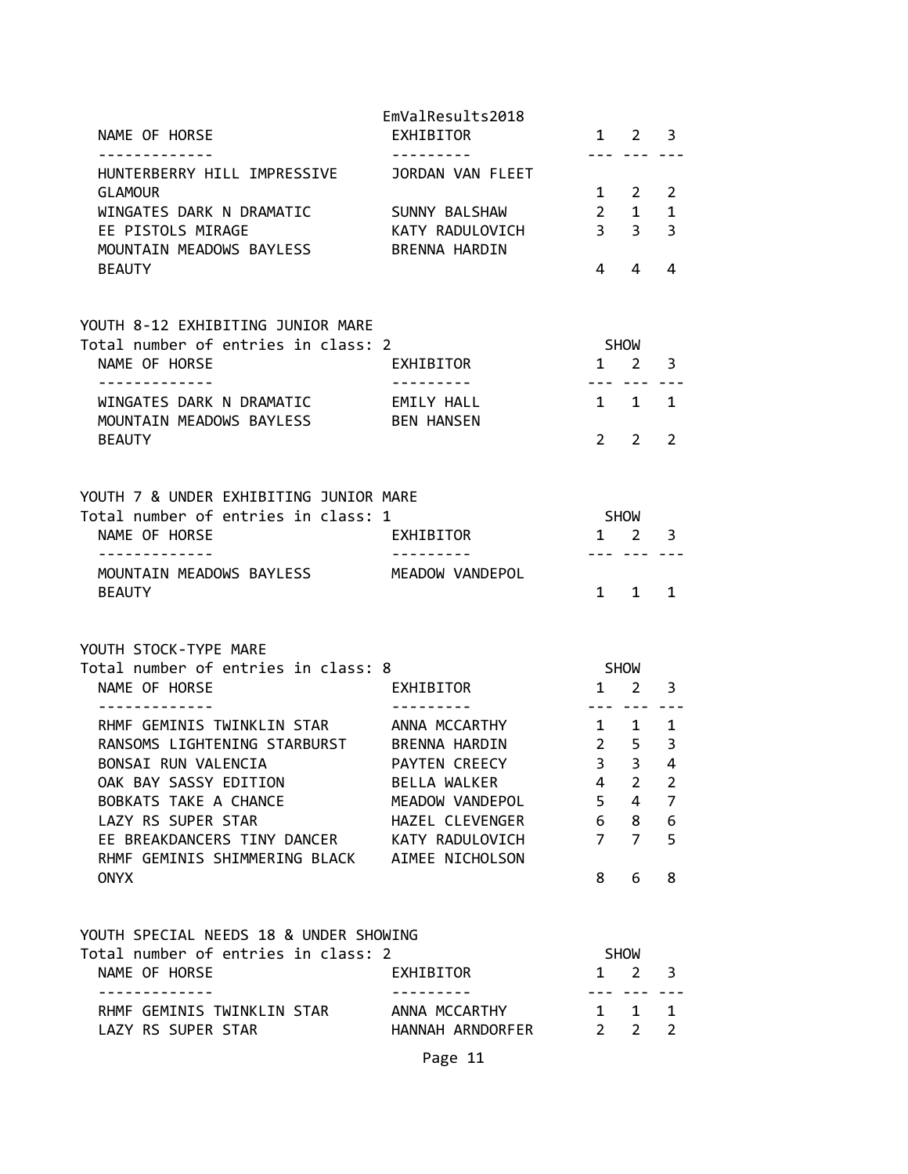| NAME OF HORSE                                                | EmValResults2018<br>EXHIBITOR |                 | $1 \quad 2$                | 3              |
|--------------------------------------------------------------|-------------------------------|-----------------|----------------------------|----------------|
| HUNTERBERRY HILL IMPRESSIVE<br><b>GLAMOUR</b>                | JORDAN VAN FLEET              | $1 \quad$       | 2                          | 2              |
| WINGATES DARK N DRAMATIC                                     | SUNNY BALSHAW                 | $2^{\circ}$     | $\mathbf{1}$               | $\mathbf 1$    |
| EE PISTOLS MIRAGE                                            | KATY RADULOVICH               | 3 <sup>7</sup>  | 3                          | 3              |
| MOUNTAIN MEADOWS BAYLESS                                     | <b>BRENNA HARDIN</b>          |                 |                            |                |
| <b>BEAUTY</b>                                                |                               | 4               | 4                          | 4              |
| YOUTH 8-12 EXHIBITING JUNIOR MARE                            |                               |                 |                            |                |
| Total number of entries in class: 2                          |                               |                 | SHOW                       |                |
| NAME OF HORSE                                                | EXHIBITOR                     |                 | 1 2                        | 3              |
| . <u>.</u>                                                   |                               |                 | --- ---                    | ----           |
| WINGATES DARK N DRAMATIC                                     | EMILY HALL                    |                 | 1 1                        | 1              |
| MOUNTAIN MEADOWS BAYLESS                                     | <b>BEN HANSEN</b>             |                 |                            |                |
| <b>BEAUTY</b>                                                |                               | $2^{\circ}$     | 2                          | 2              |
| YOUTH 7 & UNDER EXHIBITING JUNIOR MARE                       |                               |                 |                            |                |
| Total number of entries in class: 1                          |                               | SHOW            |                            |                |
| NAME OF HORSE                                                | EXHIBITOR                     |                 | $1 \quad 2$                | 3              |
| -------------                                                |                               |                 | $- - -$                    |                |
| MOUNTAIN MEADOWS BAYLESS<br><b>BEAUTY</b>                    | MEADOW VANDEPOL               | $1 \quad$       | 1                          | $\mathbf{1}$   |
|                                                              |                               |                 |                            |                |
| YOUTH STOCK-TYPE MARE<br>Total number of entries in class: 8 |                               |                 | <b>SHOW</b>                |                |
| NAME OF HORSE                                                | EXHIBITOR                     |                 | $1 \quad 2$                | 3              |
|                                                              |                               | ---             |                            |                |
| RHMF GEMINIS TWINKLIN STAR                                   | ANNA MCCARTHY                 |                 | $1 \quad 1$                | 1              |
| RANSOMS LIGHTENING STARBURST                                 | BRENNA HARDIN                 |                 | $2 \quad 5$                | 3              |
| BONSAI RUN VALENCIA                                          | PAYTEN CREECY                 | $3^{\circ}$     | $\overline{3}$             | 4              |
| OAK BAY SASSY EDITION                                        | BELLA WALKER                  | 4               | $\overline{2}$             | 2              |
| BOBKATS TAKE A CHANCE                                        | MEADOW VANDEPOL               | 5 <sup>7</sup>  | 4                          | $\overline{7}$ |
| LAZY RS SUPER STAR                                           | HAZEL CLEVENGER               | $6\overline{6}$ | 8                          | 6              |
| EE BREAKDANCERS TINY DANCER KATY RADULOVICH                  |                               | $7^{\circ}$     | $\overline{7}$             | 5              |
| RHMF GEMINIS SHIMMERING BLACK AIMEE NICHOLSON                |                               |                 |                            |                |
| <b>ONYX</b>                                                  |                               | 8               | 6                          | 8              |
| YOUTH SPECIAL NEEDS 18 & UNDER SHOWING                       |                               |                 |                            |                |
| Total number of entries in class: 2                          |                               |                 | <b>SHOW</b>                |                |
| NAME OF HORSE<br>-------------                               | EXHIBITOR<br>--------         |                 | $1 \quad 2$<br>--- --- --- | 3              |
| RHMF GEMINIS TWINKLIN STAR ANNA MCCARTHY                     |                               |                 | $1 \quad 1$                | 1              |
| LAZY RS SUPER STAR                                           | HANNAH ARNDORFER              |                 | $2 \quad 2$                | $\overline{2}$ |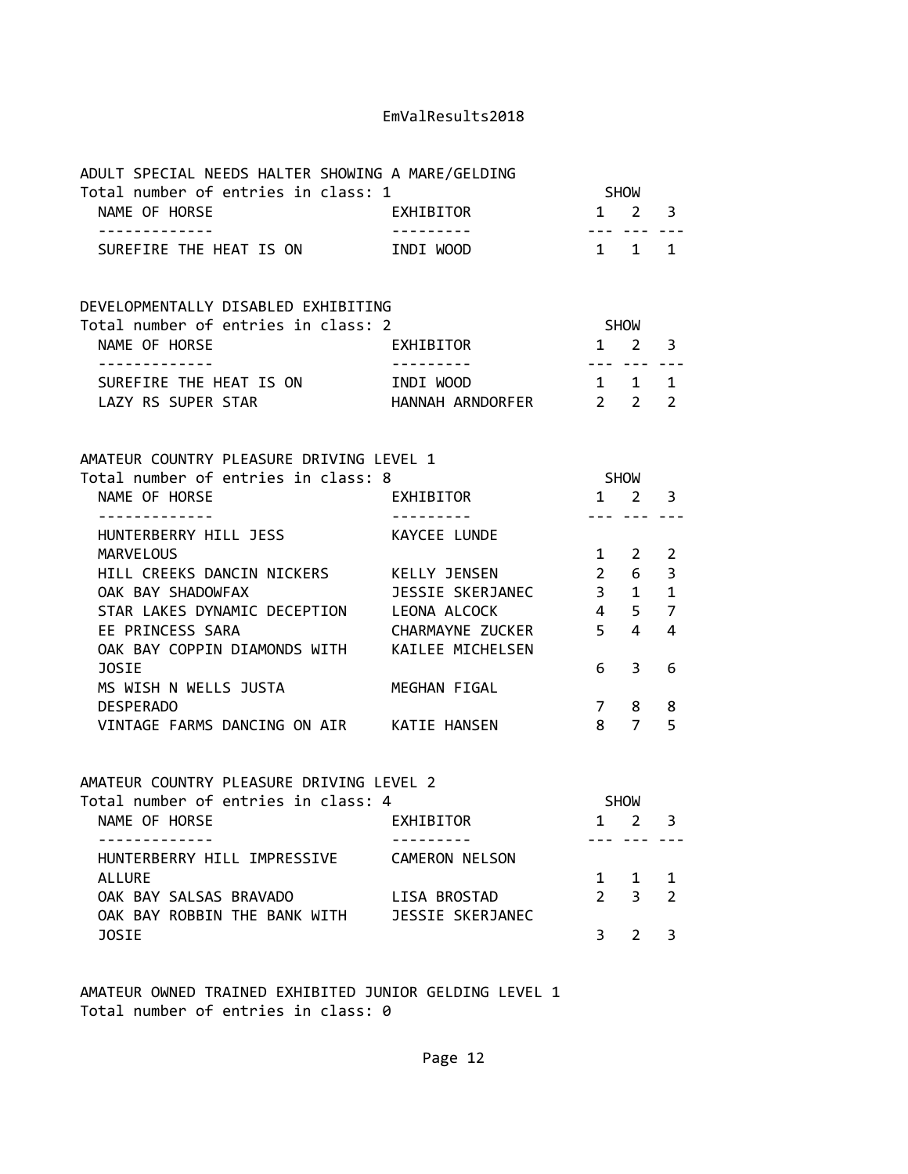| ADULT SPECIAL NEEDS HALTER SHOWING A MARE/GELDING<br>Total number of entries in class: 1 |                                         |                         | SHOW                       |                         |
|------------------------------------------------------------------------------------------|-----------------------------------------|-------------------------|----------------------------|-------------------------|
| NAME OF HORSE                                                                            | EXHIBITOR                               |                         | $1 \quad 2 \quad 3$        |                         |
| -------------<br>SUREFIRE THE HEAT IS ON                                                 | ----------<br>INDI WOOD                 |                         | --- --- ---<br>$1 \quad 1$ | 1                       |
| DEVELOPMENTALLY DISABLED EXHIBITING<br>Total number of entries in class: 2               |                                         | SHOW                    |                            |                         |
| NAME OF HORSE                                                                            | EXHIBITOR                               | $1 \quad 2$             |                            | 3                       |
| . <u>.</u><br>SUREFIRE THE HEAT IS ON<br>LAZY RS SUPER STAR                              | INDI WOOD<br>HANNAH ARNDORFER 2 2       | . <i>.</i><br>1 1 1     |                            | $\overline{2}$          |
| AMATEUR COUNTRY PLEASURE DRIVING LEVEL 1<br>Total number of entries in class: 8          |                                         | <b>SHOW</b>             |                            |                         |
| NAME OF HORSE                                                                            | EXHIBITOR                               |                         | 1 2                        | $\overline{\mathbf{3}}$ |
| -------------<br>HUNTERBERRY HILL JESS<br><b>MARVELOUS</b>                               | ----------<br>KAYCEE LUNDE              |                         | $1 \quad 2$                | 2                       |
| HILL CREEKS DANCIN NICKERS KELLY JENSEN                                                  |                                         | $\overline{\mathbf{2}}$ | 6                          | 3                       |
| OAK BAY SHADOWFAX                                                                        | JESSIE SKERJANEC 3 1                    |                         |                            | $\mathbf{1}$            |
| STAR LAKES DYNAMIC DECEPTION LEONA ALCOCK                                                |                                         |                         | 4 5                        | 7                       |
| EE PRINCESS SARA<br>OAK BAY COPPIN DIAMONDS WITH KAILEE MICHELSEN                        | CHARMAYNE ZUCKER 5                      |                         | $\overline{4}$             | 4                       |
| <b>JOSIE</b><br>MS WISH N WELLS JUSTA                                                    | MEGHAN FIGAL                            | 6                       | 3                          | 6                       |
| <b>DESPERADO</b>                                                                         |                                         | 7                       | 8                          | 8                       |
| VINTAGE FARMS DANCING ON AIR KATIE HANSEN                                                |                                         |                         | 8 7                        | 5                       |
| AMATEUR COUNTRY PLEASURE DRIVING LEVEL 2                                                 |                                         |                         |                            |                         |
| Total number of entries in class: 4                                                      |                                         |                         | <b>SHOW</b>                |                         |
| NAME OF HORSE                                                                            | EXHIBITOR                               | $1 \quad$               | 2                          | 3                       |
| HUNTERBERRY HILL IMPRESSIVE                                                              | CAMERON NELSON                          |                         |                            |                         |
| <b>ALLURE</b>                                                                            |                                         | 1                       | 1                          | 1                       |
| OAK BAY SALSAS BRAVADO<br>OAK BAY ROBBIN THE BANK WITH                                   | LISA BROSTAD<br><b>JESSIE SKERJANEC</b> | $\overline{2}$          | 3                          | $\overline{2}$          |
| <b>JOSIE</b>                                                                             |                                         | 3                       | $\overline{2}$             | 3                       |

AMATEUR OWNED TRAINED EXHIBITED JUNIOR GELDING LEVEL 1 Total number of entries in class: 0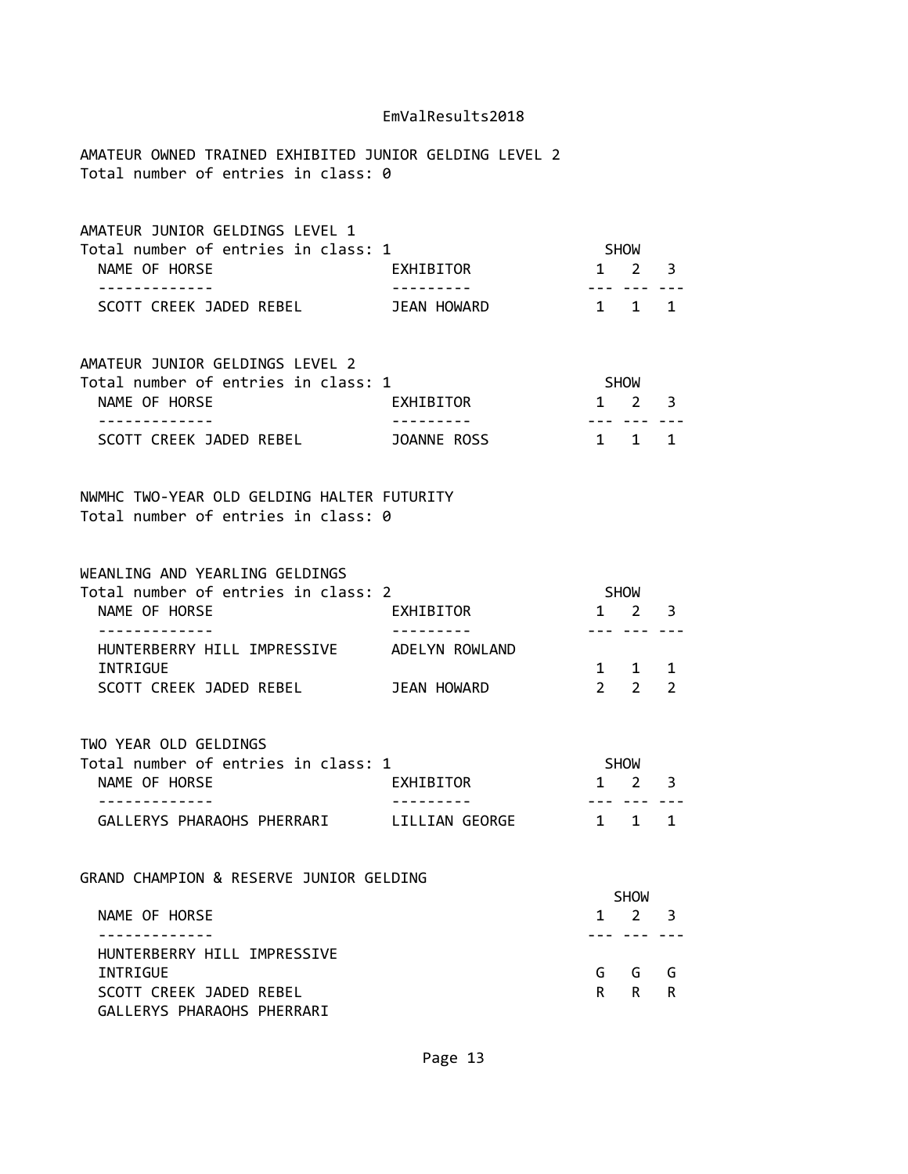AMATEUR OWNED TRAINED EXHIBITED JUNIOR GELDING LEVEL 2 Total number of entries in class: 0

| AMATEUR JUNIOR GELDINGS LEVEL 1     |             |                     |  |
|-------------------------------------|-------------|---------------------|--|
| Total number of entries in class: 1 |             | <b>SHOW</b>         |  |
| NAME OF HORSE                       | EXHIBITOR   | $1 \quad 2 \quad 3$ |  |
|                                     |             |                     |  |
| SCOTT CREEK JADED REBEL             | JEAN HOWARD | 1 1 1               |  |

| AMATEUR JUNIOR GELDINGS LEVEL 2     |             |                     |  |
|-------------------------------------|-------------|---------------------|--|
| Total number of entries in class: 1 |             | <b>SHOW</b>         |  |
| NAME OF HORSE                       | EXHIBITOR   | $1 \quad 2 \quad 3$ |  |
|                                     |             |                     |  |
| SCOTT CREEK JADED REBEL             | JOANNE ROSS | 1 1 1               |  |

NWMHC TWO-YEAR OLD GELDING HALTER FUTURITY Total number of entries in class: 0

| WEANLING AND YEARLING GELDINGS      |                |                     |  |
|-------------------------------------|----------------|---------------------|--|
| Total number of entries in class: 2 |                | <b>SHOW</b>         |  |
| NAME OF HORSE                       | EXHIBITOR      | $1 \quad 2 \quad 3$ |  |
|                                     |                |                     |  |
| HUNTERBERRY HILL IMPRESSIVE         | ADELYN ROWLAND |                     |  |
| INTRIGUE                            |                | 1 1 1               |  |
| SCOTT CREEK JADED REBEL             | JEAN HOWARD    |                     |  |

TWO YEAR OLD GELDINGS

| Total number of entries in class: 1 |                | <b>SHOW</b>         |  |
|-------------------------------------|----------------|---------------------|--|
| NAME OF HORSE                       | EXHIBITOR      | $1 \quad 2 \quad 3$ |  |
|                                     |                |                     |  |
| GALLERYS PHARAOHS PHERRARI          | LILLIAN GEORGE | 1 1 1               |  |

GRAND CHAMPION & RESERVE JUNIOR GELDING

|                             | <b>SHOW</b> |             |  |  |
|-----------------------------|-------------|-------------|--|--|
| NAME OF HORSE               |             | $1 \t2 \t3$ |  |  |
|                             |             |             |  |  |
| HUNTERBERRY HILL IMPRESSIVE |             |             |  |  |
| INTRIGUE                    |             | GGGG        |  |  |
| SCOTT CREEK JADED REBEL     |             | R R R       |  |  |
| GALLERYS PHARAOHS PHERRARI  |             |             |  |  |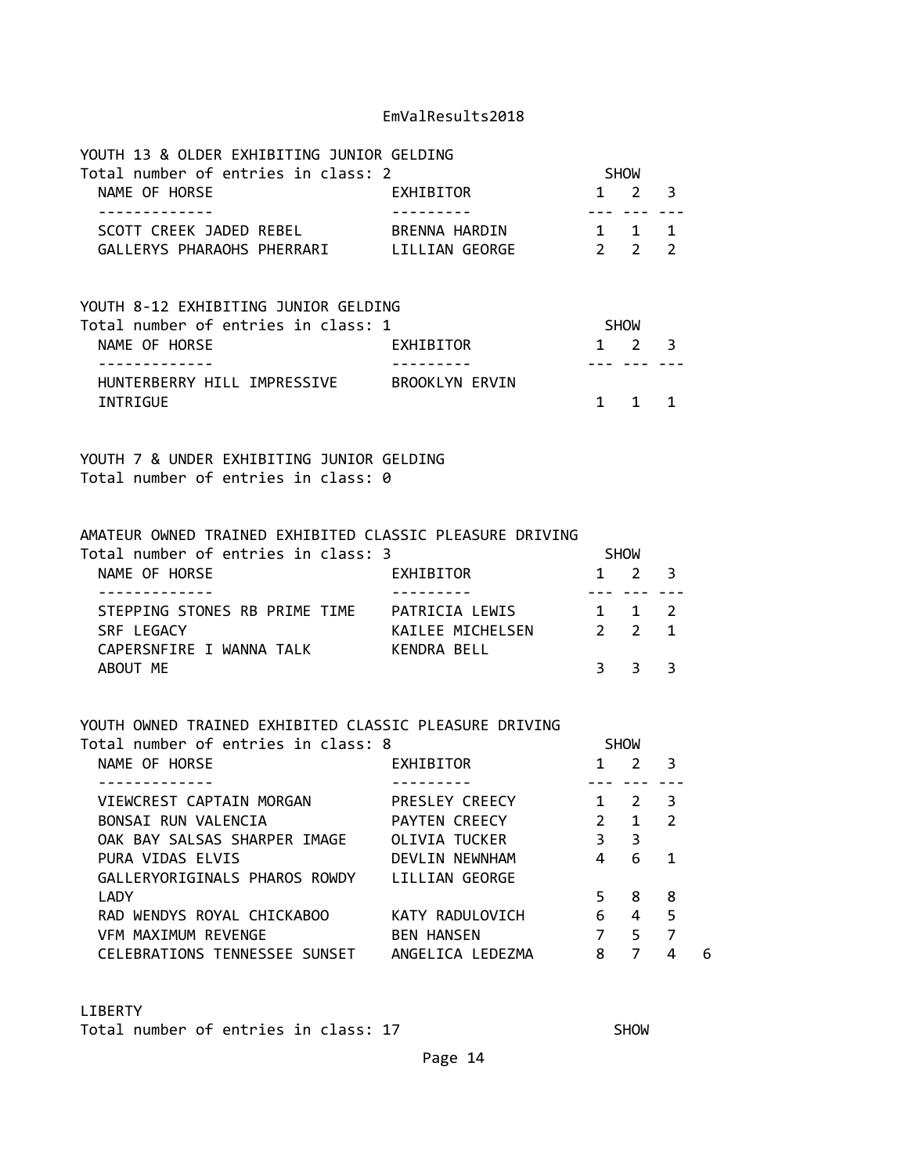| YOUTH 13 & OLDER EXHIBITING JUNIOR GELDING<br>Total number of entries in class: 2                                                                     |                                                                                      |                                                      | SHOW                                                                |                               |   |
|-------------------------------------------------------------------------------------------------------------------------------------------------------|--------------------------------------------------------------------------------------|------------------------------------------------------|---------------------------------------------------------------------|-------------------------------|---|
| NAME OF HORSE<br>EXHIBITOR                                                                                                                            |                                                                                      |                                                      | $1 \quad 2 \quad 3$                                                 |                               |   |
| .<br>SCOTT CREEK JADED REBEL BRENNA HARDIN<br>GALLERYS PHARAOHS PHERRARI LILLIAN GEORGE                                                               | $2\quad 2\quad 2$                                                                    |                                                      | --- --- ---<br>$1 \quad 1 \quad 1$                                  |                               |   |
| YOUTH 8-12 EXHIBITING JUNIOR GELDING<br>Total number of entries in class: 1<br>NAME OF HORSE                                                          | EXHIBITOR                                                                            |                                                      | SHOW<br>$1 \quad 2 \quad 3$                                         |                               |   |
| .<br>HUNTERBERRY HILL IMPRESSIVE BROOKLYN ERVIN<br>INTRIGUE                                                                                           | ----------                                                                           |                                                      | <u>--- --- ---</u><br>$1 \quad 1 \quad 1$                           |                               |   |
| YOUTH 7 & UNDER EXHIBITING JUNIOR GELDING<br>Total number of entries in class: 0                                                                      |                                                                                      |                                                      |                                                                     |                               |   |
| AMATEUR OWNED TRAINED EXHIBITED CLASSIC PLEASURE DRIVING<br>Total number of entries in class: 3<br>NAME OF HORSE                                      | EXHIBITOR                                                                            |                                                      | SHOW<br>$1 \quad 2 \quad 3$                                         |                               |   |
| -------------<br>STEPPING STONES RB PRIME TIME PATRICIA LEWIS 1 1 2<br>SRF LEGACY<br>CAPERSNFIRE I WANNA TALK KENDRA BELL<br>ABOUT ME                 | ---------<br>KAILEE MICHELSEN 2 2 1                                                  |                                                      | <u>--- --- ---</u><br>$3 \quad 3$                                   | 3                             |   |
| YOUTH OWNED TRAINED EXHIBITED CLASSIC PLEASURE DRIVING<br>Total number of entries in class: 8<br>NAME OF HORSE<br>EXHIBITOR                           |                                                                                      |                                                      | SHOW<br>1 2 3                                                       |                               |   |
| -------------<br>VIEWCREST CAPTAIN MORGAN<br>BONSAI RUN VALENCIA<br>OAK BAY SALSAS SHARPER IMAGE<br>PURA VIDAS ELVIS<br>GALLERYORIGINALS PHAROS ROWDY | PRESLEY CREECY<br>PAYTEN CREECY<br>OLIVIA TUCKER<br>DEVLIN NEWNHAM<br>LILLIAN GEORGE | $2 \overline{ }$<br>$\overline{3}$<br>$\overline{4}$ | <u>--- --- ---</u><br>$1 \quad 2 \quad 3$<br>$\mathbf{1}$<br>3<br>6 | 2<br>$\mathbf{1}$             |   |
| LADY<br>RAD WENDYS ROYAL CHICKABOO<br>VFM MAXIMUM REVENGE<br>CELEBRATIONS TENNESSEE SUNSET ANGELICA LEDEZMA                                           | KATY RADULOVICH<br><b>BEN HANSEN</b>                                                 | 5<br>6<br>$\overline{7}$<br>8                        | 8<br>4<br>5<br>$\overline{7}$                                       | 8<br>5<br>$\overline{7}$<br>4 | 6 |

# LIBERTY

Total number of entries in class: 17 SHOW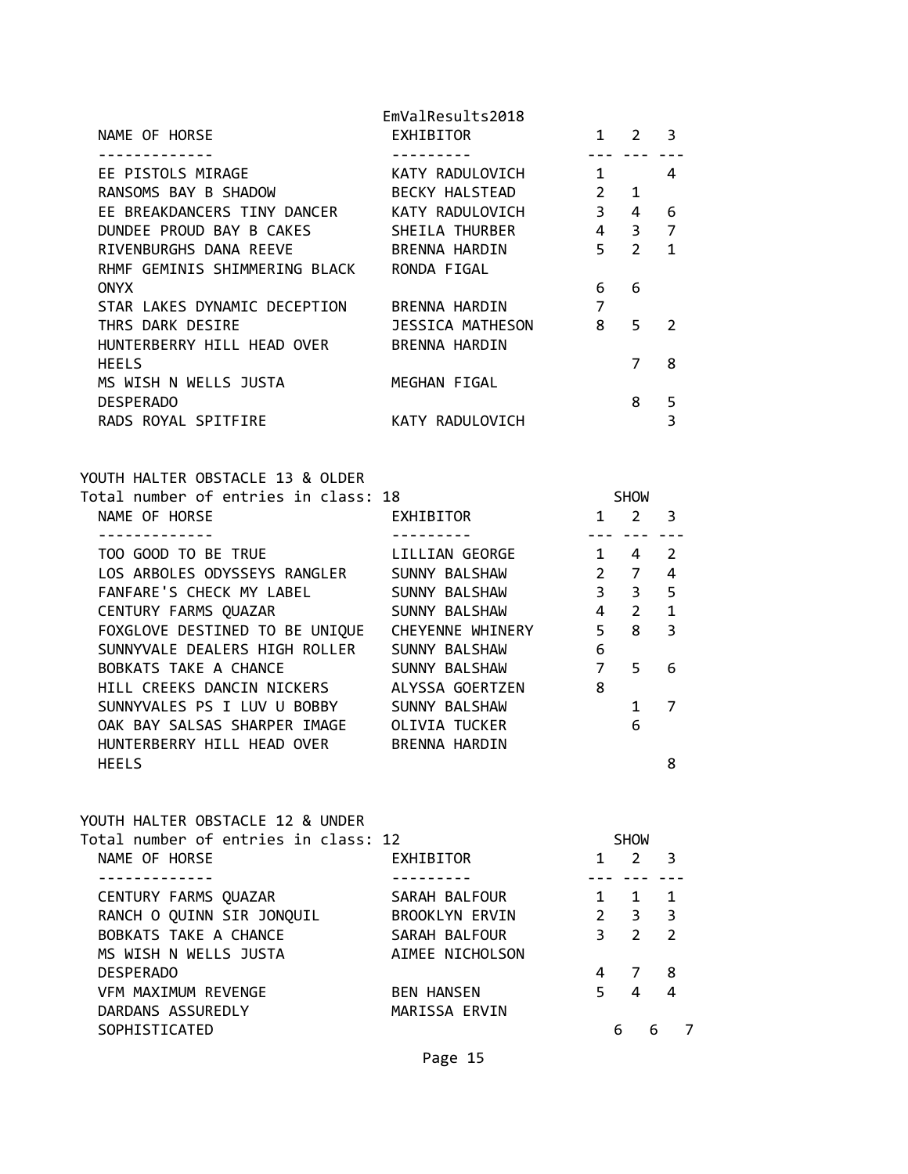|                               | EmValResults2018      |                |                |               |
|-------------------------------|-----------------------|----------------|----------------|---------------|
| NAME OF HORSE                 | EXHIBITOR             | 1              | $\mathcal{L}$  | 3             |
|                               |                       |                |                |               |
| EE PISTOLS MIRAGE             | KATY RADULOVICH       | $\mathbf{1}$   |                | 4             |
| RANSOMS BAY B SHADOW          | <b>BECKY HALSTEAD</b> | $\overline{2}$ | 1              |               |
| EE BREAKDANCERS TINY DANCER   | KATY RADULOVICH       | $\overline{3}$ | 4              | 6             |
| DUNDEE PROUD BAY B CAKES      | SHEILA THURBER        | $\overline{4}$ | 3              | 7             |
| RIVENBURGHS DANA REEVE        | BRENNA HARDIN         | 5              | $\overline{2}$ | 1             |
| RHMF GEMINIS SHIMMERING BLACK | RONDA FIGAL           |                |                |               |
| <b>ONYX</b>                   |                       | 6              | 6              |               |
| STAR LAKES DYNAMIC DECEPTION  | BRENNA HARDIN         | 7              |                |               |
| THRS DARK DESIRE              | JESSICA MATHESON      | 8              | 5              | $\mathcal{P}$ |
| HUNTERBERRY HILL HEAD OVER    | BRENNA HARDIN         |                |                |               |
| <b>HEELS</b>                  |                       |                | 7              | 8             |
| MS WISH N WELLS JUSTA         | MEGHAN FIGAL          |                |                |               |
| <b>DESPERADO</b>              |                       |                | 8              | 5             |
| RADS ROYAL SPITFIRE           | KATY RADULOVICH       |                |                | 3             |
|                               |                       |                |                |               |

| YOUTH HALTER OBSTACLE 13 & OLDER     |                  |                |                |               |
|--------------------------------------|------------------|----------------|----------------|---------------|
| Total number of entries in class: 18 |                  |                | <b>SHOW</b>    |               |
| NAME OF HORSE                        | EXHIBITOR        | 1              | 2              | 3             |
|                                      |                  |                |                |               |
| TOO GOOD TO BE TRUE                  | LILLIAN GEORGE   | $\mathbf{1}$   | 4              | $\mathcal{P}$ |
| LOS ARBOLES ODYSSEYS RANGLER         | SUNNY BALSHAW    | $2^{\circ}$    | $\overline{7}$ | 4             |
| FANFARE'S CHECK MY LABEL             | SUNNY BALSHAW    | $3^{\circ}$    | 3              | 5             |
| CENTURY FARMS QUAZAR                 | SUNNY BALSHAW    | $4 \quad$      | $2^{\circ}$    | $\mathbf{1}$  |
| FOXGLOVE DESTINED TO BE UNIQUE       | CHEYENNE WHINERY | 5              | 8              | 3             |
| SUNNYVALE DEALERS HIGH ROLLER        | SUNNY BALSHAW    | 6              |                |               |
| BOBKATS TAKE A CHANCE                | SUNNY BALSHAW    | $\overline{7}$ | 5              | 6             |
| HILL CREEKS DANCIN NICKERS           | ALYSSA GOERTZEN  | 8              |                |               |
| SUNNYVALES PS I LUV U BOBBY          | SUNNY BALSHAW    |                | 1              | 7             |
| OAK BAY SALSAS SHARPER IMAGE         | OLIVIA TUCKER    |                | 6              |               |
| HUNTERBERRY HILL HEAD OVER           | BRENNA HARDIN    |                |                |               |
| <b>HEELS</b>                         |                  |                |                | 8             |

| YOUTH HALTER OBSTACLE 12 & UNDER     |                   |               |               |   |               |
|--------------------------------------|-------------------|---------------|---------------|---|---------------|
| Total number of entries in class: 12 |                   |               | <b>SHOW</b>   |   |               |
| NAME OF HORSE                        | EXHIBITOR         |               | $\mathcal{P}$ |   | 3             |
|                                      |                   |               |               |   |               |
| CENTURY FARMS QUAZAR                 | SARAH BALFOUR     |               | 1             |   | 1             |
| RANCH O QUINN SIR JONQUIL            | BROOKLYN ERVIN    | $\mathcal{P}$ | 3             |   | 3             |
| BOBKATS TAKE A CHANCE                | SARAH BALFOUR     | 3             | $\mathcal{L}$ |   | $\mathcal{P}$ |
| MS WISH N WELLS JUSTA                | AIMEE NICHOLSON   |               |               |   |               |
| <b>DESPERADO</b>                     |                   | 4             |               |   | 8             |
| VFM MAXIMUM REVENGE                  | <b>BEN HANSEN</b> | 5             |               |   |               |
| DARDANS ASSUREDLY                    | MARISSA ERVIN     |               |               |   |               |
| SOPHISTICATED                        |                   |               | 6             | 6 |               |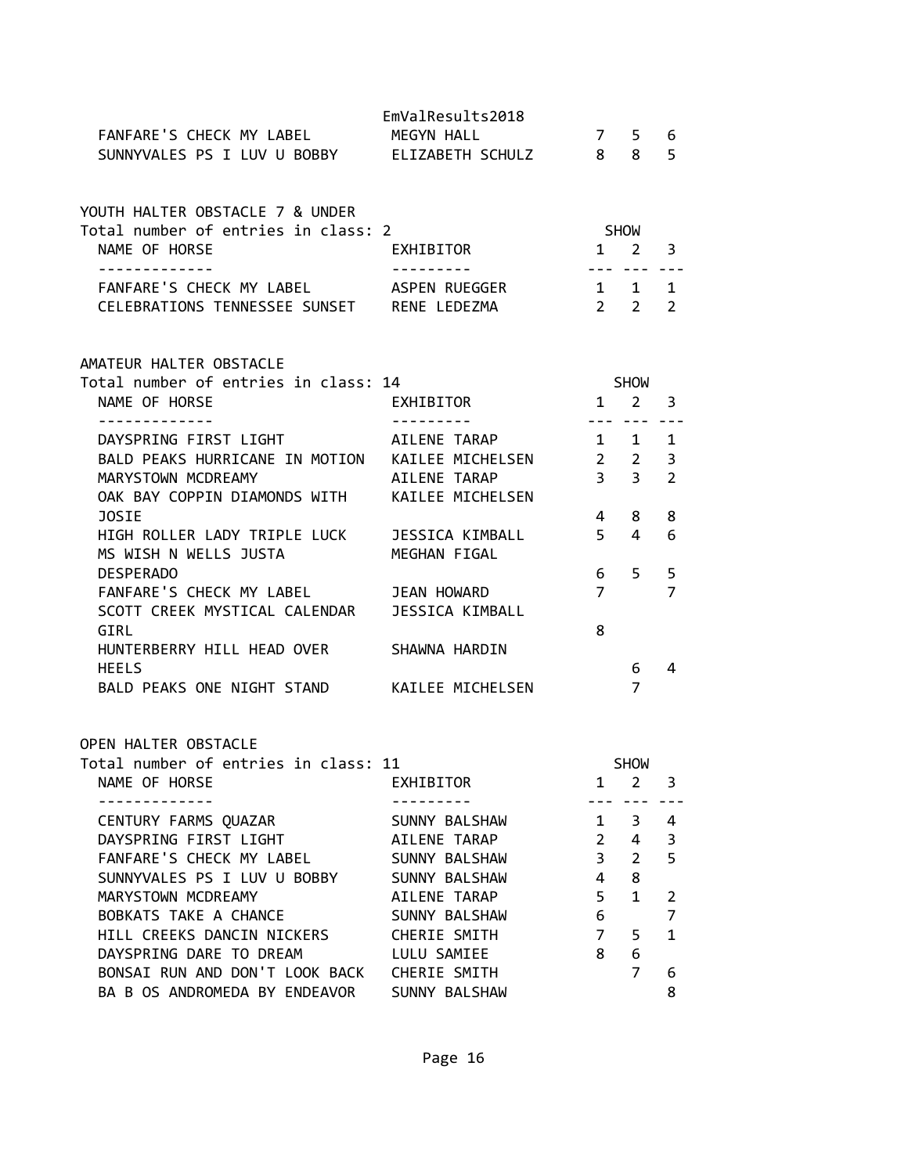| FANFARE'S CHECK MY LABEL<br>SUNNYVALES PS I LUV U BOBBY ELIZABETH SCHULZ 8                                                                                       | EmValResults2018<br>MEGYN HALL  | 7                   | 5<br>8                                                                                                                                                                                                                                                                                                                                                                                                                                                                                    | 6<br>5                              |  |
|------------------------------------------------------------------------------------------------------------------------------------------------------------------|---------------------------------|---------------------|-------------------------------------------------------------------------------------------------------------------------------------------------------------------------------------------------------------------------------------------------------------------------------------------------------------------------------------------------------------------------------------------------------------------------------------------------------------------------------------------|-------------------------------------|--|
| YOUTH HALTER OBSTACLE 7 & UNDER<br>Total number of entries in class: 2                                                                                           |                                 | <b>SHOW</b>         |                                                                                                                                                                                                                                                                                                                                                                                                                                                                                           |                                     |  |
| NAME OF HORSE                                                                                                                                                    | EXHIBITOR<br>----------         |                     | $1 \quad 2$<br>$\frac{1}{2} \left( \frac{1}{2} \right) \left( \frac{1}{2} \right) \left( \frac{1}{2} \right) \left( \frac{1}{2} \right) \left( \frac{1}{2} \right) \left( \frac{1}{2} \right) \left( \frac{1}{2} \right) \left( \frac{1}{2} \right) \left( \frac{1}{2} \right) \left( \frac{1}{2} \right) \left( \frac{1}{2} \right) \left( \frac{1}{2} \right) \left( \frac{1}{2} \right) \left( \frac{1}{2} \right) \left( \frac{1}{2} \right) \left( \frac{1}{2} \right) \left( \frac$ | $\overline{\mathbf{3}}$             |  |
| FANFARE'S CHECK MY LABEL<br>CELEBRATIONS TENNESSEE SUNSET RENE LEDEZMA                                                                                           | ASPEN RUEGGER                   |                     | 1 1<br>$2 \quad 2$                                                                                                                                                                                                                                                                                                                                                                                                                                                                        | $\mathbf{1}$<br>$\overline{2}$      |  |
| AMATEUR HALTER OBSTACLE<br>Total number of entries in class: 14                                                                                                  |                                 |                     | <b>SHOW</b>                                                                                                                                                                                                                                                                                                                                                                                                                                                                               |                                     |  |
| NAME OF HORSE                                                                                                                                                    | EXHIBITOR                       |                     | $1 \quad 2$                                                                                                                                                                                                                                                                                                                                                                                                                                                                               | 3                                   |  |
| -------------<br>DAYSPRING FIRST LIGHT<br>BALD PEAKS HURRICANE IN MOTION KAILEE MICHELSEN<br>MARYSTOWN MCDREAMY<br>OAK BAY COPPIN DIAMONDS WITH KAILEE MICHELSEN | AILENE TARAP<br>AILENE TARAP    | 3 <sup>7</sup>      | $1 \quad 1$<br>$2 \quad 2$<br>3 <sup>7</sup>                                                                                                                                                                                                                                                                                                                                                                                                                                              | $- - -$<br>1<br>3<br>$\overline{2}$ |  |
| JOSIE                                                                                                                                                            |                                 | 4                   | 8                                                                                                                                                                                                                                                                                                                                                                                                                                                                                         | 8                                   |  |
| HIGH ROLLER LADY TRIPLE LUCK<br>MS WISH N WELLS JUSTA                                                                                                            | JESSICA KIMBALL<br>MEGHAN FIGAL | 5 <sup>7</sup>      | 4                                                                                                                                                                                                                                                                                                                                                                                                                                                                                         | 6                                   |  |
| <b>DESPERADO</b><br>FANFARE'S CHECK MY LABEL JEAN HOWARD<br>SCOTT CREEK MYSTICAL CALENDAR                                                                        | <b>JESSICA KIMBALL</b>          | 6<br>$\overline{7}$ | 5.                                                                                                                                                                                                                                                                                                                                                                                                                                                                                        | 5<br>$\overline{7}$                 |  |
| GIRL<br>HUNTERBERRY HILL HEAD OVER                                                                                                                               | SHAWNA HARDIN                   | 8                   |                                                                                                                                                                                                                                                                                                                                                                                                                                                                                           |                                     |  |
| <b>HEELS</b><br>BALD PEAKS ONE NIGHT STAND KAILEE MICHELSEN                                                                                                      |                                 |                     | 6<br>$\overline{7}$                                                                                                                                                                                                                                                                                                                                                                                                                                                                       | 4                                   |  |
| OPEN HALTER OBSTACLE                                                                                                                                             |                                 |                     |                                                                                                                                                                                                                                                                                                                                                                                                                                                                                           |                                     |  |
| Total number of entries in class: 11<br>NAME OF HORSE                                                                                                            | EXHIBITOR                       | $\mathbf{1}$        | <b>SHOW</b><br>$\overline{2}$                                                                                                                                                                                                                                                                                                                                                                                                                                                             | 3                                   |  |
|                                                                                                                                                                  |                                 |                     |                                                                                                                                                                                                                                                                                                                                                                                                                                                                                           |                                     |  |
| CENTURY FARMS QUAZAR                                                                                                                                             | SUNNY BALSHAW                   | $\mathbf{1}$        | 3                                                                                                                                                                                                                                                                                                                                                                                                                                                                                         | 4                                   |  |
| DAYSPRING FIRST LIGHT<br>FANFARE'S CHECK MY LABEL                                                                                                                | AILENE TARAP<br>SUNNY BALSHAW   | $\overline{2}$<br>3 | 4<br>$\overline{2}$                                                                                                                                                                                                                                                                                                                                                                                                                                                                       | 3<br>5                              |  |
| SUNNYVALES PS I LUV U BOBBY                                                                                                                                      | SUNNY BALSHAW                   | 4                   | 8                                                                                                                                                                                                                                                                                                                                                                                                                                                                                         |                                     |  |
| MARYSTOWN MCDREAMY                                                                                                                                               | AILENE TARAP                    | 5                   | $\mathbf{1}$                                                                                                                                                                                                                                                                                                                                                                                                                                                                              | 2                                   |  |
| BOBKATS TAKE A CHANCE                                                                                                                                            | SUNNY BALSHAW                   | 6                   |                                                                                                                                                                                                                                                                                                                                                                                                                                                                                           | 7                                   |  |
| HILL CREEKS DANCIN NICKERS                                                                                                                                       | CHERIE SMITH                    | $\overline{7}$      | 5                                                                                                                                                                                                                                                                                                                                                                                                                                                                                         | $\mathbf{1}$                        |  |
| DAYSPRING DARE TO DREAM                                                                                                                                          | LULU SAMIEE                     | 8                   | 6                                                                                                                                                                                                                                                                                                                                                                                                                                                                                         |                                     |  |
| BONSAI RUN AND DON'T LOOK BACK                                                                                                                                   | CHERIE SMITH                    |                     | 7                                                                                                                                                                                                                                                                                                                                                                                                                                                                                         | 6                                   |  |
| BA B OS ANDROMEDA BY ENDEAVOR                                                                                                                                    | SUNNY BALSHAW                   |                     |                                                                                                                                                                                                                                                                                                                                                                                                                                                                                           | 8                                   |  |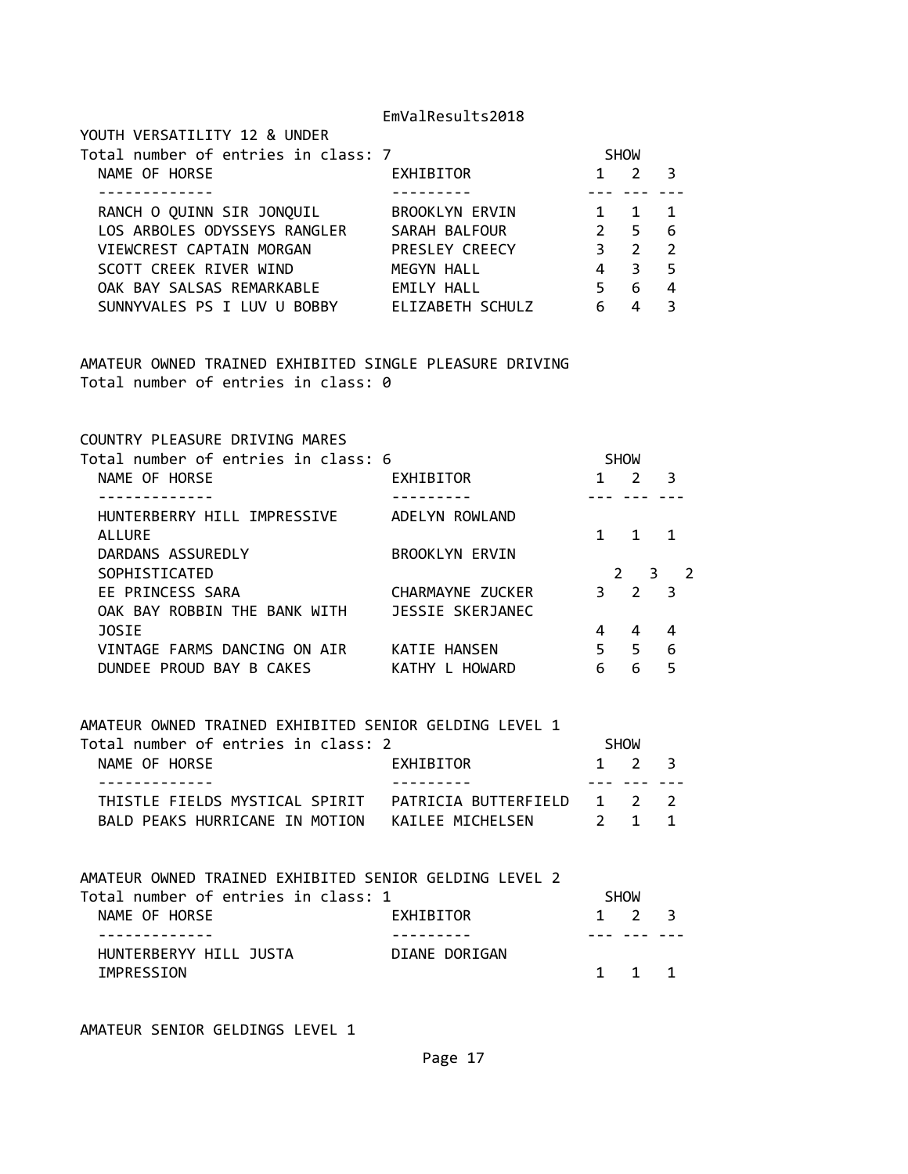| YOUTH VERSATILITY 12 & UNDER        |                       |              |               |                |
|-------------------------------------|-----------------------|--------------|---------------|----------------|
| Total number of entries in class: 7 |                       |              | <b>SHOW</b>   |                |
| NAME OF HORSE                       | EXHIBITOR             | $\mathbf{1}$ | $\mathcal{L}$ | 3              |
|                                     |                       |              |               |                |
| RANCH O QUINN SIR JONQUIL           | <b>BROOKLYN ERVIN</b> |              |               |                |
| LOS ARBOLES ODYSSEYS RANGLER        | SARAH BALFOUR         | 2            | 5             | - 6            |
| VIEWCREST CAPTAIN MORGAN            | PRESLEY CREECY        | 3            | 2             | -2             |
| SCOTT CREEK RIVER WIND              | MEGYN HALL            | 4            | 3             | 5 <sup>5</sup> |
| OAK BAY SALSAS REMARKABLE           | EMILY HALL            | 5            | 6             | 4              |
| SUNNYVALES PS I LUV U BOBBY         | ELIZABETH SCHULZ      | 6            |               | З              |

AMATEUR OWNED TRAINED EXHIBITED SINGLE PLEASURE DRIVING Total number of entries in class: 0

COUNTRY PLEASURE DRIVING MARES

| Total number of entries in class: 6 |                       |    | <b>SHOW</b>        |                         |
|-------------------------------------|-----------------------|----|--------------------|-------------------------|
| NAME OF HORSE                       | <b>EXHIBITOR</b>      |    | $\mathcal{P}$      |                         |
|                                     |                       |    |                    |                         |
| HUNTERBERRY HILL IMPRESSIVE         | ADELYN ROWLAND        |    |                    |                         |
| <b>ALLURE</b>                       |                       |    | 1                  |                         |
| DARDANS ASSUREDLY                   | <b>BROOKLYN ERVIN</b> |    |                    |                         |
| SOPHISTICATED                       |                       |    | $\mathcal{P}$<br>3 |                         |
| EE PRINCESS SARA                    | CHARMAYNE ZUCKER      | 3  | $\overline{2}$     | $\overline{\mathbf{3}}$ |
| OAK BAY ROBBIN THE BANK WITH        | JESSIE SKERJANEC      |    |                    |                         |
| <b>JOSIE</b>                        |                       | 4  | 4                  |                         |
| VINTAGE FARMS DANCING ON AIR        | KATIE HANSEN          | 5. | 5                  | 6                       |
| DUNDEE PROUD BAY B CAKES            | HOWARD<br>KATHY L     | 6  | 6                  |                         |

AMATEUR OWNED TRAINED EXHIBITED SENIOR GELDING LEVEL 1

| Total number of entries in class: 2             |           | <b>SHOW</b>         |  |
|-------------------------------------------------|-----------|---------------------|--|
| NAME OF HORSE                                   | EXHIBITOR | $1 \quad 2 \quad 3$ |  |
|                                                 |           |                     |  |
|                                                 |           |                     |  |
| BALD PEAKS HURRICANE IN MOTION KAILEE MICHELSEN |           | 2 1 1               |  |
|                                                 |           |                     |  |

AMATEUR OWNED TRAINED EXHIBITED SENIOR GELDING LEVEL 2 Total number of entries in class: 1 SHOW NAME OF HORSE **EXHIBITOR** 1 2 3 ------------- --------- --- --- --- HUNTERBERYY HILL JUSTA DIANE DORIGAN IMPRESSION 1 1 1

AMATEUR SENIOR GELDINGS LEVEL 1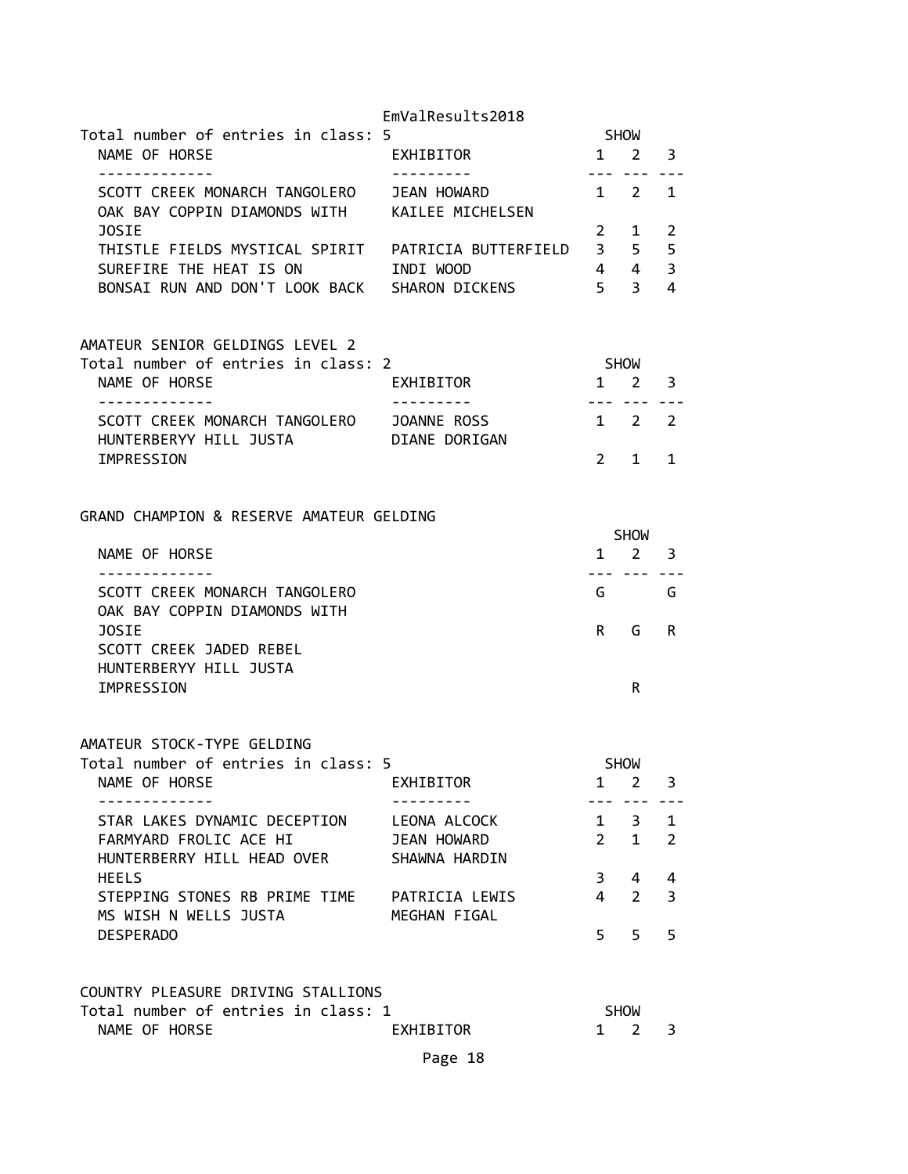|                                                                                | EmValResults2018       |                         |                |              |
|--------------------------------------------------------------------------------|------------------------|-------------------------|----------------|--------------|
| Total number of entries in class: 5                                            |                        |                         | <b>SHOW</b>    |              |
| NAME OF HORSE<br>-------------                                                 | EXHIBITOR<br>--------- | $\mathbf{1}$<br>$- - -$ | $\overline{2}$ | 3            |
| SCOTT CREEK MONARCH TANGOLERO<br>OAK BAY COPPIN DIAMONDS WITH KAILEE MICHELSEN | JEAN HOWARD            |                         | $1 \quad 2$    | 1            |
| JOSIE                                                                          |                        | $2^{\circ}$             | 1              | 2            |
|                                                                                |                        | 3 <sup>7</sup>          | 5              | 5            |
| SUREFIRE THE HEAT IS ON                                                        | INDI WOOD              |                         | 4 4            | 3            |
| BONSAI RUN AND DON'T LOOK BACK SHARON DICKENS                                  |                        | 5 <sub>1</sub>          | 3 <sup>7</sup> | 4            |
| AMATEUR SENIOR GELDINGS LEVEL 2                                                |                        |                         |                |              |
| Total number of entries in class: 2                                            |                        |                         | SHOW           |              |
| NAME OF HORSE                                                                  | EXHIBITOR              |                         | $1 \quad 2$    | 3            |
| -------------                                                                  |                        | $- - -$                 | $- - -$        |              |
| SCOTT CREEK MONARCH TANGOLERO                                                  | JOANNE ROSS            |                         | $1 \quad 2$    | 2            |
| HUNTERBERYY HILL JUSTA                                                         | DIANE DORIGAN          |                         |                |              |
| IMPRESSION                                                                     |                        | $2^{\circ}$             | 1              | $\mathbf{1}$ |
| GRAND CHAMPION & RESERVE AMATEUR GELDING                                       |                        |                         |                |              |
|                                                                                |                        |                         | <b>SHOW</b>    |              |
| NAME OF HORSE                                                                  |                        | $\mathbf{1}$            | $2^{\circ}$    | 3            |
| -------------                                                                  |                        |                         | --- --- ---    |              |
| SCOTT CREEK MONARCH TANGOLERO<br>OAK BAY COPPIN DIAMONDS WITH                  |                        |                         | G              | G            |
| <b>JOSIE</b><br>SCOTT CREEK JADED REBEL                                        |                        | R                       | G              | R            |
| HUNTERBERYY HILL JUSTA                                                         |                        |                         |                |              |
| IMPRESSION                                                                     |                        |                         | R              |              |
| AMATEUR STOCK-TYPE GELDING                                                     |                        |                         |                |              |
| Total number of entries in class: 5                                            |                        |                         | <b>SHOW</b>    |              |
| NAME OF HORSE                                                                  | EXHIBITOR              | $\mathbf{1}$            | 2              | 3            |
| STAR LAKES DYNAMIC DECEPTION                                                   | LEONA ALCOCK           | $\mathbf{1}$            | 3              | $\mathbf{1}$ |
| FARMYARD FROLIC ACE HI                                                         | JEAN HOWARD            | $\overline{2}$          | $\mathbf{1}$   | 2            |
| HUNTERBERRY HILL HEAD OVER                                                     | SHAWNA HARDIN          |                         |                |              |
| <b>HEELS</b>                                                                   |                        | 3                       | 4              | 4            |
| STEPPING STONES RB PRIME TIME                                                  | PATRICIA LEWIS         | 4                       | $\overline{2}$ | 3            |
| MS WISH N WELLS JUSTA                                                          | MEGHAN FIGAL           |                         |                |              |
| <b>DESPERADO</b>                                                               |                        | 5                       | 5              | 5            |
|                                                                                |                        |                         |                |              |
| COUNTRY PLEASURE DRIVING STALLIONS                                             |                        |                         |                |              |
| Total number of entries in class: 1                                            |                        |                         | <b>SHOW</b>    |              |
| NAME OF HORSE                                                                  | EXHIBITOR              | $\mathbf{1}$            | 2              | 3            |
|                                                                                | Page 18                |                         |                |              |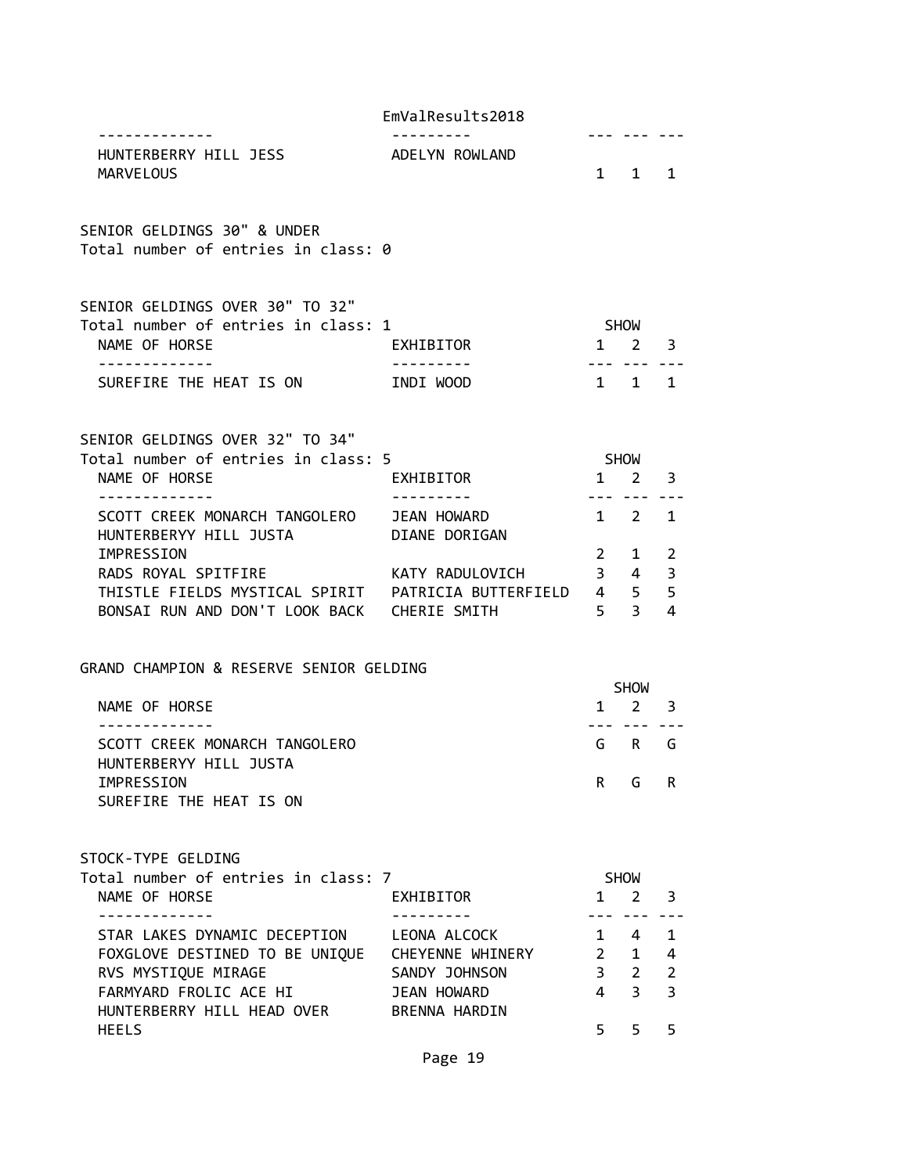|  |  | EmValResults2018 |
|--|--|------------------|
|--|--|------------------|

| HUNTERBERRY HILL JESS<br><b>MARVELOUS</b>                                                                | ADELYN ROWLAND                               |                     | $1 \quad 1 \quad 1$                |                |
|----------------------------------------------------------------------------------------------------------|----------------------------------------------|---------------------|------------------------------------|----------------|
| SENIOR GELDINGS 30" & UNDER<br>Total number of entries in class: 0                                       |                                              |                     |                                    |                |
| SENIOR GELDINGS OVER 30" TO 32"<br>Total number of entries in class: 1                                   |                                              |                     | SHOW                               |                |
| NAME OF HORSE                                                                                            | EXHIBITOR                                    | $1 \quad 2 \quad 3$ |                                    |                |
| ------------<br>SUREFIRE THE HEAT IS ON INDI WOOD                                                        | .                                            |                     | --- --- ---<br>$1 \quad 1 \quad 1$ |                |
| SENIOR GELDINGS OVER 32" TO 34"<br>Total number of entries in class: 5<br>NAME OF HORSE                  | EXHIBITOR                                    | SHOW                | $1 \quad 2 \quad 3$                |                |
| <u> - - - - - - - - - - - - -</u><br>SCOTT CREEK MONARCH TANGOLERO JEAN HOWARD<br>HUNTERBERYY HILL JUSTA | <u> - - - - - - - - - -</u><br>DIANE DORIGAN | $1 \quad 2 \quad 1$ | --- ---                            |                |
| IMPRESSION                                                                                               |                                              |                     | $2 \quad 1$                        | $\overline{2}$ |
| RADS ROYAL SPITFIRE                                                                                      | KATY RADULOVICH                              |                     | $3 \quad 4$                        | $\overline{3}$ |
| BONSAI RUN AND DON'T LOOK BACK CHERIE SMITH                                                              | 5 <sup>5</sup>                               |                     |                                    | 5<br>4         |
| GRAND CHAMPION & RESERVE SENIOR GELDING<br>NAME OF HORSE                                                 |                                              |                     | <b>SHOW</b><br>$1 \quad 2 \quad 3$ |                |
| SCOTT CREEK MONARCH TANGOLERO<br>HUNTERBERYY HILL JUSTA                                                  |                                              |                     | --- ---<br>GRG                     |                |
| IMPRESSION<br>SUREFIRE THE HEAT IS ON                                                                    |                                              | R —                 | G                                  | R              |
| STOCK-TYPE GELDING<br>Total number of entries in class: 7<br>NAME OF HORSE                               | EXHIBITOR                                    | $1 \quad$           | <b>SHOW</b><br>2                   | 3              |
| - - - - - - - - - - - - -                                                                                | --------                                     |                     |                                    |                |
| STAR LAKES DYNAMIC DECEPTION                                                                             | LEONA ALCOCK                                 | $2^{\circ}$         | 1 4<br>$\mathbf{1}$                | 1<br>4         |
| FOXGLOVE DESTINED TO BE UNIQUE<br>RVS MYSTIQUE MIRAGE                                                    | CHEYENNE WHINERY<br>SANDY JOHNSON            | 3 <sup>7</sup>      | $2^{\circ}$                        | $\overline{2}$ |
| FARMYARD FROLIC ACE HI                                                                                   | JEAN HOWARD                                  | $\overline{4}$      | $\overline{3}$                     | $\overline{3}$ |
| HUNTERBERRY HILL HEAD OVER<br><b>HEELS</b>                                                               | <b>BRENNA HARDIN</b>                         | 5.                  | 5                                  | 5              |
|                                                                                                          |                                              |                     |                                    |                |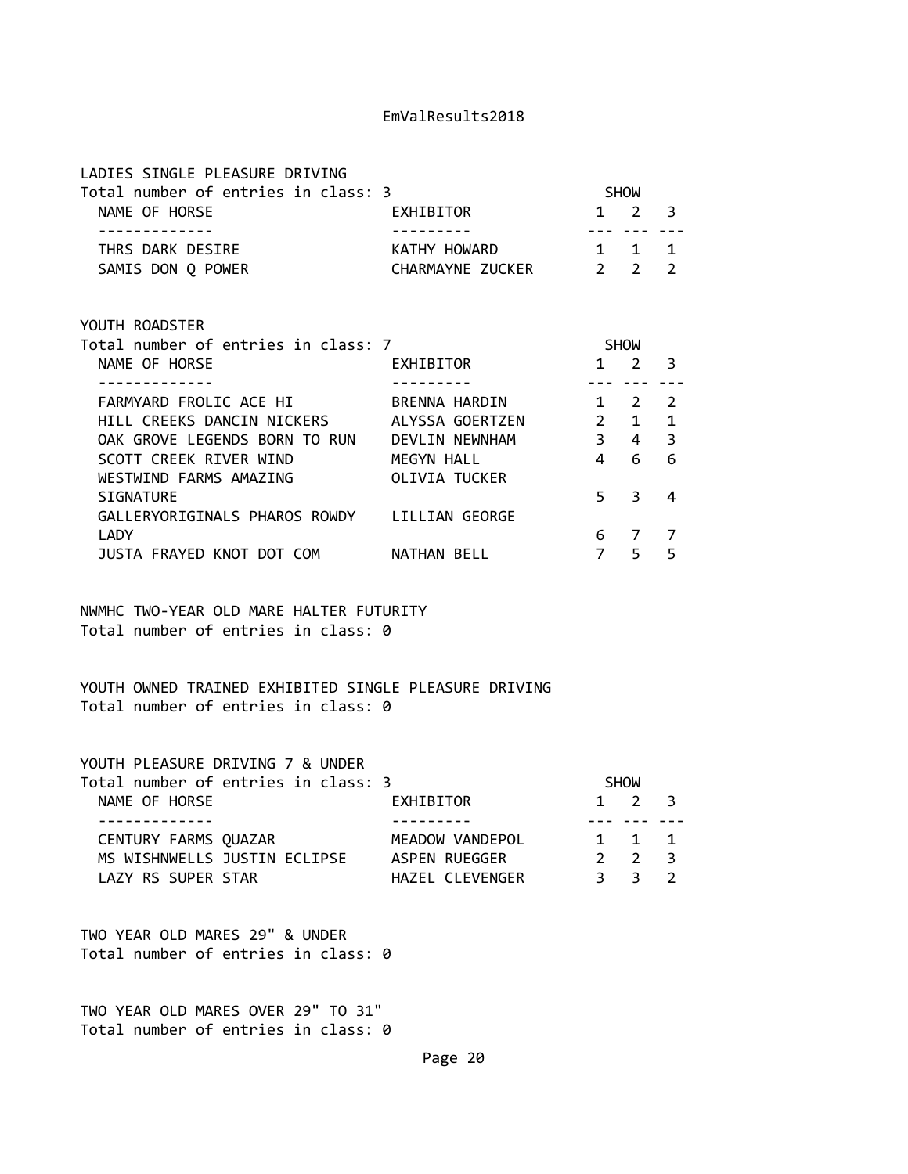LADIES SINGLE PLEASURE DRIVING

VOUTH BOADCTER

| Total number of entries in class: 3 |                  | <b>SHOW</b>         |  |
|-------------------------------------|------------------|---------------------|--|
| NAME OF HORSE                       | EXHIBITOR        | $1 \quad 2 \quad 3$ |  |
|                                     |                  |                     |  |
| THRS DARK DESIRE                    | KATHY HOWARD     | 1 1 1               |  |
| SAMIS DON Q POWER                   | CHARMAYNE ZUCKER | $2 \quad 2 \quad 2$ |  |

| TUUIN NUAUSIEN                      |                  |               |               |   |  |
|-------------------------------------|------------------|---------------|---------------|---|--|
| Total number of entries in class: 7 |                  |               | <b>SHOW</b>   |   |  |
| NAME OF HORSE                       | <b>EXHIBITOR</b> |               | 2             | 3 |  |
|                                     |                  |               |               |   |  |
| FARMYARD FROLIC ACE HI              | BRENNA HARDIN    |               | $\mathcal{L}$ | 2 |  |
| HILL CREEKS DANCIN NICKERS          | ALYSSA GOERTZEN  | $\mathcal{P}$ | 1             | 1 |  |
| OAK GROVE LEGENDS BORN TO RUN       | DEVLIN NEWNHAM   | 3             | 4             | 3 |  |
| SCOTT CREEK RIVER WIND              | MEGYN HALL       | 4             | 6             | 6 |  |
| WESTWIND FARMS AMAZING              | OLIVIA TUCKER    |               |               |   |  |
| <b>SIGNATURE</b>                    |                  | 5             | 3             | 4 |  |
| GALLERYORIGINALS PHAROS ROWDY       | LILLIAN GEORGE   |               |               |   |  |
| LADY                                |                  | 6             |               |   |  |
| JUSTA FRAYED KNOT DOT COM           | NATHAN BELL      |               | 5             | 5 |  |
|                                     |                  |               |               |   |  |

NWMHC TWO-YEAR OLD MARE HALTER FUTURITY Total number of entries in class: 0

YOUTH OWNED TRAINED EXHIBITED SINGLE PLEASURE DRIVING Total number of entries in class: 0

YOUTH PLEASURE DRIVING 7 & UNDER

|                      | Total number of entries in class: 3 |                 | <b>SHOW</b>           |  |
|----------------------|-------------------------------------|-----------------|-----------------------|--|
| NAME OF HORSE        |                                     | EXHIBITOR       | $1 \t2 \t3$           |  |
|                      |                                     |                 |                       |  |
| CENTURY FARMS QUAZAR |                                     | MEADOW VANDEPOL | 1 1 1                 |  |
|                      | MS WISHNWELLS JUSTIN ECLIPSE        | ASPEN RUEGGER   | $2 \times 2 \times 3$ |  |
| LAZY RS SUPER STAR   |                                     | HAZEL CLEVENGER | २२२)                  |  |

TWO YEAR OLD MARES 29" & UNDER Total number of entries in class: 0

TWO YEAR OLD MARES OVER 29" TO 31" Total number of entries in class: 0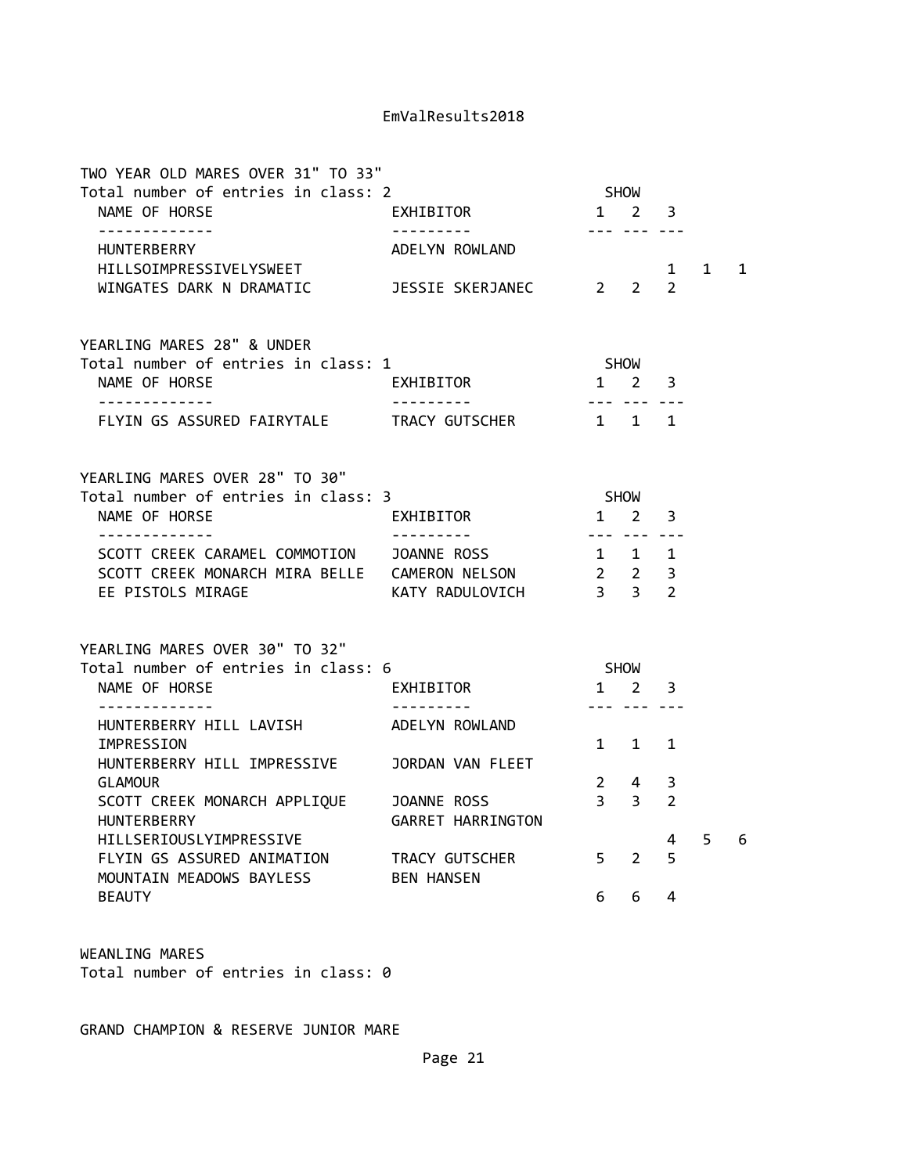| TWO YEAR OLD MARES OVER 31" TO 33"                             |                                     |                                                         |                                    |                     |              |   |
|----------------------------------------------------------------|-------------------------------------|---------------------------------------------------------|------------------------------------|---------------------|--------------|---|
| Total number of entries in class: 2                            |                                     |                                                         | <b>SHOW</b>                        |                     |              |   |
| NAME OF HORSE<br>-------------                                 | EXHIBITOR                           | $1 \quad 2$                                             | --- --- ---                        | 3                   |              |   |
| HUNTERBERRY<br>HILLSOIMPRESSIVELYSWEET                         | ADELYN ROWLAND                      |                                                         |                                    | $\mathbf{1}$        | $\mathbf{1}$ | 1 |
| WINGATES DARK N DRAMATIC   JESSIE SKERJANEC   2 2              |                                     |                                                         |                                    | $\mathcal{P}$       |              |   |
| YEARLING MARES 28" & UNDER                                     |                                     |                                                         |                                    |                     |              |   |
| Total number of entries in class: 1<br>NAME OF HORSE           | EXHIBITOR                           |                                                         | <b>SHOW</b><br>$1 \quad 2 \quad 3$ |                     |              |   |
| -------------<br>FLYIN GS ASSURED FAIRYTALE TRACY GUTSCHER     |                                     | . <b>.</b><br>$1 \quad 1 \quad 1$                       |                                    |                     |              |   |
| YEARLING MARES OVER 28" TO 30"                                 |                                     |                                                         |                                    |                     |              |   |
| Total number of entries in class: 3<br>NAME OF HORSE           | EXHIBITOR                           | <b>SHOW</b>                                             | $1 \quad 2 \quad 3$                |                     |              |   |
| -------------<br>SCOTT CREEK CARAMEL COMMOTION JOANNE ROSS     |                                     | .<br>1 1 1                                              |                                    |                     |              |   |
| SCOTT CREEK MONARCH MIRA BELLE CAMERON NELSON                  |                                     |                                                         |                                    |                     |              |   |
| EE PISTOLS MIRAGE                                              | KATY RADULOVICH                     | $\begin{array}{ccc} 2 & 2 & 3 \\ 3 & 3 & 2 \end{array}$ |                                    |                     |              |   |
| YEARLING MARES OVER 30" TO 32"                                 |                                     |                                                         |                                    |                     |              |   |
| Total number of entries in class: 6<br>NAME OF HORSE           | EXHIBITOR                           | <b>SHOW</b><br>$1 \quad 2$                              |                                    | 3                   |              |   |
| -------------                                                  |                                     |                                                         | --- --- ---                        |                     |              |   |
| HUNTERBERRY HILL LAVISH ADELYN ROWLAND                         |                                     |                                                         |                                    |                     |              |   |
| IMPRESSION                                                     |                                     | $1 \quad$                                               | $1 \quad$                          | $\mathbf{1}$        |              |   |
| HUNTERBERRY HILL IMPRESSIVE                                    | JORDAN VAN FLEET                    |                                                         |                                    |                     |              |   |
| <b>GLAMOUR</b>                                                 |                                     | 3 <sup>7</sup>                                          | $2 \quad 4$<br>3 <sup>7</sup>      | 3<br>$\overline{2}$ |              |   |
| SCOTT CREEK MONARCH APPLIQUE JOANNE ROSS<br><b>HUNTERBERRY</b> | GARRET HARRINGTON                   |                                                         |                                    |                     |              |   |
| HILLSERIOUSLYIMPRESSIVE                                        |                                     |                                                         |                                    | 4                   | 5.           | 6 |
| FLYIN GS ASSURED ANIMATION<br>MOUNTAIN MEADOWS BAYLESS         | TRACY GUTSCHER<br><b>BEN HANSEN</b> | 5 <sup>7</sup>                                          | 2                                  | 5                   |              |   |
| <b>BEAUTY</b>                                                  |                                     | 6                                                       | 6                                  | 4                   |              |   |

WEANLING MARES Total number of entries in class: 0

GRAND CHAMPION & RESERVE JUNIOR MARE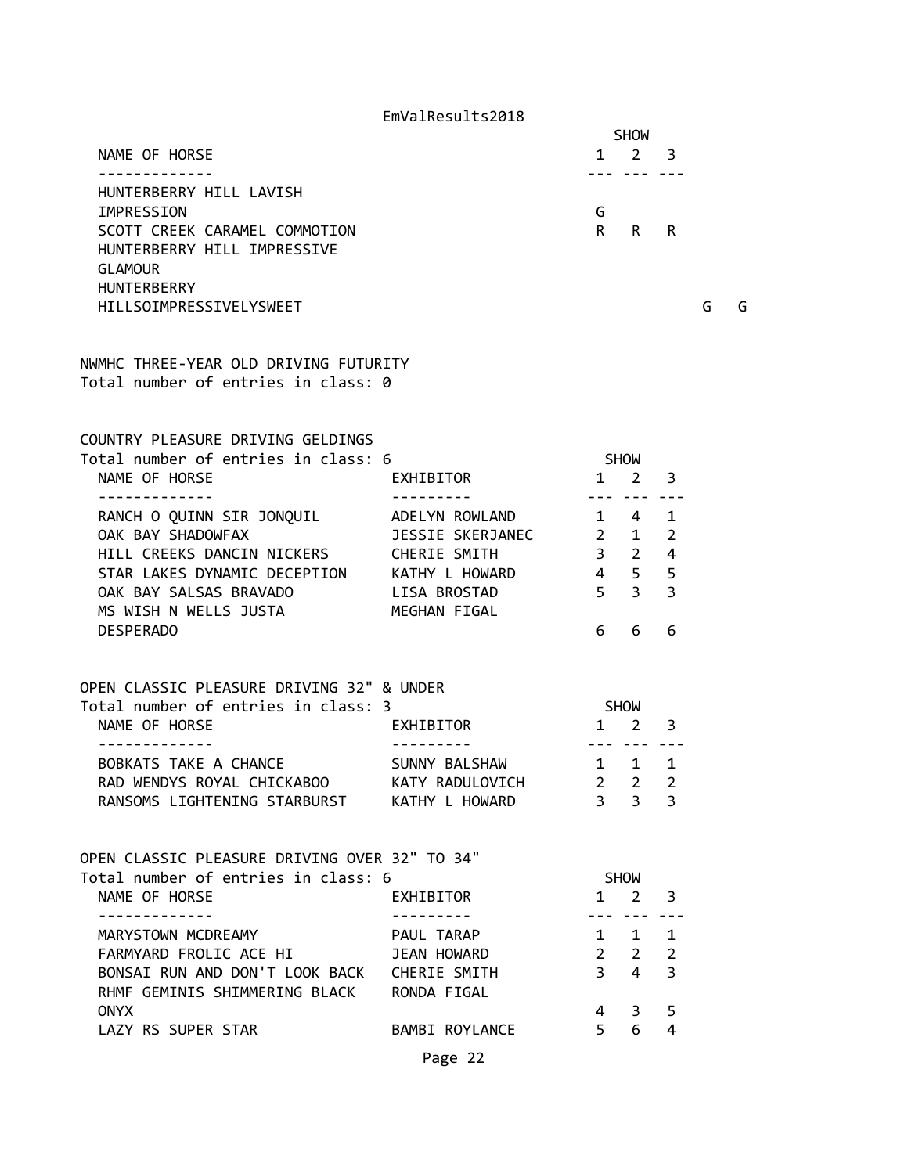|                               | <b>SHOW</b>                          |
|-------------------------------|--------------------------------------|
| NAME OF HORSE                 | $\mathcal{L}$<br>- 3<br>$\mathbf{1}$ |
|                               |                                      |
| HUNTERBERRY HILL LAVISH       |                                      |
| IMPRESSION                    | G                                    |
| SCOTT CREEK CARAMEL COMMOTION | R.<br>R<br>R                         |
| HUNTERBERRY HILL IMPRESSIVE   |                                      |
| <b>GLAMOUR</b>                |                                      |
| <b>HUNTERBERRY</b>            |                                      |

HILLSOIMPRESSIVELYSWEET G G

NWMHC THREE-YEAR OLD DRIVING FUTURITY Total number of entries in class: 0

COUNTRY PLEASURE DRIVING GELDINGS

| Total number of entries in class: 6                                                               |                  | <b>SHOW</b>              |     |                         |
|---------------------------------------------------------------------------------------------------|------------------|--------------------------|-----|-------------------------|
| NAME OF HORSE                                                                                     | EXHIBITOR        | $1 \quad 2 \quad 3$      |     |                         |
| RANCH O QUINN SIR JONQUIL ADELYN ROWLAND 1 4                                                      |                  | بالمستنا بمستنا المستنان |     | $\mathbf{1}$            |
| OAK BAY SHADOWFAX <b>DESSIE SKERJANEC</b> 2 1                                                     |                  |                          |     | $\overline{2}$          |
| HILL CREEKS DANCIN NICKERS CHERIE SMITH                                                           |                  | 3 <sub>2</sub>           |     | $\overline{\mathbf{4}}$ |
| STAR LAKES DYNAMIC DECEPTION KATHY L HOWARD 4 5 5                                                 |                  |                          |     |                         |
| OAK BAY SALSAS BRAVADO LISA BROSTAD                                                               |                  | 5 <sup>3</sup>           |     | $\overline{3}$          |
| MS WISH N WELLS JUSTA MEGHAN FIGAL                                                                |                  |                          |     |                         |
| <b>DESPERADO</b>                                                                                  |                  | 6 —                      | 6   | 6                       |
|                                                                                                   |                  |                          |     |                         |
|                                                                                                   |                  |                          |     |                         |
| OPEN CLASSIC PLEASURE DRIVING 32" & UNDER<br>Total number of entries in class: 3                  |                  | <b>SHOW</b>              |     |                         |
| NAME OF HORSE                                                                                     | <b>EXHIBITOR</b> | $1\quad 2$               |     | 3                       |
|                                                                                                   |                  |                          |     |                         |
| BOBKATS TAKE A CHANCE SUNNY BALSHAW 1 1 1                                                         |                  |                          |     |                         |
| RAD WENDYS ROYAL CHICKABOO KATY RADULOVICH 2 2<br>PANCOMS LIGHTENING STARBURST KATHY L HOWARD 3 3 |                  |                          |     | $\overline{2}$          |
|                                                                                                   |                  |                          |     | $\overline{3}$          |
|                                                                                                   |                  |                          |     |                         |
|                                                                                                   |                  |                          |     |                         |
| OPEN CLASSIC PLEASURE DRIVING OVER 32" TO 34"<br>Total number of entries in class: 6              |                  | <b>SHOW</b>              |     |                         |
| NAME OF HORSE<br><b>EXHIBITOR</b>                                                                 |                  | $1\quad 2$               |     | 3                       |
| . <u>.</u>                                                                                        |                  |                          |     |                         |
| MARYSTOWN MCDREAMY MARYSTOWN MCDREAMY                                                             |                  |                          | 1 1 | $\mathbf{1}$            |
| FARMYARD FROLIC ACE HI JEAN HOWARD                                                                |                  | $2\quad 2$               |     | 2                       |
| BONSAI RUN AND DON'T LOOK BACK CHERIE SMITH                                                       |                  | $3 \quad 4$              |     | $\overline{3}$          |
| RHMF GEMINIS SHIMMERING BLACK RONDA FIGAL                                                         |                  |                          |     |                         |
| <b>ONYX</b>                                                                                       |                  |                          | 4 3 | 5                       |
| LAZY RS SUPER STAR BAMBI ROYLANCE 5 6                                                             |                  |                          |     | 4                       |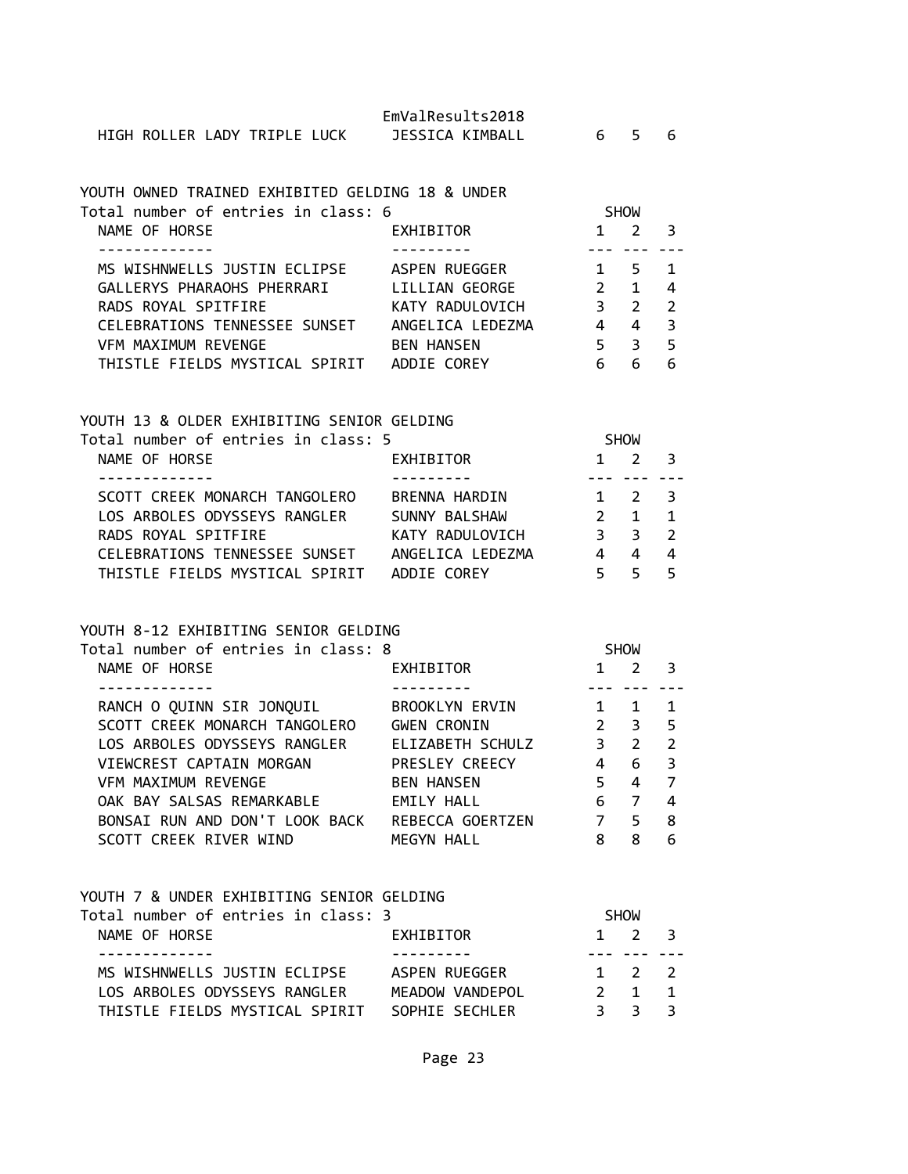## YOUTH OWNED TRAINED EXHIBITED GELDING 18 & UNDER

| Total number of entries in class: 6 |                   |               | <b>SHOW</b>   |                |  |
|-------------------------------------|-------------------|---------------|---------------|----------------|--|
| NAME OF HORSE                       | EXHIBITOR         | 1             |               | 3              |  |
|                                     |                   |               |               |                |  |
| MS WISHNWELLS JUSTIN ECLIPSE        | ASPEN RUEGGER     |               | 5             |                |  |
| GALLERYS PHARAOHS PHERRARI          | LILLIAN GEORGE    | $\mathcal{P}$ | 1             | 4              |  |
| RADS ROYAL SPITFIRE                 | KATY RADULOVICH   | З             | $\mathcal{P}$ | $\overline{2}$ |  |
| CELEBRATIONS TENNESSEE SUNSET       | ANGELICA LEDEZMA  |               | 4             | 3              |  |
| VFM MAXIMUM REVENGE                 | <b>BEN HANSEN</b> |               |               | 5              |  |
| THISTLE FIELDS MYSTICAL SPIRIT      | ADDIE COREY       |               |               | 6              |  |

# YOUTH 13 & OLDER EXHIBITING SENIOR GELDING<br>Total number of entries in slass: 5

| Total number of entries in class: 5 |                  | <b>SHOW</b>    |                          |  |
|-------------------------------------|------------------|----------------|--------------------------|--|
| NAME OF HORSE                       | EXHIBITOR        | 2              | $\overline{\mathbf{3}}$  |  |
|                                     |                  |                |                          |  |
| SCOTT CREEK MONARCH TANGOLERO       | BRENNA HARDIN    | $1 \t2 \t3$    |                          |  |
| LOS ARBOLES ODYSSEYS RANGLER        | SUNNY BALSHAW    | $\overline{1}$ | $\blacksquare$           |  |
| RADS ROYAL SPITFIRE                 | KATY RADULOVICH  | 33             | $\overline{\phantom{a}}$ |  |
| CELEBRATIONS TENNESSEE SUNSET       | ANGELICA LEDEZMA | 4              | -4                       |  |
| THISTLE FIELDS MYSTICAL SPIRIT      | ADDIE COREY      |                |                          |  |

## YOUTH 8-12 EXHIBITING SENIOR GELDING

| Total number of entries in class: 8 |                    |               | <b>SHOW</b>   |               |
|-------------------------------------|--------------------|---------------|---------------|---------------|
| NAME OF HORSE                       | EXHIBITOR          |               |               |               |
|                                     |                    |               |               |               |
| RANCH O QUINN SIR JONQUIL           | BROOKLYN ERVIN     |               |               | 1             |
| SCOTT CREEK MONARCH TANGOLERO       | <b>GWEN CRONIN</b> | $\mathcal{P}$ | 3             | 5             |
| LOS ARBOLES ODYSSEYS RANGLER        | ELIZABETH SCHULZ   | 3             | $\mathcal{P}$ | $\mathcal{P}$ |
| VIEWCREST CAPTAIN MORGAN            | PRESLEY CREECY     | 4             | 6             | 3             |
| VFM MAXIMUM REVENGE                 | <b>BEN HANSEN</b>  | 5             | 4             | 7             |
| OAK BAY SALSAS REMARKABLE           | EMILY HALL         | 6             |               | 4             |
| BONSAI RUN AND DON'T LOOK BACK      | REBECCA GOERTZEN   | 7             | 5             | 8             |
| SCOTT CREEK RIVER WIND              | MEGYN HALL         | 8             | 8             | 6             |

| YOUTH 7 & UNDER EXHIBITING SENIOR GELDING |                 |   |                     |  |
|-------------------------------------------|-----------------|---|---------------------|--|
| Total number of entries in class: 3       |                 |   | <b>SHOW</b>         |  |
| NAME OF HORSE                             | EXHIBITOR       |   | $1 \quad 2 \quad 3$ |  |
|                                           |                 |   |                     |  |
| MS WISHNWELLS JUSTIN ECLIPSE              | ASPEN RUEGGER   |   | $1 \quad 2 \quad 2$ |  |
| LOS ARBOLES ODYSSEYS RANGLER              | MEADOW VANDEPOL |   | $\overline{1}$      |  |
| THISTLE FIELDS MYSTICAL SPIRIT            | SOPHIE SECHLER  | ₹ | $\mathcal{R}$       |  |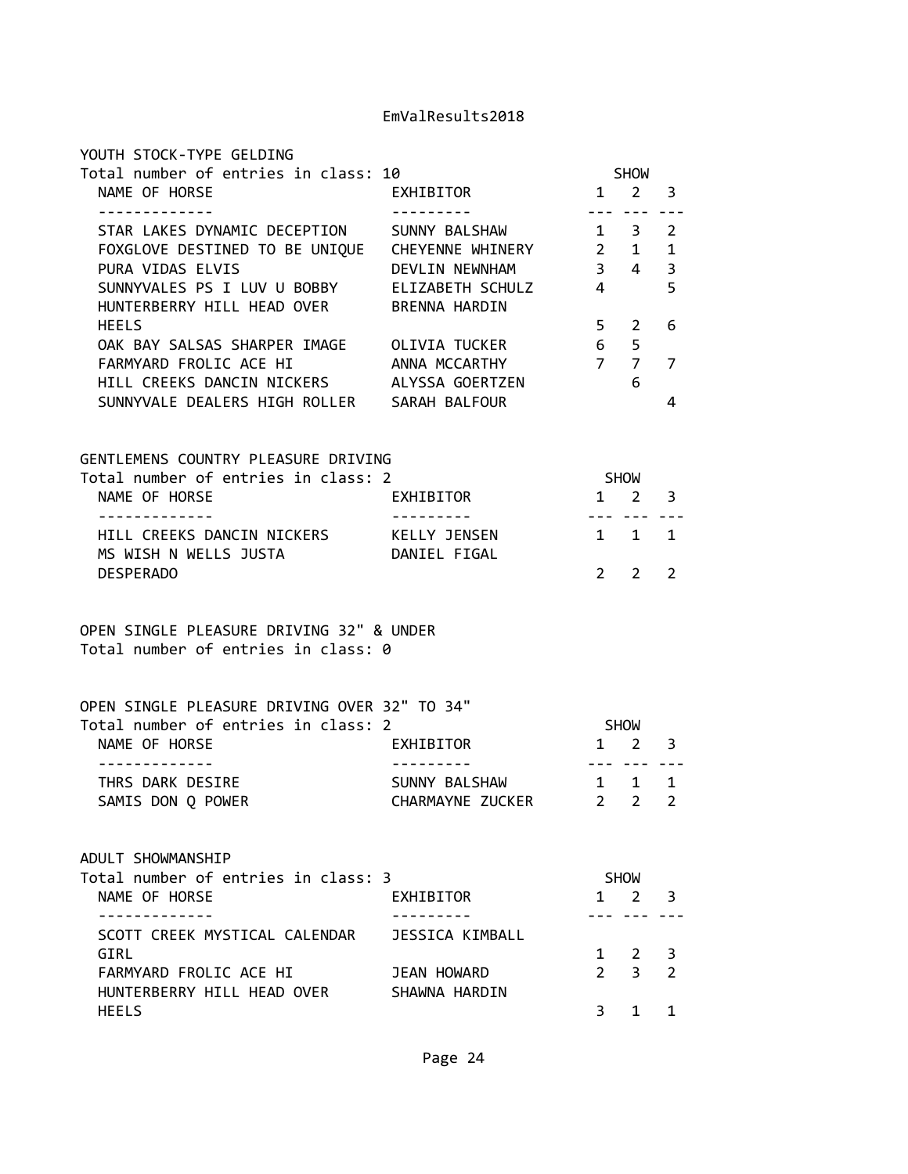| YOUTH STOCK-TYPE GELDING                                                        |                                        |                                                                                                                                                                                                                                                                                                                                                                                                                                                                            |                            |                         |
|---------------------------------------------------------------------------------|----------------------------------------|----------------------------------------------------------------------------------------------------------------------------------------------------------------------------------------------------------------------------------------------------------------------------------------------------------------------------------------------------------------------------------------------------------------------------------------------------------------------------|----------------------------|-------------------------|
| Total number of entries in class: 10<br>NAME OF HORSE                           | EXHIBITOR                              |                                                                                                                                                                                                                                                                                                                                                                                                                                                                            | <b>SHOW</b><br>$1 \quad 2$ | $\overline{\mathbf{3}}$ |
| .                                                                               |                                        | $- - -$                                                                                                                                                                                                                                                                                                                                                                                                                                                                    |                            |                         |
| STAR LAKES DYNAMIC DECEPTION                                                    | SUNNY BALSHAW                          |                                                                                                                                                                                                                                                                                                                                                                                                                                                                            | $1 \quad 3$                | 2                       |
| FOXGLOVE DESTINED TO BE UNIQUE  CHEYENNE WHINERY 2 1                            |                                        |                                                                                                                                                                                                                                                                                                                                                                                                                                                                            |                            | $\mathbf 1$             |
| PURA VIDAS ELVIS                                                                | DEVLIN NEWNHAM                         |                                                                                                                                                                                                                                                                                                                                                                                                                                                                            | $3 \quad 4$                | 3                       |
| SUNNYVALES PS I LUV U BOBBY ELIZABETH SCHULZ                                    |                                        | $\overline{4}$                                                                                                                                                                                                                                                                                                                                                                                                                                                             |                            | 5                       |
| HUNTERBERRY HILL HEAD OVER                                                      | <b>BRENNA HARDIN</b>                   |                                                                                                                                                                                                                                                                                                                                                                                                                                                                            |                            |                         |
| <b>HEELS</b>                                                                    |                                        | 5 <sub>1</sub>                                                                                                                                                                                                                                                                                                                                                                                                                                                             | 2                          | 6                       |
| OAK BAY SALSAS SHARPER IMAGE OLIVIA TUCKER<br>FARMYARD FROLIC ACE HI            | ANNA MCCARTHY                          | $6\overline{6}$<br>7 <sub>7</sub>                                                                                                                                                                                                                                                                                                                                                                                                                                          | 5                          | $\overline{7}$          |
| HILL CREEKS DANCIN NICKERS ALYSSA GOERTZEN                                      |                                        |                                                                                                                                                                                                                                                                                                                                                                                                                                                                            | 6                          |                         |
| SUNNYVALE DEALERS HIGH ROLLER SARAH BALFOUR                                     |                                        |                                                                                                                                                                                                                                                                                                                                                                                                                                                                            |                            | 4                       |
|                                                                                 |                                        |                                                                                                                                                                                                                                                                                                                                                                                                                                                                            |                            |                         |
| GENTLEMENS COUNTRY PLEASURE DRIVING                                             |                                        |                                                                                                                                                                                                                                                                                                                                                                                                                                                                            |                            |                         |
| Total number of entries in class: 2                                             |                                        |                                                                                                                                                                                                                                                                                                                                                                                                                                                                            | SHOW                       |                         |
| NAME OF HORSE<br>-------------                                                  | EXHIBITOR<br><u> - - - - - - - - -</u> | $\frac{1}{2} \left( \frac{1}{2} \right) \left( \frac{1}{2} \right) \left( \frac{1}{2} \right) \left( \frac{1}{2} \right) \left( \frac{1}{2} \right) \left( \frac{1}{2} \right) \left( \frac{1}{2} \right) \left( \frac{1}{2} \right) \left( \frac{1}{2} \right) \left( \frac{1}{2} \right) \left( \frac{1}{2} \right) \left( \frac{1}{2} \right) \left( \frac{1}{2} \right) \left( \frac{1}{2} \right) \left( \frac{1}{2} \right) \left( \frac{1}{2} \right) \left( \frac$ | $1 \quad 2$                | 3                       |
| HILL CREEKS DANCIN NICKERS KELLY JENSEN<br>MS WISH N WELLS JUSTA                | DANIEL FIGAL                           | 1 1 1                                                                                                                                                                                                                                                                                                                                                                                                                                                                      |                            |                         |
| <b>DESPERADO</b>                                                                |                                        | 2                                                                                                                                                                                                                                                                                                                                                                                                                                                                          | 2                          | $\overline{2}$          |
| OPEN SINGLE PLEASURE DRIVING 32" & UNDER<br>Total number of entries in class: 0 |                                        |                                                                                                                                                                                                                                                                                                                                                                                                                                                                            |                            |                         |
| OPEN SINGLE PLEASURE DRIVING OVER 32" TO 34"                                    |                                        |                                                                                                                                                                                                                                                                                                                                                                                                                                                                            |                            |                         |
| Total number of entries in class: 2                                             |                                        |                                                                                                                                                                                                                                                                                                                                                                                                                                                                            | <b>SHOW</b>                |                         |
| NAME OF HORSE<br>. <u>.</u>                                                     | EXHIBITOR                              | $\frac{1}{2}$                                                                                                                                                                                                                                                                                                                                                                                                                                                              | $1 \quad 2$                | 3                       |
| THRS DARK DESIRE                                                                | SUNNY BALSHAW                          | 1 1                                                                                                                                                                                                                                                                                                                                                                                                                                                                        |                            | 1                       |
| SAMIS DON Q POWER                                                               | CHARMAYNE ZUCKER 2 2                   |                                                                                                                                                                                                                                                                                                                                                                                                                                                                            |                            | $\overline{2}$          |
| ADULT SHOWMANSHIP                                                               |                                        |                                                                                                                                                                                                                                                                                                                                                                                                                                                                            |                            |                         |
| Total number of entries in class: 3                                             |                                        |                                                                                                                                                                                                                                                                                                                                                                                                                                                                            | SHOW                       |                         |
| NAME OF HORSE                                                                   | EXHIBITOR                              | $\mathbf{1}$                                                                                                                                                                                                                                                                                                                                                                                                                                                               | 2                          | 3                       |
| . <u>.</u> .<br>SCOTT CREEK MYSTICAL CALENDAR                                   | JESSICA KIMBALL                        |                                                                                                                                                                                                                                                                                                                                                                                                                                                                            |                            |                         |
| GIRL                                                                            |                                        |                                                                                                                                                                                                                                                                                                                                                                                                                                                                            | 1 2                        | 3                       |
| FARMYARD FROLIC ACE HI                                                          | JEAN HOWARD                            | $2^{\circ}$                                                                                                                                                                                                                                                                                                                                                                                                                                                                | 3                          | $\overline{2}$          |
| HUNTERBERRY HILL HEAD OVER                                                      | SHAWNA HARDIN                          |                                                                                                                                                                                                                                                                                                                                                                                                                                                                            |                            |                         |
| <b>HEELS</b>                                                                    |                                        | $\mathbf{3}$                                                                                                                                                                                                                                                                                                                                                                                                                                                               | $\mathbf{1}$               | 1                       |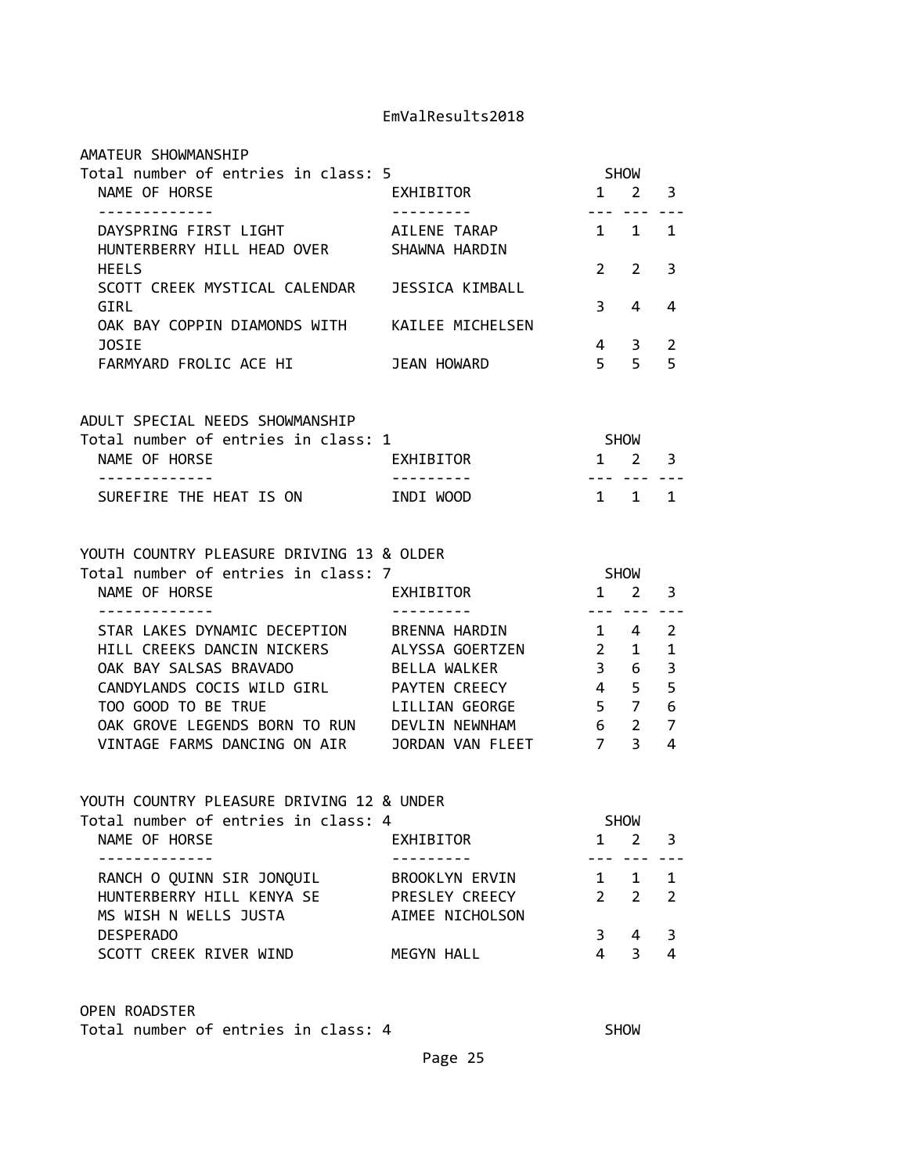| AMATEUR SHOWMANSHIP                                                              |                                  |                |                                           |                |
|----------------------------------------------------------------------------------|----------------------------------|----------------|-------------------------------------------|----------------|
| Total number of entries in class: 5<br>NAME OF HORSE                             | EXHIBITOR                        | <b>SHOW</b>    | $1 \quad 2 \quad 3$                       |                |
| -------------                                                                    | <u> - - - - - - - - - -</u>      |                | $- - - - - - -$                           |                |
| DAYSPRING FIRST LIGHT                                                            | AILENE TARAP                     | 1 1            |                                           | 1              |
| HUNTERBERRY HILL HEAD OVER SHAWNA HARDIN                                         |                                  |                |                                           |                |
| <b>HEELS</b>                                                                     |                                  | $2^{\circ}$    | 2                                         | 3              |
| SCOTT CREEK MYSTICAL CALENDAR JESSICA KIMBALL                                    |                                  |                |                                           |                |
| GIRL                                                                             |                                  | $\mathbf{3}$   | 4                                         | 4              |
| OAK BAY COPPIN DIAMONDS WITH KAILEE MICHELSEN<br>JOSIE                           |                                  | $\overline{4}$ |                                           | $\overline{2}$ |
| FARMYARD FROLIC ACE HI JEAN HOWARD                                               |                                  | 5 <sup>5</sup> | $\overline{\mathbf{3}}$<br>5 <sup>7</sup> | 5              |
|                                                                                  |                                  |                |                                           |                |
|                                                                                  |                                  |                |                                           |                |
| ADULT SPECIAL NEEDS SHOWMANSHIP                                                  |                                  |                |                                           |                |
| Total number of entries in class: 1<br>NAME OF HORSE                             | $1 \quad 2 \quad 3$<br>EXHIBITOR | <b>SHOW</b>    |                                           |                |
| -------------                                                                    | <u> - - - - - - - - - -</u>      | . <b>.</b>     |                                           |                |
| SUREFIRE THE HEAT IS ON                                                          | INDI WOOD                        |                | $1 \quad 1 \quad 1$                       |                |
|                                                                                  |                                  |                |                                           |                |
|                                                                                  |                                  |                |                                           |                |
| YOUTH COUNTRY PLEASURE DRIVING 13 & OLDER<br>Total number of entries in class: 7 |                                  | <b>SHOW</b>    |                                           |                |
| NAME OF HORSE                                                                    | EXHIBITOR                        | $1 \quad 2$    |                                           | 3              |
| . <u>.</u> .                                                                     |                                  |                | <u>--- --- ---</u>                        |                |
| STAR LAKES DYNAMIC DECEPTION BRENNA HARDIN                                       |                                  |                | 1 4                                       | $\overline{2}$ |
| HILL CREEKS DANCIN NICKERS ALYSSA GOERTZEN 2                                     |                                  |                | $1 \quad$                                 | 1              |
| OAK BAY SALSAS BRAVADO                                                           | BELLA WALKER                     | 3 <sup>7</sup> | $6\overline{6}$                           | 3              |
| CANDYLANDS COCIS WILD GIRL PAYTEN CREECY 4 5                                     |                                  |                |                                           | 5              |
| TOO GOOD TO BE TRUE                                                              | LILLIAN GEORGE 5 7 6             |                |                                           |                |
| OAK GROVE LEGENDS BORN TO RUN DEVLIN NEWNHAM                                     | 6 <sub>2</sub>                   |                |                                           | $\overline{7}$ |
| VINTAGE FARMS DANCING ON AIR JORDAN VAN FLEET 7 3                                |                                  |                |                                           | 4              |
|                                                                                  |                                  |                |                                           |                |
| YOUTH COUNTRY PLEASURE DRIVING 12 & UNDER                                        |                                  |                |                                           |                |
| Total number of entries in class: 4                                              |                                  |                | <b>SHOW</b>                               |                |
| NAME OF HORSE                                                                    | EXHIBITOR                        | 1              | $\overline{2}$                            | 3              |
| - - - - - - - - - - - - -<br>RANCH O QUINN SIR JONQUIL                           | BROOKLYN ERVIN                   |                | ---<br>$1 \quad 1$                        | $\mathbf{1}$   |
| HUNTERBERRY HILL KENYA SE                                                        | PRESLEY CREECY                   | $2^{\circ}$    | $2^{\circ}$                               | $\overline{2}$ |
| MS WISH N WELLS JUSTA                                                            | AIMEE NICHOLSON                  |                |                                           |                |
| <b>DESPERADO</b>                                                                 |                                  | $\mathbf{3}$   | 4                                         | 3              |
| SCOTT CREEK RIVER WIND                                                           | MEGYN HALL                       | 4              | $\overline{3}$                            | 4              |
|                                                                                  |                                  |                |                                           |                |
|                                                                                  |                                  |                |                                           |                |

OPEN ROADSTER

Total number of entries in class: 4 SHOW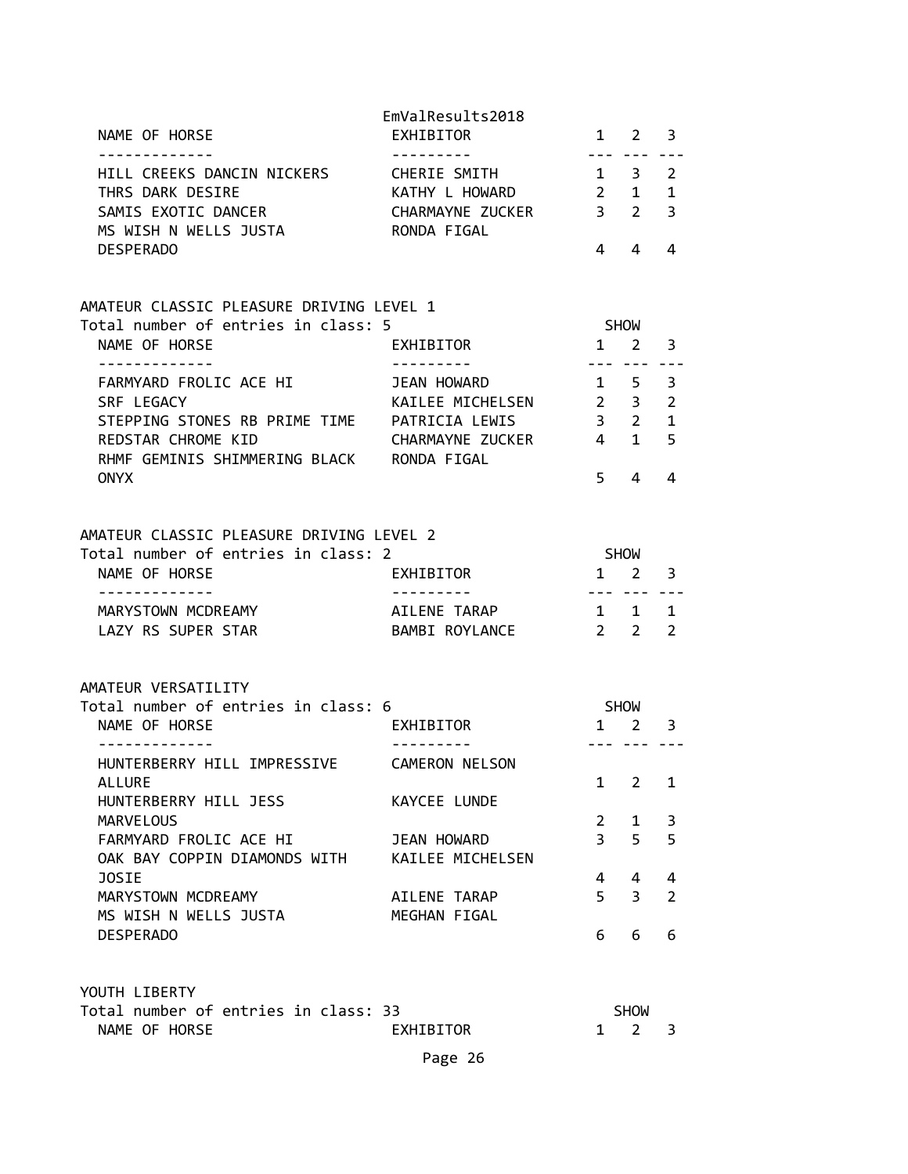| NAME OF HORSE                                                | EmValResults2018<br>EXHIBITOR |                       | $1 \quad 2 \quad 3$            |                        |
|--------------------------------------------------------------|-------------------------------|-----------------------|--------------------------------|------------------------|
| -------------<br>HILL CREEKS DANCIN NICKERS                  | ----------<br>CHERIE SMITH    |                       | --- ---<br>$1 \quad 3$         | ----<br>$\overline{2}$ |
| THRS DARK DESIRE                                             | KATHY L HOWARD                |                       | $2 \quad 1$                    | $\mathbf{1}$           |
| SAMIS EXOTIC DANCER<br>MS WISH N WELLS JUSTA THE RONDA FIGAL | CHARMAYNE ZUCKER 3 2          |                       |                                | $\overline{3}$         |
| <b>DESPERADO</b>                                             |                               | 4                     | 4                              | 4                      |
| AMATEUR CLASSIC PLEASURE DRIVING LEVEL 1                     |                               |                       |                                |                        |
| Total number of entries in class: 5                          |                               |                       | SHOW                           |                        |
| NAME OF HORSE                                                | EXHIBITOR                     |                       | $1 \quad 2$                    | 3                      |
| -------------<br>FARMYARD FROLIC ACE HI                      | ---------<br>JEAN HOWARD      |                       | --- ---<br>$1 \quad 5 \quad 3$ |                        |
| SRF LEGACY                                                   | KAILEE MICHELSEN 2 3 2        |                       |                                |                        |
| STEPPING STONES RB PRIME TIME PATRICIA LEWIS                 |                               |                       | 3 <sub>2</sub>                 | $\mathbf{1}$           |
| REDSTAR CHROME KID                                           | CHARMAYNE ZUCKER              |                       | $4\quad1$                      | 5                      |
| RHMF GEMINIS SHIMMERING BLACK RONDA FIGAL                    |                               |                       |                                |                        |
| <b>ONYX</b>                                                  |                               | 5 <sup>7</sup>        | 4                              | 4                      |
| AMATEUR CLASSIC PLEASURE DRIVING LEVEL 2                     |                               |                       |                                |                        |
| Total number of entries in class: 2                          |                               |                       | SHOW                           |                        |
| NAME OF HORSE                                                | EXHIBITOR                     |                       | $1 \quad 2$                    | 3                      |
| - - - - - - - - - - - - -<br>MARYSTOWN MCDREAMY              | AILENE TARAP                  |                       | $1 \quad 1$                    | 1                      |
| LAZY RS SUPER STAR                                           | BAMBI ROYLANCE<br>$2 \t2$     |                       |                                | $\overline{2}$         |
| AMATEUR VERSATILITY                                          |                               |                       |                                |                        |
| Total number of entries in class: 6                          |                               |                       | SHOW                           |                        |
| NAME OF HORSE                                                | EXHIBITOR                     |                       | $1 \quad 2$                    | 3                      |
| - - - - - - - - - - - - -                                    |                               |                       | --- ---                        |                        |
| HUNTERBERRY HILL IMPRESSIVE<br><b>ALLURE</b>                 | CAMERON NELSON                | $\mathbf{1}$          | $\overline{2}$                 | 1                      |
| HUNTERBERRY HILL JESS                                        | KAYCEE LUNDE                  |                       |                                |                        |
| MARVELOUS                                                    |                               | $\mathbf{2}^{\prime}$ | 1                              | 3                      |
| FARMYARD FROLIC ACE HI                                       | JEAN HOWARD                   | $\overline{3}$        | 5                              | 5                      |
| OAK BAY COPPIN DIAMONDS WITH                                 | KAILEE MICHELSEN              |                       |                                |                        |
| <b>JOSIE</b>                                                 |                               | 4                     | 4                              | 4                      |
| MARYSTOWN MCDREAMY                                           | AILENE TARAP                  | 5 <sup>1</sup>        | $\overline{3}$                 | $\overline{2}$         |
| MS WISH N WELLS JUSTA                                        | MEGHAN FIGAL                  |                       |                                |                        |
| <b>DESPERADO</b>                                             |                               | 6                     | 6                              | 6                      |
| YOUTH LIBERTY                                                |                               |                       |                                |                        |
| Total number of entries in class: 33                         |                               |                       | <b>SHOW</b>                    |                        |
| NAME OF HORSE                                                | EXHIBITOR                     | 1                     | $\overline{2}$                 | 3                      |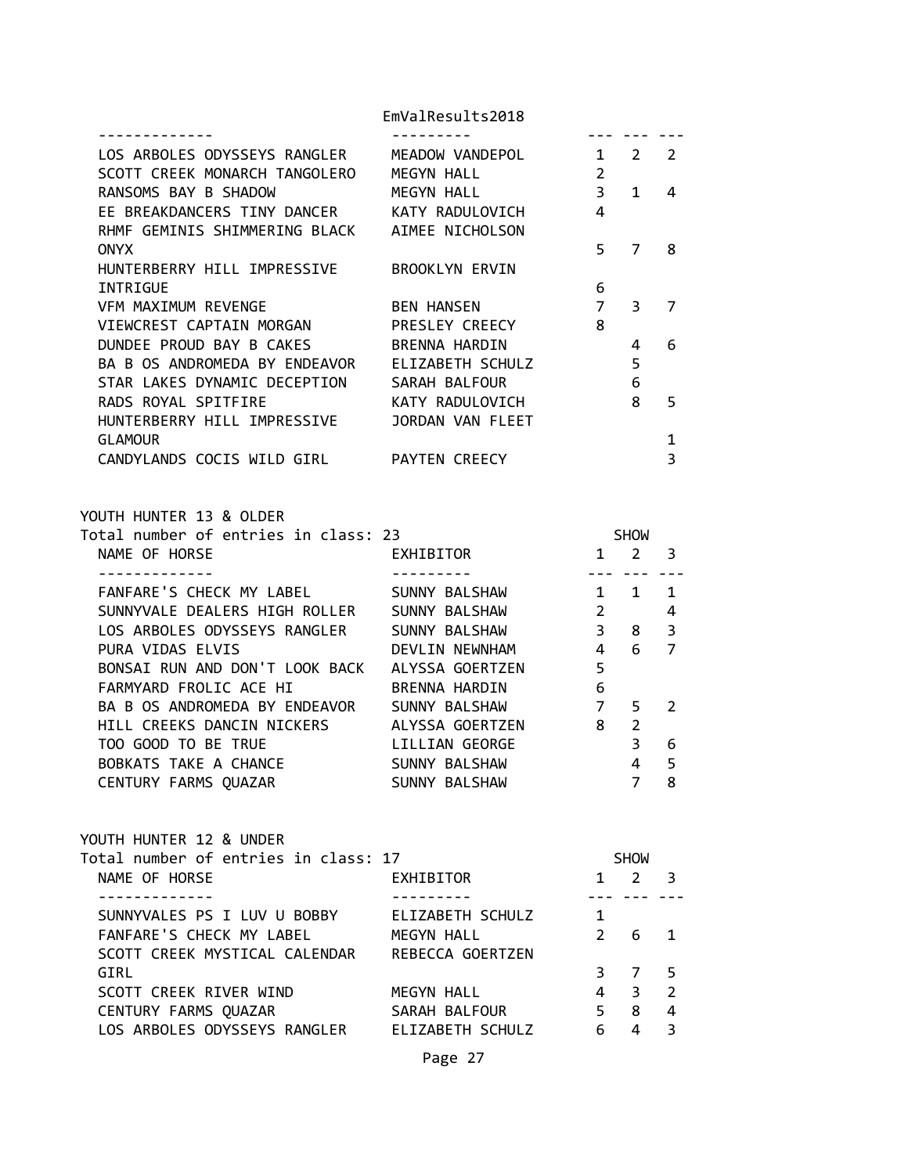| LOS ARBOLES ODYSSEYS RANGLER MEADOW VANDEPOL 1 2 2 |                                                                                                                                                                                                                                                                                                                                                                                                                                                                                        |                         |                |                         |
|----------------------------------------------------|----------------------------------------------------------------------------------------------------------------------------------------------------------------------------------------------------------------------------------------------------------------------------------------------------------------------------------------------------------------------------------------------------------------------------------------------------------------------------------------|-------------------------|----------------|-------------------------|
| SCOTT CREEK MONARCH TANGOLERO MEGYN HALL           |                                                                                                                                                                                                                                                                                                                                                                                                                                                                                        | $\overline{\mathbf{c}}$ |                |                         |
| RANSOMS BAY B SHADOW                               | MEGYN HALL                                                                                                                                                                                                                                                                                                                                                                                                                                                                             | 3 <sup>7</sup>          | $1 \quad$      | 4                       |
| EE BREAKDANCERS TINY DANCER KATY RADULOVICH 4      |                                                                                                                                                                                                                                                                                                                                                                                                                                                                                        |                         |                |                         |
| RHMF GEMINIS SHIMMERING BLACK AIMEE NICHOLSON      |                                                                                                                                                                                                                                                                                                                                                                                                                                                                                        |                         |                |                         |
| <b>ONYX</b>                                        |                                                                                                                                                                                                                                                                                                                                                                                                                                                                                        | 5                       | $7^{\circ}$    | 8                       |
| HUNTERBERRY HILL IMPRESSIVE                        | BROOKLYN ERVIN                                                                                                                                                                                                                                                                                                                                                                                                                                                                         |                         |                |                         |
| INTRIGUE                                           |                                                                                                                                                                                                                                                                                                                                                                                                                                                                                        | 6                       |                |                         |
|                                                    |                                                                                                                                                                                                                                                                                                                                                                                                                                                                                        | $7^{\circ}$             |                |                         |
| VFM MAXIMUM REVENGE                                | <b>BEN HANSEN</b>                                                                                                                                                                                                                                                                                                                                                                                                                                                                      |                         | 3              | 7                       |
| VIEWCREST CAPTAIN MORGAN PRESLEY CREECY 8          |                                                                                                                                                                                                                                                                                                                                                                                                                                                                                        |                         |                |                         |
| DUNDEE PROUD BAY B CAKES BRENNA HARDIN             |                                                                                                                                                                                                                                                                                                                                                                                                                                                                                        |                         | 4              | 6                       |
| BA B OS ANDROMEDA BY ENDEAVOR ELIZABETH SCHULZ     |                                                                                                                                                                                                                                                                                                                                                                                                                                                                                        |                         | 5              |                         |
| STAR LAKES DYNAMIC DECEPTION SARAH BALFOUR         |                                                                                                                                                                                                                                                                                                                                                                                                                                                                                        |                         | 6              |                         |
| RADS ROYAL SPITFIRE KATY RADULOVICH                |                                                                                                                                                                                                                                                                                                                                                                                                                                                                                        |                         | 8              | 5                       |
| HUNTERBERRY HILL IMPRESSIVE JORDAN VAN FLEET       |                                                                                                                                                                                                                                                                                                                                                                                                                                                                                        |                         |                |                         |
| <b>GLAMOUR</b>                                     |                                                                                                                                                                                                                                                                                                                                                                                                                                                                                        |                         |                | $\mathbf 1$             |
| CANDYLANDS COCIS WILD GIRL PAYTEN CREECY           |                                                                                                                                                                                                                                                                                                                                                                                                                                                                                        |                         |                | 3                       |
|                                                    |                                                                                                                                                                                                                                                                                                                                                                                                                                                                                        |                         |                |                         |
| YOUTH HUNTER 13 & OLDER                            |                                                                                                                                                                                                                                                                                                                                                                                                                                                                                        |                         |                |                         |
| Total number of entries in class: 23               |                                                                                                                                                                                                                                                                                                                                                                                                                                                                                        | <b>SHOW</b>             |                |                         |
| NAME OF HORSE                                      | EXHIBITOR                                                                                                                                                                                                                                                                                                                                                                                                                                                                              | $1 \quad 2 \quad 3$     |                |                         |
| -------------                                      | $\begin{array}{cccccccccc} \multicolumn{2}{c}{} & \multicolumn{2}{c}{} & \multicolumn{2}{c}{} & \multicolumn{2}{c}{} & \multicolumn{2}{c}{} & \multicolumn{2}{c}{} & \multicolumn{2}{c}{} & \multicolumn{2}{c}{} & \multicolumn{2}{c}{} & \multicolumn{2}{c}{} & \multicolumn{2}{c}{} & \multicolumn{2}{c}{} & \multicolumn{2}{c}{} & \multicolumn{2}{c}{} & \multicolumn{2}{c}{} & \multicolumn{2}{c}{} & \multicolumn{2}{c}{} & \multicolumn{2}{c}{} & \multicolumn{2}{c}{} & \mult$ | .                       |                |                         |
| FANFARE'S CHECK MY LABEL SUNNY BALSHAW             |                                                                                                                                                                                                                                                                                                                                                                                                                                                                                        | $1 \quad 1$             |                | $\mathbf{1}$            |
| SUNNYVALE DEALERS HIGH ROLLER SUNNY BALSHAW 2      |                                                                                                                                                                                                                                                                                                                                                                                                                                                                                        |                         |                | 4                       |
| LOS ARBOLES ODYSSEYS RANGLER SUNNY BALSHAW 3 8     |                                                                                                                                                                                                                                                                                                                                                                                                                                                                                        |                         |                | 3                       |
| PURA VIDAS ELVIS                                   | DEVLIN NEWNHAM 4 6                                                                                                                                                                                                                                                                                                                                                                                                                                                                     |                         |                | $\overline{7}$          |
| BONSAI RUN AND DON'T LOOK BACK ALYSSA GOERTZEN     |                                                                                                                                                                                                                                                                                                                                                                                                                                                                                        | 5                       |                |                         |
| FARMYARD FROLIC ACE HI BRENNA HARDIN               |                                                                                                                                                                                                                                                                                                                                                                                                                                                                                        | 6                       |                |                         |
| BA B OS ANDROMEDA BY ENDEAVOR SUNNY BALSHAW        |                                                                                                                                                                                                                                                                                                                                                                                                                                                                                        | 7                       | 5              | $\overline{2}$          |
| HILL CREEKS DANCIN NICKERS ALYSSA GOERTZEN 8       |                                                                                                                                                                                                                                                                                                                                                                                                                                                                                        |                         | $\overline{2}$ |                         |
| TOO GOOD TO BE TRUE                                | LILLIAN GEORGE                                                                                                                                                                                                                                                                                                                                                                                                                                                                         |                         | 3 <sup>7</sup> | 6                       |
| BOBKATS TAKE A CHANCE SUNNY BALSHAW                |                                                                                                                                                                                                                                                                                                                                                                                                                                                                                        |                         | $4 \quad$      | 5                       |
| CENTURY FARMS QUAZAR SUNNY BALSHAW                 |                                                                                                                                                                                                                                                                                                                                                                                                                                                                                        | $\overline{7}$          |                | 8                       |
|                                                    |                                                                                                                                                                                                                                                                                                                                                                                                                                                                                        |                         |                |                         |
| YOUTH HUNTER 12 & UNDER                            |                                                                                                                                                                                                                                                                                                                                                                                                                                                                                        |                         |                |                         |
| Total number of entries in class: 17               |                                                                                                                                                                                                                                                                                                                                                                                                                                                                                        |                         | SHOW           |                         |
| NAME OF HORSE                                      | EXHIBITOR                                                                                                                                                                                                                                                                                                                                                                                                                                                                              |                         | $1 \quad 2$    | 3                       |
| ------------                                       |                                                                                                                                                                                                                                                                                                                                                                                                                                                                                        |                         |                |                         |
| SUNNYVALES PS I LUV U BOBBY                        | ELIZABETH SCHULZ                                                                                                                                                                                                                                                                                                                                                                                                                                                                       | 1                       |                |                         |
| FANFARE'S CHECK MY LABEL                           | <b>MEGYN HALL</b>                                                                                                                                                                                                                                                                                                                                                                                                                                                                      | $2^{\circ}$             | 6              | 1                       |
| SCOTT CREEK MYSTICAL CALENDAR                      | REBECCA GOERTZEN                                                                                                                                                                                                                                                                                                                                                                                                                                                                       |                         |                |                         |
| GIRL                                               |                                                                                                                                                                                                                                                                                                                                                                                                                                                                                        |                         | 3 7            | 5                       |
| SCOTT CREEK RIVER WIND                             | MEGYN HALL                                                                                                                                                                                                                                                                                                                                                                                                                                                                             | 4                       | 3 <sup>7</sup> | $\overline{2}$          |
|                                                    |                                                                                                                                                                                                                                                                                                                                                                                                                                                                                        | 5 <sub>1</sub>          | 8              | $\overline{\mathbf{4}}$ |
| CENTURY FARMS QUAZAR                               | SARAH BALFOUR                                                                                                                                                                                                                                                                                                                                                                                                                                                                          |                         | $\overline{4}$ | $\overline{3}$          |
| LOS ARBOLES ODYSSEYS RANGLER ELIZABETH SCHULZ      |                                                                                                                                                                                                                                                                                                                                                                                                                                                                                        | 6                       |                |                         |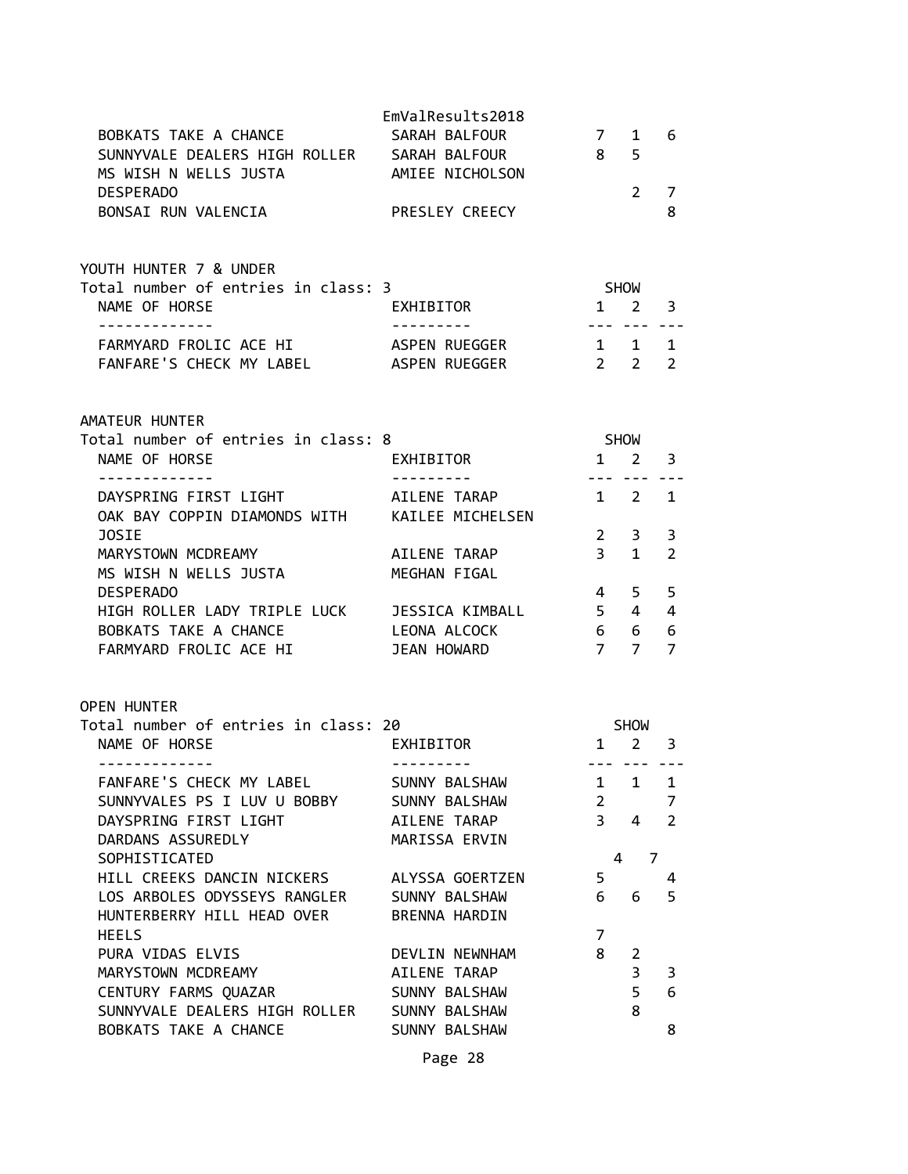| BOBKATS TAKE A CHANCE<br>SUNNYVALE DEALERS HIGH ROLLER SARAH BALFOUR                                                     | EmValResults2018<br>SARAH BALFOUR | 7 1<br>8 <sup>1</sup>              | 5            | 6                   |
|--------------------------------------------------------------------------------------------------------------------------|-----------------------------------|------------------------------------|--------------|---------------------|
| MS WISH N WELLS JUSTA AMIEE NICHOLSON                                                                                    |                                   |                                    |              |                     |
| <b>DESPERADO</b><br>BONSAI RUN VALENCIA                                                                                  | <b>PRESLEY CREECY</b>             |                                    | $2^{\circ}$  | 7<br>8              |
| YOUTH HUNTER 7 & UNDER                                                                                                   |                                   |                                    |              |                     |
| Total number of entries in class: 3<br>NAME OF HORSE                                                                     | <b>EXHIBITOR</b>                  | <b>SHOW</b><br>$1 \quad 2 \quad 3$ |              |                     |
| . <u>.</u><br>FARMYARD FROLIC ACE HI ASPEN RUEGGER 1 1 1 1<br>FANFARE'S CHECK MY LABEL ASPEN RUEGGER                     |                                   | $2\quad 2$                         |              | 2                   |
| AMATEUR HUNTER                                                                                                           |                                   |                                    |              |                     |
| Total number of entries in class: 8<br>NAME OF HORSE                                                                     | EXHIBITOR 1 2 3                   | <b>SHOW</b>                        |              |                     |
| <u> - - - - - - - - - - - - -</u><br>DAYSPRING FIRST LIGHT AILENE TARAP<br>OAK BAY COPPIN DIAMONDS WITH KAILEE MICHELSEN | ______________                    | .<br>$1 \quad 2 \quad 1$           |              |                     |
| JOSIE                                                                                                                    |                                   | $2^{\circ}$                        | 3            | 3                   |
| MARYSTOWN MCDREAMY<br>MS WISH N WELLS JUSTA                                                                              | AILENE TARAP<br>MEGHAN FIGAL      | $3 \quad 1$                        |              | $\overline{2}$      |
| <b>DESPERADO</b>                                                                                                         |                                   |                                    | 4 5          | 5                   |
| HIGH ROLLER LADY TRIPLE LUCK JESSICA KIMBALL 5 4 4                                                                       |                                   | 6 6 6                              |              |                     |
| BOBKATS TAKE A CHANCE<br>FARMYARD FROUTS ASE UT<br>FARMYARD FROLIC ACE HI JEAN HOWARD                                    |                                   | 7 7                                |              | $\overline{7}$      |
| OPEN HUNTER                                                                                                              |                                   |                                    |              |                     |
| Total number of entries in class: 20                                                                                     |                                   | <b>SHOW</b>                        |              |                     |
| NAME OF HORSE<br>-------------                                                                                           | EXHIBITOR<br>----------           | $1 \quad 2 \quad 3$                | --- --- ---  |                     |
| FANFARE'S CHECK MY LABEL                                                                                                 | SUNNY BALSHAW                     | $\mathbf{1}$                       | $\mathbf{1}$ | $\mathbf 1$         |
| SUNNYVALES PS I LUV U BOBBY<br>DAYSPRING FIRST LIGHT                                                                     | SUNNY BALSHAW<br>AILENE TARAP     | $\overline{2}$<br>$\overline{3}$   | 4            | 7<br>$\overline{2}$ |
| DARDANS ASSUREDLY                                                                                                        | MARISSA ERVIN                     |                                    |              |                     |
| SOPHISTICATED                                                                                                            |                                   | 4                                  |              | 7                   |
| HILL CREEKS DANCIN NICKERS                                                                                               | ALYSSA GOERTZEN                   | 5                                  |              | 4                   |
| LOS ARBOLES ODYSSEYS RANGLER<br>HUNTERBERRY HILL HEAD OVER                                                               | SUNNY BALSHAW<br>BRENNA HARDIN    | 6                                  | 6            | 5                   |
| <b>HEELS</b><br>PURA VIDAS ELVIS                                                                                         |                                   | $\overline{7}$<br>8                |              |                     |
| MARYSTOWN MCDREAMY                                                                                                       | DEVLIN NEWNHAM<br>AILENE TARAP    |                                    | 2<br>3       | 3                   |
| CENTURY FARMS QUAZAR                                                                                                     | SUNNY BALSHAW                     |                                    | 5            | 6                   |
| SUNNYVALE DEALERS HIGH ROLLER                                                                                            | SUNNY BALSHAW                     |                                    | 8            |                     |
| BOBKATS TAKE A CHANCE                                                                                                    | SUNNY BALSHAW                     |                                    |              | 8                   |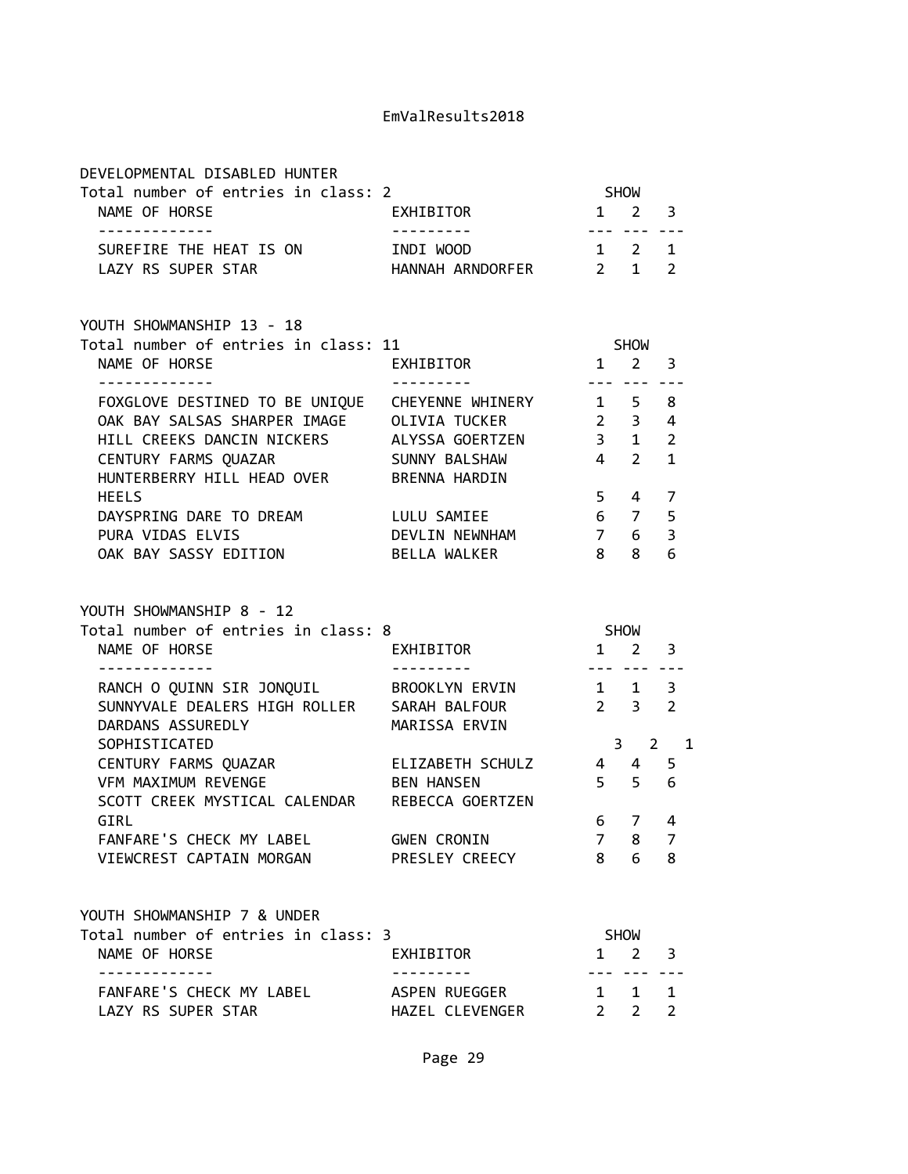| 3             |
|---------------|
|               |
|               |
| $\mathcal{P}$ |
|               |
|               |
|               |
| 3             |
|               |
| 8             |
|               |

| FOXGLOVE DESTINED TO BE UNIQUE | CHEYENNE WHINERY |             | 1 5 8          |                          |
|--------------------------------|------------------|-------------|----------------|--------------------------|
| OAK BAY SALSAS SHARPER IMAGE   | OLIVIA TUCKER    | $2 \quad 3$ |                | $\overline{4}$           |
| HILL CREEKS DANCIN NICKERS     | ALYSSA GOERTZEN  | 3           | $\overline{1}$ | $\overline{\phantom{a}}$ |
| CENTURY FARMS QUAZAR           | SUNNY BALSHAW    |             | 4 2 1          |                          |
| HUNTERBERRY HILL HEAD OVER     | BRENNA HARDIN    |             |                |                          |
| <b>HEELS</b>                   |                  |             | 5 4 7          |                          |
| DAYSPRING DARE TO DREAM        | LULU SAMIEE      |             | 6 7 5          |                          |
| PURA VIDAS ELVIS               | DEVLIN NEWNHAM   | 7           | 6              |                          |
| OAK BAY SASSY EDITION          | BELLA WALKER     | 8           | 8              | 6                        |

YOUTH SHOWMANSHIP 8 - 12

| Total number of entries in class: 8               |              |   |                                         |               |
|---------------------------------------------------|--------------|---|-----------------------------------------|---------------|
| EXHIBITOR                                         |              | 2 | 3                                       |               |
|                                                   |              |   |                                         |               |
| BROOKLYN ERVIN                                    | $\mathbf{1}$ | 1 | 3                                       |               |
| SARAH BALFOUR                                     |              |   | 2                                       |               |
| MARISSA ERVIN                                     |              |   |                                         |               |
|                                                   |              |   |                                         |               |
| ELIZABETH SCHULZ                                  | 4            | 4 | 5                                       |               |
| <b>BEN HANSEN</b>                                 | 5.           |   | 6                                       |               |
| SCOTT CREEK MYSTICAL CALENDAR<br>REBECCA GOERTZEN |              |   |                                         |               |
|                                                   | 6            | 7 |                                         |               |
| <b>GWEN CRONIN</b>                                | 7            | 8 | 7                                       |               |
| PRESLEY CREECY                                    | 8            | 6 | 8                                       |               |
|                                                   |              |   | <b>SHOW</b><br>$2 \quad 3$<br>3<br>$-5$ | $\mathcal{P}$ |

| YOUTH SHOWMANSHIP 7 & UNDER         |                 |                     |  |
|-------------------------------------|-----------------|---------------------|--|
| Total number of entries in class: 3 |                 | <b>SHOW</b>         |  |
| NAME OF HORSE                       | EXHIBITOR       | $1 \quad 2 \quad 3$ |  |
|                                     |                 |                     |  |
| FANFARE'S CHECK MY LABEL            | ASPEN RUEGGER   | 1 1 1               |  |
| LAZY RS SUPER STAR                  | HAZEL CLEVENGER | 2, 2, 2             |  |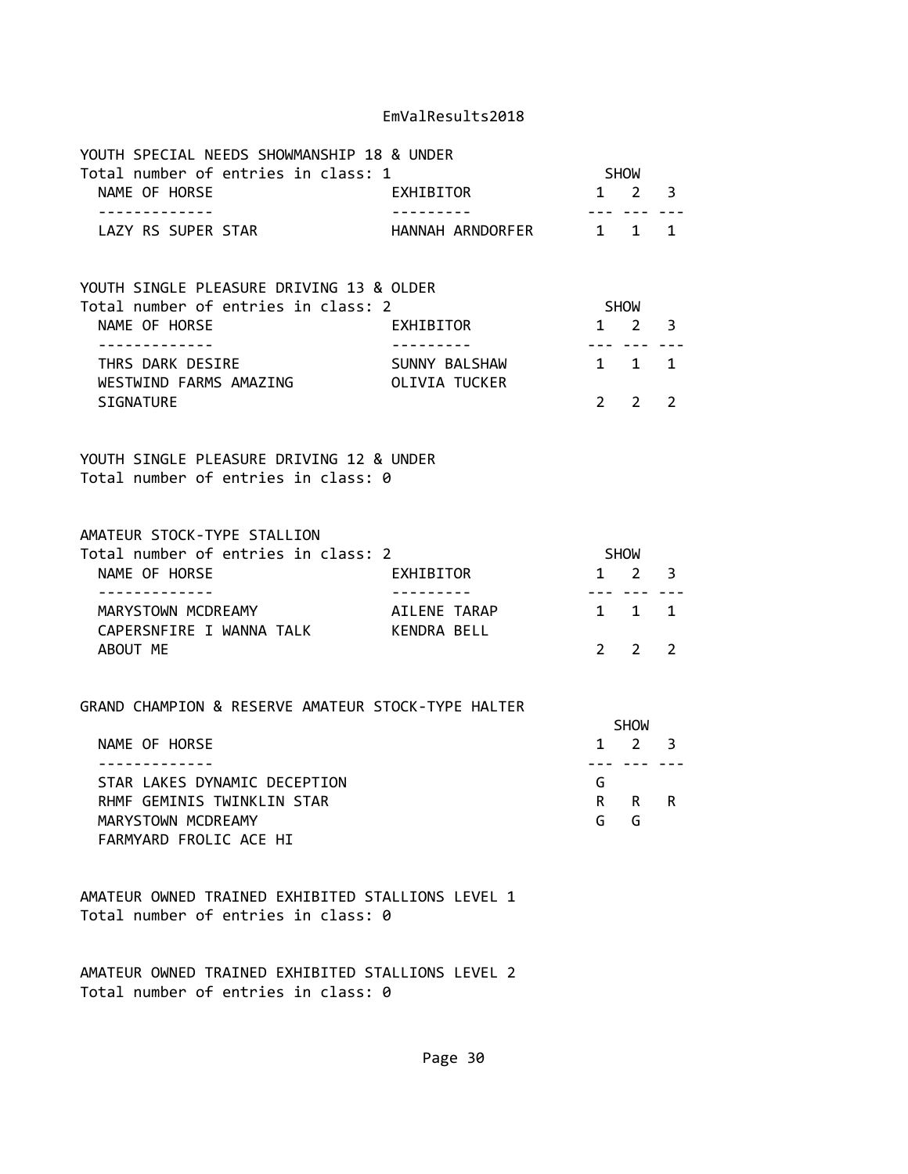| YOUTH SPECIAL NEEDS SHOWMANSHIP 18 & UNDER                                               |                                |                                |                                            |                |
|------------------------------------------------------------------------------------------|--------------------------------|--------------------------------|--------------------------------------------|----------------|
| Total number of entries in class: 1                                                      |                                | SHOW                           |                                            |                |
| NAME OF HORSE<br>-------------                                                           | EXHIBITOR<br>----------        | $- - - - - - - -$              | $1 \quad 2 \quad 3$                        |                |
| LAZY RS SUPER STAR                                                                       | HANNAH ARNDORFER 1 1 1         |                                |                                            |                |
| YOUTH SINGLE PLEASURE DRIVING 13 & OLDER<br>Total number of entries in class: 2          |                                | SHOW                           |                                            |                |
| NAME OF HORSE<br>. <u>.</u>                                                              | EXHIBITOR                      |                                | $1 \quad 2$<br>--- --- ---                 | 3              |
| THRS DARK DESIRE<br>WESTWIND FARMS AMAZING                                               | SUNNY BALSHAW<br>OLIVIA TUCKER |                                | 1 1 1                                      |                |
| SIGNATURE                                                                                |                                | $2 \left( \frac{1}{2} \right)$ | 2                                          | $\overline{2}$ |
| YOUTH SINGLE PLEASURE DRIVING 12 & UNDER<br>Total number of entries in class: 0          |                                |                                |                                            |                |
| AMATEUR STOCK-TYPE STALLION                                                              |                                |                                |                                            |                |
| Total number of entries in class: 2<br>NAME OF HORSE                                     | EXHIBITOR                      | SHOW<br>$1\quad 2$             |                                            | 3              |
| . <u>.</u><br>MARYSTOWN MCDREAMY<br>CAPERSNFIRE I WANNA TALK KENDRA BELL                 | AILENE TARAP                   | 1 1                            | --- --- -- <b>-</b>                        | 1              |
| ABOUT ME                                                                                 |                                | $2 \left( \frac{1}{2} \right)$ | 2                                          | 2              |
| GRAND CHAMPION & RESERVE AMATEUR STOCK-TYPE HALTER                                       |                                |                                |                                            |                |
| NAME OF HORSE<br>-------------                                                           |                                |                                | SHOW<br>$1 \quad 2 \quad 3$<br>--- --- --- |                |
| STAR LAKES DYNAMIC DECEPTION<br>RHMF GEMINIS TWINKLIN STAR                               |                                | G<br>R                         | R                                          | R              |
| MARYSTOWN MCDREAMY<br>FARMYARD FROLIC ACE HI                                             |                                | G                              | G                                          |                |
| AMATEUR OWNED TRAINED EXHIBITED STALLIONS LEVEL 1<br>Total number of entries in class: 0 |                                |                                |                                            |                |

AMATEUR OWNED TRAINED EXHIBITED STALLIONS LEVEL 2 Total number of entries in class: 0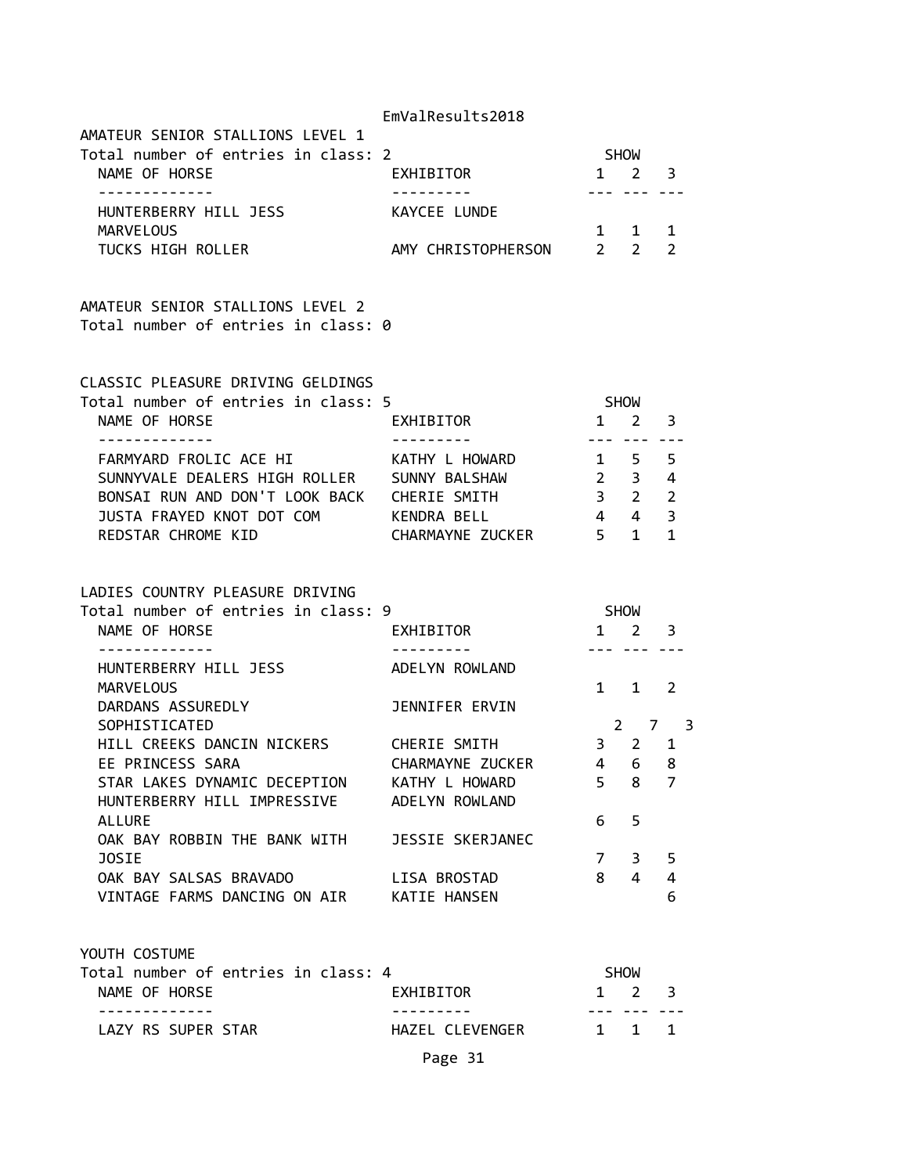|                                                                                                                                                                                     | EmValResults2018                                     |                                                     |                                      |                     |
|-------------------------------------------------------------------------------------------------------------------------------------------------------------------------------------|------------------------------------------------------|-----------------------------------------------------|--------------------------------------|---------------------|
| AMATEUR SENIOR STALLIONS LEVEL 1<br>Total number of entries in class: 2                                                                                                             |                                                      | <b>SHOW</b>                                         |                                      |                     |
| NAME OF HORSE                                                                                                                                                                       | EXHIBITOR                                            | $1 \quad 2 \quad 3$                                 |                                      |                     |
| HUNTERBERRY HILL JESS<br>MARVELOUS                                                                                                                                                  | KAYCEE LUNDE                                         |                                                     | 1 1 1                                |                     |
| TUCKS HIGH ROLLER                                                                                                                                                                   | AMY CHRISTOPHERSON 2 2                               |                                                     |                                      | $\overline{2}$      |
| AMATEUR SENIOR STALLIONS LEVEL 2<br>Total number of entries in class: 0                                                                                                             |                                                      |                                                     |                                      |                     |
| CLASSIC PLEASURE DRIVING GELDINGS<br>Total number of entries in class: 5<br>NAME OF HORSE                                                                                           | EXHIBITOR                                            |                                                     | SHOW<br>$1 \quad 2 \quad 3$          |                     |
| FARMYARD FROLIC ACE HI<br>SUNNYVALE DEALERS HIGH ROLLER SUNNY BALSHAW<br>BONSAI RUN AND DON'T LOOK BACK CHERIE SMITH<br>JUSTA FRAYED KNOT DOT COM KENDRA BELL<br>REDSTAR CHROME KID | ----------<br>KATHY L HOWARD<br>CHARMAYNE ZUCKER 5 1 | $1 \quad 5 \quad 5$<br>$2 \quad 3 \quad 4$<br>4 4 3 | --- --- ---<br>$3 \qquad 2 \qquad 2$ | 1                   |
| LADIES COUNTRY PLEASURE DRIVING<br>Total number of entries in class: 9<br>NAME OF HORSE                                                                                             | EXHIBITOR                                            | SHOW                                                | $1 \quad 2 \quad 3$                  |                     |
| HUNTERBERRY HILL JESS<br><b>MARVELOUS</b>                                                                                                                                           | ADELYN ROWLAND                                       |                                                     | 222 S.P<br>$1 \quad 1 \quad 2$       |                     |
| DARDANS ASSUREDLY<br>SOPHISTICATED                                                                                                                                                  | JENNIFER ERVIN                                       |                                                     |                                      | $2 \quad 7 \quad 3$ |
| HILL CREEKS DANCIN NICKERS                                                                                                                                                          | CHERIE SMITH                                         |                                                     | 3 2 1                                |                     |
| EE PRINCESS SARA<br>STAR LAKES DYNAMIC DECEPTION                                                                                                                                    | CHARMAYNE ZUCKER<br>KATHY L HOWARD                   |                                                     | 4 6<br>$5 \quad 8$                   | 8<br>7              |
| HUNTERBERRY HILL IMPRESSIVE                                                                                                                                                         | ADELYN ROWLAND                                       |                                                     |                                      |                     |
| <b>ALLURE</b><br>OAK BAY ROBBIN THE BANK WITH                                                                                                                                       | JESSIE SKERJANEC                                     | 6                                                   | 5                                    |                     |
| JOSIE                                                                                                                                                                               |                                                      | $7^{\circ}$                                         |                                      | 3 <sub>5</sub>      |
| OAK BAY SALSAS BRAVADO<br>VINTAGE FARMS DANCING ON AIR KATIE HANSEN                                                                                                                 | LISA BROSTAD                                         |                                                     | $8 \quad 4$                          | 4<br>6              |
| YOUTH COSTUME                                                                                                                                                                       |                                                      |                                                     |                                      |                     |
| Total number of entries in class: 4<br>NAME OF HORSE                                                                                                                                | EXHIBITOR                                            |                                                     | SHOW<br>$1 \quad 2 \quad 3$          |                     |
| - - - - - - - - - - -                                                                                                                                                               |                                                      |                                                     | --- --- ---                          |                     |
| LAZY RS SUPER STAR                                                                                                                                                                  | HAZEL CLEVENGER                                      |                                                     | 1 1 1                                |                     |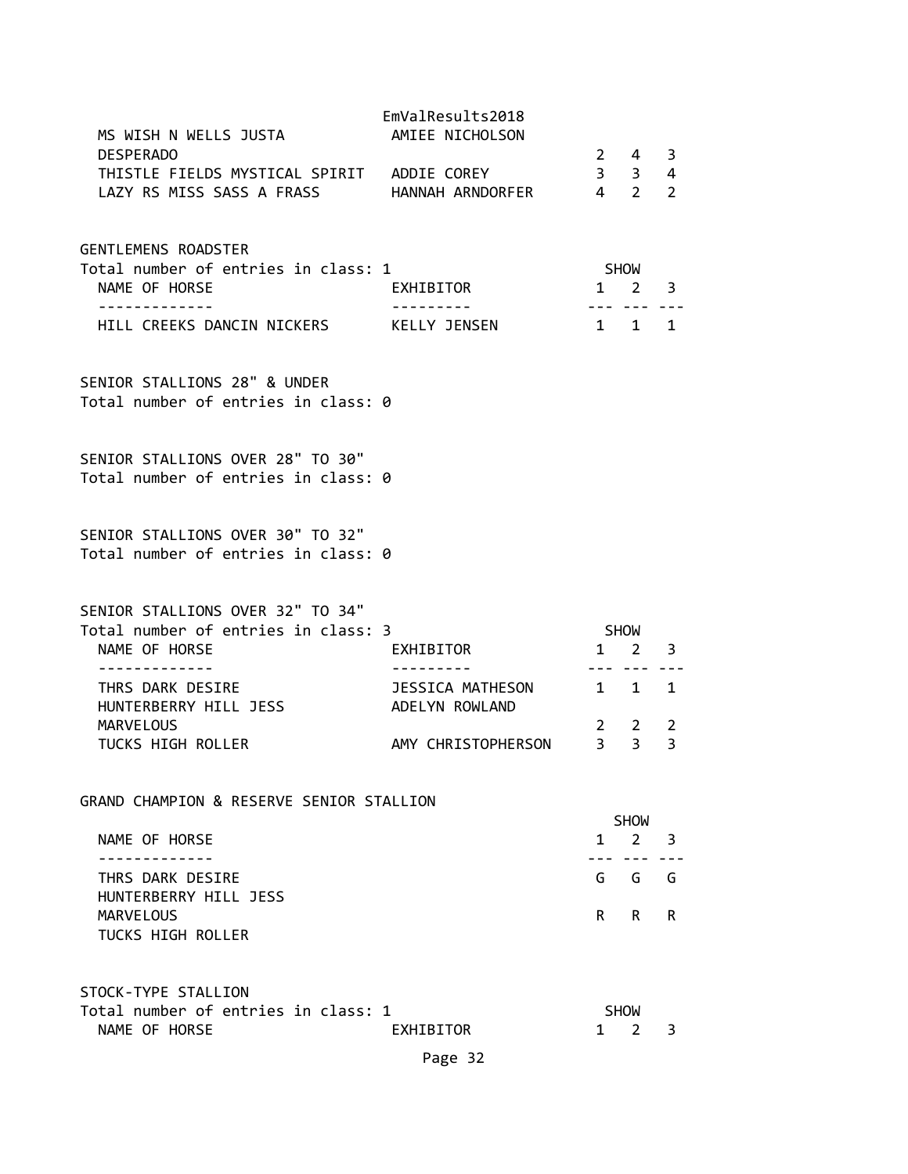| MS WISH N WELLS JUSTA                                                   | EmValResults2018<br>AMIEE NICHOLSON |              |                                    |                |
|-------------------------------------------------------------------------|-------------------------------------|--------------|------------------------------------|----------------|
| <b>DESPERADO</b>                                                        |                                     |              | $2 \quad 4$                        | 3              |
| THISTLE FIELDS MYSTICAL SPIRIT ADDIE COREY                              |                                     |              | $3 \quad 3$                        | $\overline{4}$ |
| LAZY RS MISS SASS A FRASS HANNAH ARNDORFER                              |                                     |              | $4\quad 2$                         | $\overline{2}$ |
| GENTLEMENS ROADSTER                                                     |                                     |              |                                    |                |
| Total number of entries in class: 1                                     |                                     |              | SHOW                               |                |
| NAME OF HORSE<br>------------                                           | EXHIBITOR                           | $\mathbf{1}$ | $2^{\circ}$<br>--- --- -- <b>-</b> | 3              |
| HILL CREEKS DANCIN NICKERS KELLY JENSEN                                 |                                     | 1 1 1        |                                    |                |
| SENIOR STALLIONS 28" & UNDER<br>Total number of entries in class: 0     |                                     |              |                                    |                |
| SENIOR STALLIONS OVER 28" TO 30"<br>Total number of entries in class: 0 |                                     |              |                                    |                |
| SENIOR STALLIONS OVER 30" TO 32"<br>Total number of entries in class: 0 |                                     |              |                                    |                |
| SENIOR STALLIONS OVER 32" TO 34"                                        |                                     |              |                                    |                |
| Total number of entries in class: 3<br>NAME OF HORSE                    | EXHIBITOR                           |              | SHOW<br>$1 \quad 2$                | 3              |
| - - - - - - - - - - - - -                                               |                                     | ---          |                                    |                |
| THRS DARK DESIRE<br>HUNTERBERRY HILL JESS                               | JESSICA MATHESON<br>ADELYN ROWLAND  |              | $1 \quad 1$                        | $\mathbf{1}$   |
| <b>MARVELOUS</b>                                                        |                                     |              | $2 \quad 2$                        | 2              |
| TUCKS HIGH ROLLER                                                       | AMY CHRISTOPHERSON                  |              | 3 <sup>3</sup>                     | $\overline{3}$ |
| GRAND CHAMPION & RESERVE SENIOR STALLION                                |                                     |              |                                    |                |
|                                                                         |                                     |              | <b>SHOW</b>                        |                |
| NAME OF HORSE                                                           |                                     | $\mathbf{1}$ | $2^{\circ}$                        | 3              |
| THRS DARK DESIRE<br>HUNTERBERRY HILL JESS                               |                                     | G            | G                                  | G              |
| <b>MARVELOUS</b><br><b>TUCKS HIGH ROLLER</b>                            |                                     | R.           | R.                                 | R              |
|                                                                         |                                     |              |                                    |                |
| STOCK-TYPE STALLION                                                     |                                     |              |                                    |                |
| Total number of entries in class: 1<br>NAME OF HORSE                    | EXHIBITOR                           | $\mathbf{1}$ | <b>SHOW</b><br>2                   | 3              |
|                                                                         |                                     |              |                                    |                |

Page 32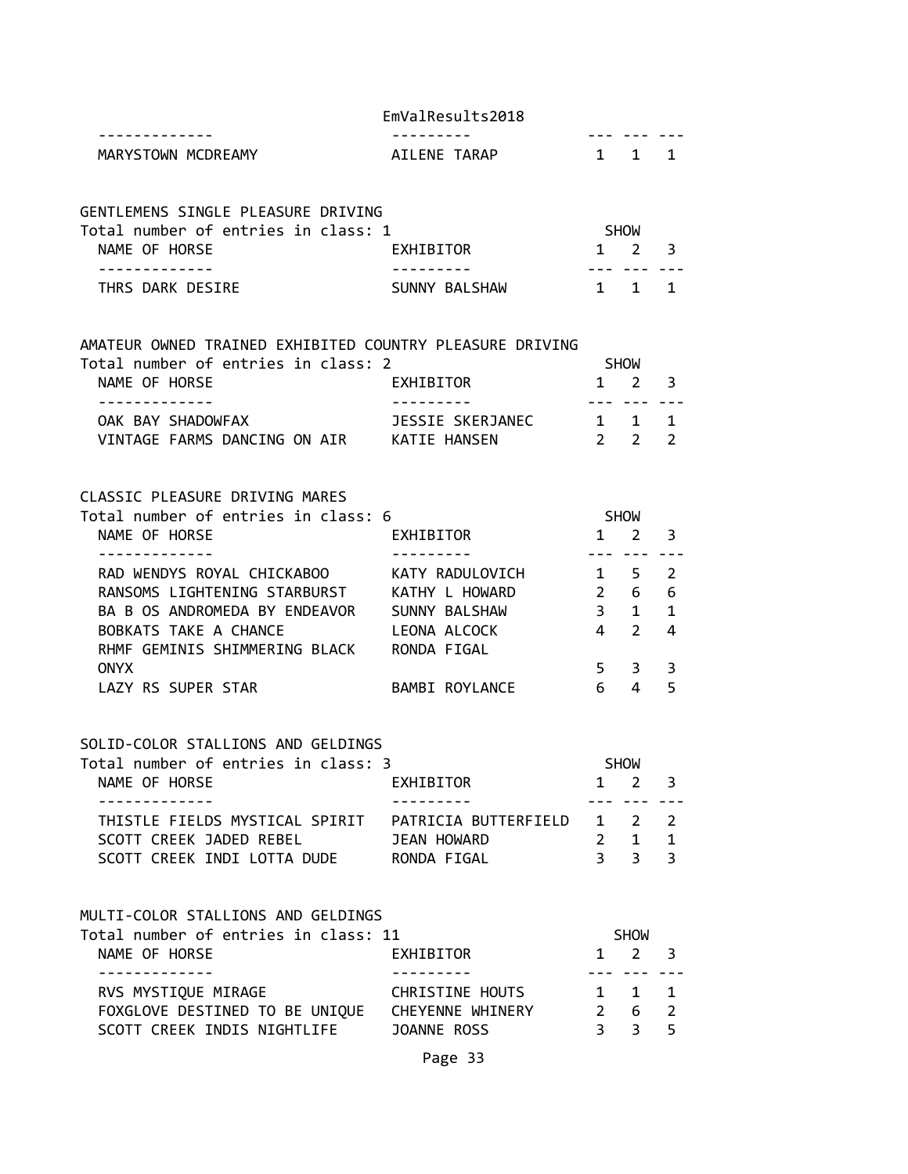|  |  | EmValResults2018 |
|--|--|------------------|
|--|--|------------------|

| -------------       | --------- | --- | --- |
|---------------------|-----------|-----|-----|
| TOWN MCDRFAMY<br>ML | ™ ⊢       |     |     |

| GENTLEMENS SINGLE PLEASURE DRIVING  |               |                     |  |
|-------------------------------------|---------------|---------------------|--|
| Total number of entries in class: 1 |               | <b>SHOW</b>         |  |
| NAME OF HORSE                       | EXHIBITOR     | $1 \quad 2 \quad 3$ |  |
|                                     |               |                     |  |
| THRS DARK DESIRE                    | SUNNY BALSHAW | 1 1 1               |  |

AMATEUR OWNED TRAINED EXHIBITED COUNTRY PLEASURE DRIVING

| Total number of entries in class: 2 |                  | <b>SHOW</b>         |  |
|-------------------------------------|------------------|---------------------|--|
| NAME OF HORSE                       | EXHIBITOR        | $1 \quad 2 \quad 3$ |  |
|                                     |                  |                     |  |
| OAK BAY SHADOWFAX                   | JESSIE SKERJANEC | $1 \quad 1 \quad 1$ |  |
| VINTAGE FARMS DANCING ON AIR        | KATIE HANSEN     | $2 \quad 2 \quad 2$ |  |

#### CLASSIC PLEASURE DRIVING MARES

| Total number of entries in class: 6 |                 |   | <b>SHOW</b>   |    |  |
|-------------------------------------|-----------------|---|---------------|----|--|
| NAME OF HORSE                       | EXHIBITOR       |   |               | З  |  |
|                                     |                 |   |               |    |  |
| RAD WENDYS ROYAL CHICKABOO          | KATY RADULOVICH |   |               | 2  |  |
| RANSOMS LIGHTENING STARBURST        | KATHY L HOWARD  | 2 | 6             | 6  |  |
| BA B OS ANDROMEDA BY ENDEAVOR       | SUNNY BALSHAW   | З |               | -1 |  |
| BOBKATS TAKE A CHANCE               | LEONA ALCOCK    | 4 | $\mathcal{L}$ | 4  |  |
| RHMF GEMINIS SHIMMERING BLACK       | RONDA FIGAL     |   |               |    |  |
| <b>ONYX</b>                         |                 | 5 | 3             | З  |  |
| LAZY RS SUPER STAR                  | BAMBI ROYLANCE  | 6 |               |    |  |

#### SOLID-COLOR STALLIONS AND GELDINGS

| Total number of entries in class: 3 |                            | <b>SHOW</b>         |  |
|-------------------------------------|----------------------------|---------------------|--|
| NAME OF HORSE                       | EXHIBITOR                  | $1 \quad 2 \quad 3$ |  |
|                                     |                            |                     |  |
| THISTLE FIELDS MYSTICAL SPIRIT      | PATRICIA BUTTERFIELD 1 2 2 |                     |  |
| SCOTT CREEK JADED REBEL             | JEAN HOWARD                | 2 1 1               |  |
| SCOTT CREEK INDI LOTTA DUDE         | RONDA FIGAL                | २ २ २               |  |

## MULTI-COLOR STALLIONS AND GELDINGS

| Total number of entries in class: 11               | SHOW        |  |
|----------------------------------------------------|-------------|--|
| NAME OF HORSE<br>EXHIBITOR                         | $1 \t2 \t3$ |  |
|                                                    |             |  |
| RVS MYSTIQUE MIRAGE<br>CHRISTINE HOUTS             | 1 1 1       |  |
| FOXGLOVE DESTINED TO BE UNIQUE<br>CHEYENNE WHINERY | 2 6 2       |  |
| SCOTT CREEK INDIS NIGHTLIFE<br>JOANNE ROSS         | २ २ ५       |  |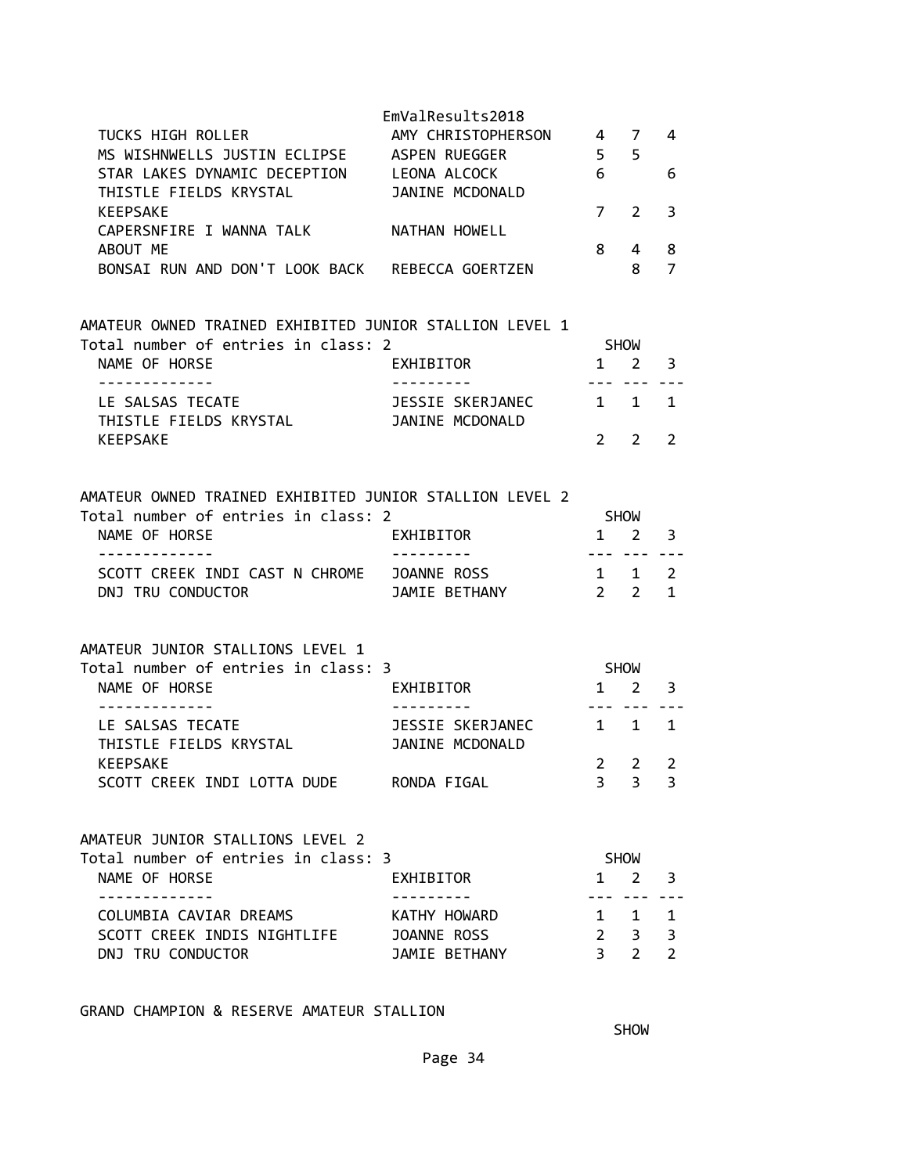| <b>TUCKS HIGH ROLLER</b>                                                                                          | EmValResults2018<br>AMY CHRISTOPHERSON |                     | 4 7                        | 4                              |
|-------------------------------------------------------------------------------------------------------------------|----------------------------------------|---------------------|----------------------------|--------------------------------|
| MS WISHNWELLS JUSTIN ECLIPSE ASPEN RUEGGER<br>STAR LAKES DYNAMIC DECEPTION LEONA ALCOCK<br>THISTLE FIELDS KRYSTAL | JANINE MCDONALD                        | 5 <sub>5</sub><br>6 |                            | 6                              |
| <b>KEEPSAKE</b><br>CAPERSNFIRE I WANNA TALK                                                                       | NATHAN HOWELL                          | 7                   | 2                          | 3                              |
| ABOUT ME<br>BONSAI RUN AND DON'T LOOK BACK REBECCA GOERTZEN                                                       |                                        | 8                   | 4<br>8                     | 8<br>$\overline{7}$            |
| AMATEUR OWNED TRAINED EXHIBITED JUNIOR STALLION LEVEL 1                                                           |                                        |                     |                            |                                |
| Total number of entries in class: 2<br>NAME OF HORSE                                                              |                                        | $1 \quad 2$         | SHOW                       |                                |
| -------------                                                                                                     | EXHIBITOR<br>---------                 | --- ---             |                            | 3                              |
| LE SALSAS TECATE<br>THISTLE FIELDS KRYSTAL                                                                        | JESSIE SKERJANEC<br>JANINE MCDONALD    | $1 \quad 1$         |                            | 1                              |
| <b>KEEPSAKE</b>                                                                                                   |                                        | $2^{\circ}$         | $\overline{2}$             | $\overline{2}$                 |
| AMATEUR OWNED TRAINED EXHIBITED JUNIOR STALLION LEVEL 2                                                           |                                        |                     |                            |                                |
| Total number of entries in class: 2<br>NAME OF HORSE<br>.                                                         | EXHIBITOR                              | SHOW                | $1 \quad 2$<br>--- --- --- | 3                              |
| SCOTT CREEK INDI CAST N CHROME<br>DNJ TRU CONDUCTOR                                                               | JOANNE ROSS<br>JAMIE BETHANY           | 1 1                 | $2 \quad 2$                | $\overline{2}$<br>$\mathbf{1}$ |
| AMATEUR JUNIOR STALLIONS LEVEL 1                                                                                  |                                        |                     |                            |                                |
| Total number of entries in class: 3                                                                               |                                        | SHOW                |                            |                                |
| NAME OF HORSE<br>-------------                                                                                    | EXHIBITOR<br>---------                 |                     | $1 \quad 2$<br>--- --- --- | 3                              |
| LE SALSAS TECATE<br>THISTLE FIELDS KRYSTAL                                                                        | JESSIE SKERJANEC<br>JANINE MCDONALD    | $1 \quad$           | $\mathbf{1}$               | $\mathbf{1}$                   |
| KEEPSAKE<br>SCOTT CREEK INDI LOTTA DUDE RONDA FIGAL                                                               |                                        | 2<br>$3^{\circ}$    | 2<br>3                     | 2<br>3                         |
| AMATEUR JUNIOR STALLIONS LEVEL 2                                                                                  |                                        |                     |                            |                                |
| Total number of entries in class: 3                                                                               |                                        |                     | <b>SHOW</b>                |                                |
| NAME OF HORSE<br>.                                                                                                | EXHIBITOR                              |                     | $1 \quad 2$<br>$- - -$     | 3                              |
| COLUMBIA CAVIAR DREAMS                                                                                            | KATHY HOWARD                           |                     | $1 \quad 1$                | 1                              |
| SCOTT CREEK INDIS NIGHTLIFE<br>DNJ TRU CONDUCTOR                                                                  | JOANNE ROSS<br>JAMIE BETHANY           | $\overline{3}$      | $2 \quad 3$<br>$2^{\circ}$ | 3<br>$\overline{2}$            |

GRAND CHAMPION & RESERVE AMATEUR STALLION

**SHOW SHOW**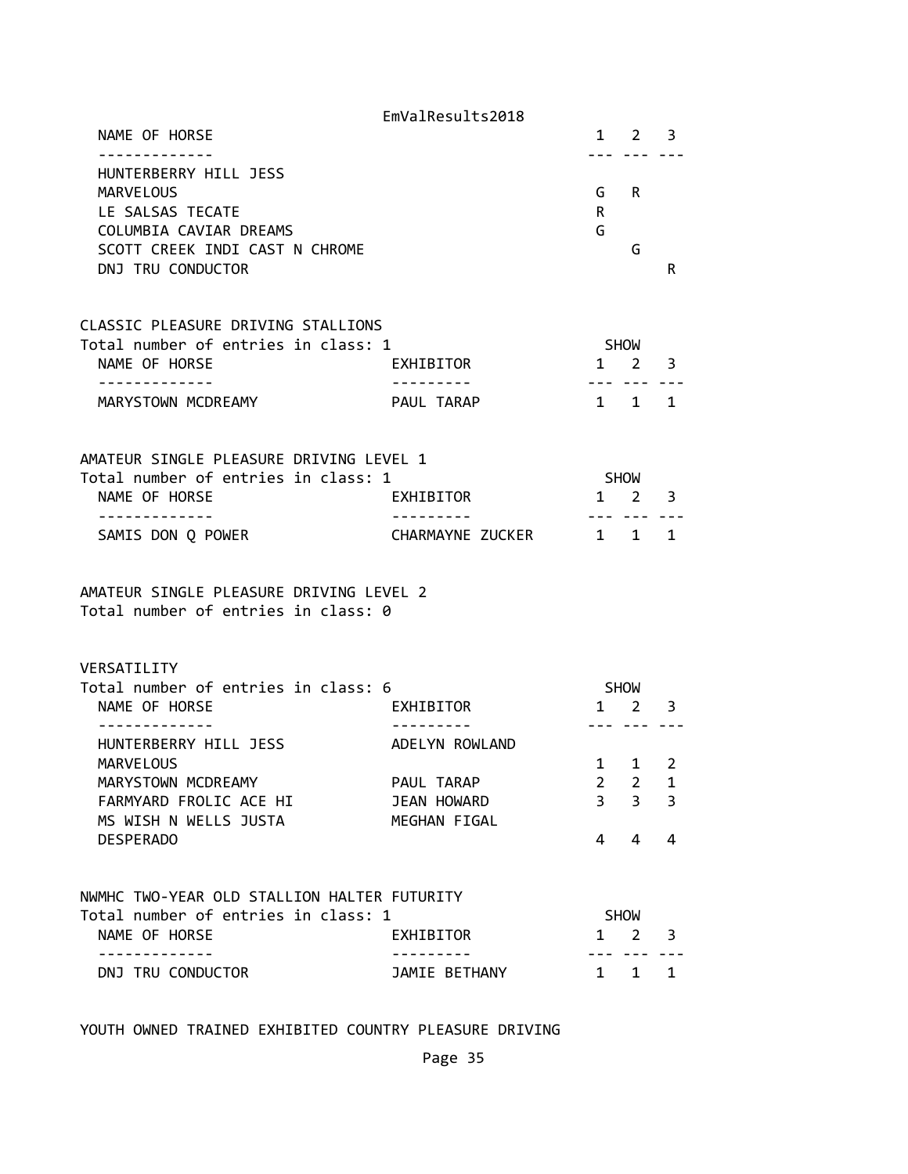|                                                                                | EmValResults2018                      |                                |                              |                         |
|--------------------------------------------------------------------------------|---------------------------------------|--------------------------------|------------------------------|-------------------------|
| NAME OF HORSE                                                                  |                                       |                                | 1 2                          | $\overline{\mathbf{3}}$ |
| HUNTERBERRY HILL JESS<br><b>MARVELOUS</b>                                      |                                       | G                              | R                            |                         |
| LE SALSAS TECATE<br>COLUMBIA CAVIAR DREAMS                                     |                                       | R<br>G                         |                              |                         |
| SCOTT CREEK INDI CAST N CHROME<br>DNJ TRU CONDUCTOR                            |                                       |                                | G                            | R                       |
| CLASSIC PLEASURE DRIVING STALLIONS<br>Total number of entries in class: 1      |                                       |                                | <b>SHOW</b>                  |                         |
| NAME OF HORSE<br>-----------                                                   | EXHIBITOR                             |                                | $1 \quad 2$<br>$- - - - - -$ | 3                       |
| MARYSTOWN MCDREAMY                                                             | PAUL TARAP                            |                                | 1 1                          | 1                       |
| AMATEUR SINGLE PLEASURE DRIVING LEVEL 1<br>Total number of entries in class: 1 |                                       |                                | <b>SHOW</b>                  |                         |
| NAME OF HORSE                                                                  | EXHIBITOR                             |                                | 1 2                          | 3                       |
| . <u>.</u><br>SAMIS DON Q POWER                                                | . _ _ _ _ _ _ _ _<br>CHARMAYNE ZUCKER | 1 1                            |                              | $\mathbf{1}$            |
| AMATEUR SINGLE PLEASURE DRIVING LEVEL 2<br>Total number of entries in class: 0 |                                       |                                |                              |                         |
| VERSATILITY<br>Total number of entries in class: 6                             |                                       |                                | <b>SHOW</b>                  |                         |
| NAME OF HORSE                                                                  | EXHIBITOR                             |                                | $1 \quad 2$                  | 3                       |
| HUNTERBERRY HILL JESS                                                          | ADELYN ROWLAND                        |                                |                              |                         |
| <b>MARVELOUS</b><br>MARYSTOWN MCDREAMY                                         | PAUL TARAP                            | $\mathbf{1}$<br>$\overline{2}$ | 1<br>2                       | 2<br>1                  |
| FARMYARD FROLIC ACE HI<br>MS WISH N WELLS JUSTA                                | JEAN HOWARD<br>MEGHAN FIGAL           | 3                              | 3                            | 3                       |
| <b>DESPERADO</b>                                                               |                                       | 4                              | 4                            | 4                       |
| NWMHC TWO-YEAR OLD STALLION HALTER FUTURITY                                    |                                       |                                |                              |                         |
|                                                                                |                                       |                                |                              |                         |
| Total number of entries in class: 1<br>NAME OF HORSE                           | EXHIBITOR                             |                                | <b>SHOW</b><br>1 2           | 3                       |

YOUTH OWNED TRAINED EXHIBITED COUNTRY PLEASURE DRIVING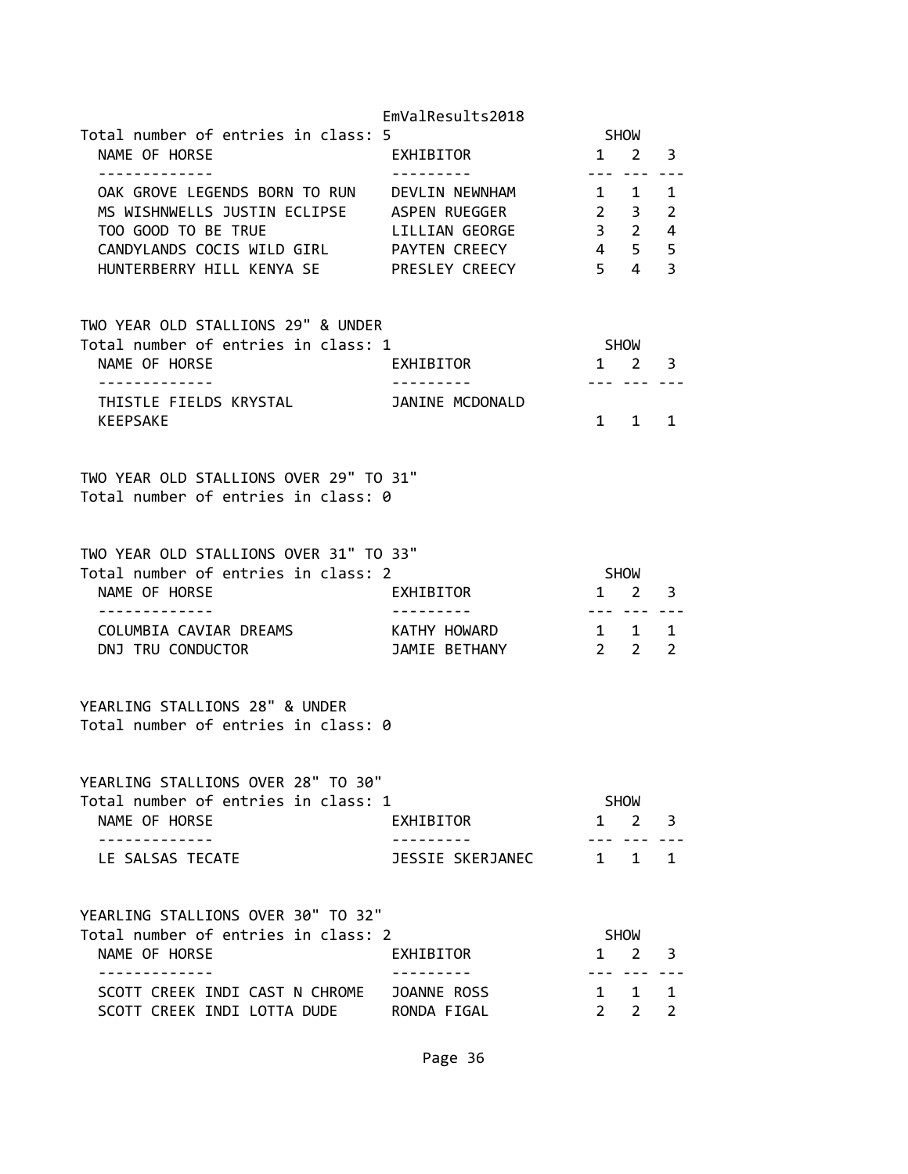|                                                                       | EmValResults2018       |                     |                                    |   |
|-----------------------------------------------------------------------|------------------------|---------------------|------------------------------------|---|
| Total number of entries in class: 5                                   |                        |                     | SHOW                               |   |
| NAME OF HORSE<br>-------------                                        | EXHIBITOR<br>--------- |                     | $1 \quad 2 \quad 3$                |   |
| OAK GROVE LEGENDS BORN TO RUN DEVLIN NEWNHAM                          |                        |                     | --- --- ---<br>$1 \quad 1 \quad 1$ |   |
| MS WISHNWELLS JUSTIN ECLIPSE ASPEN RUEGGER                            |                        |                     | $2 \quad 3 \quad 2$                |   |
| TOO GOOD TO BE TRUE                                                   | LILLIAN GEORGE         |                     | $3 \qquad 2 \qquad 4$              |   |
| CANDYLANDS COCIS WILD GIRL PAYTEN CREECY                              |                        | 4 5 5               |                                    |   |
| HUNTERBERRY HILL KENYA SE PRESLEY CREECY 5 4 3                        |                        |                     |                                    |   |
| TWO YEAR OLD STALLIONS 29" & UNDER                                    |                        |                     |                                    |   |
| Total number of entries in class: 1                                   |                        |                     | SHOW                               |   |
| NAME OF HORSE                                                         | EXHIBITOR              |                     | $1 \quad 2 \quad 3$                |   |
|                                                                       |                        |                     | --- --- -                          |   |
| THISTLE FIELDS KRYSTAL JANINE MCDONALD<br><b>KEEPSAKE</b>             |                        |                     | 1 1                                | 1 |
|                                                                       |                        |                     |                                    |   |
| TWO YEAR OLD STALLIONS OVER 29" TO 31"                                |                        |                     |                                    |   |
| Total number of entries in class: 0                                   |                        |                     |                                    |   |
| TWO YEAR OLD STALLIONS OVER 31" TO 33"                                |                        |                     |                                    |   |
| Total number of entries in class: 2                                   |                        | SHOW                |                                    |   |
| NAME OF HORSE                                                         | EXHIBITOR              |                     | 1 2 3                              |   |
| . <u>_ _ _ _ _ _ _ _ _ _ _</u><br>COLUMBIA CAVIAR DREAMS              | KATHY HOWARD           | $1 \quad 1 \quad 1$ | <u>--- --- --</u> -                |   |
| DNJ TRU CONDUCTOR                                                     | JAMIE BETHANY          |                     | $2 \quad 2$                        | 2 |
| YEARLING STALLIONS 28" & UNDER<br>Total number of entries in class: 0 |                        |                     |                                    |   |
|                                                                       |                        |                     |                                    |   |
| YEARLING STALLIONS OVER 28" TO 30"                                    |                        |                     |                                    |   |
| Total number of entries in class: 1                                   |                        |                     | <b>SHOW</b>                        |   |
| NAME OF HORSE                                                         | EXHIBITOR              |                     | $1 \quad 2 \quad 3$                |   |
| -------------<br>LE SALSAS TECATE                                     | JESSIE SKERJANEC       |                     | --- --- --<br>$1 \quad 1 \quad 1$  |   |
| YEARLING STALLIONS OVER 30" TO 32"                                    |                        |                     |                                    |   |
| Total number of entries in class: 2                                   |                        |                     | <b>SHOW</b>                        |   |
| NAME OF HORSE                                                         | EXHIBITOR              | $\mathbf{1}$        | $2^{\circ}$                        | 3 |
| ------------                                                          |                        |                     | . <b>. .</b>                       |   |
| SCOTT CREEK INDI CAST N CHROME JOANNE ROSS                            |                        |                     | $1 \quad 1 \quad 1$                |   |
| SCOTT CREEK INDI LOTTA DUDE RONDA FIGAL                               |                        |                     | $2 \quad 2 \quad 2$                |   |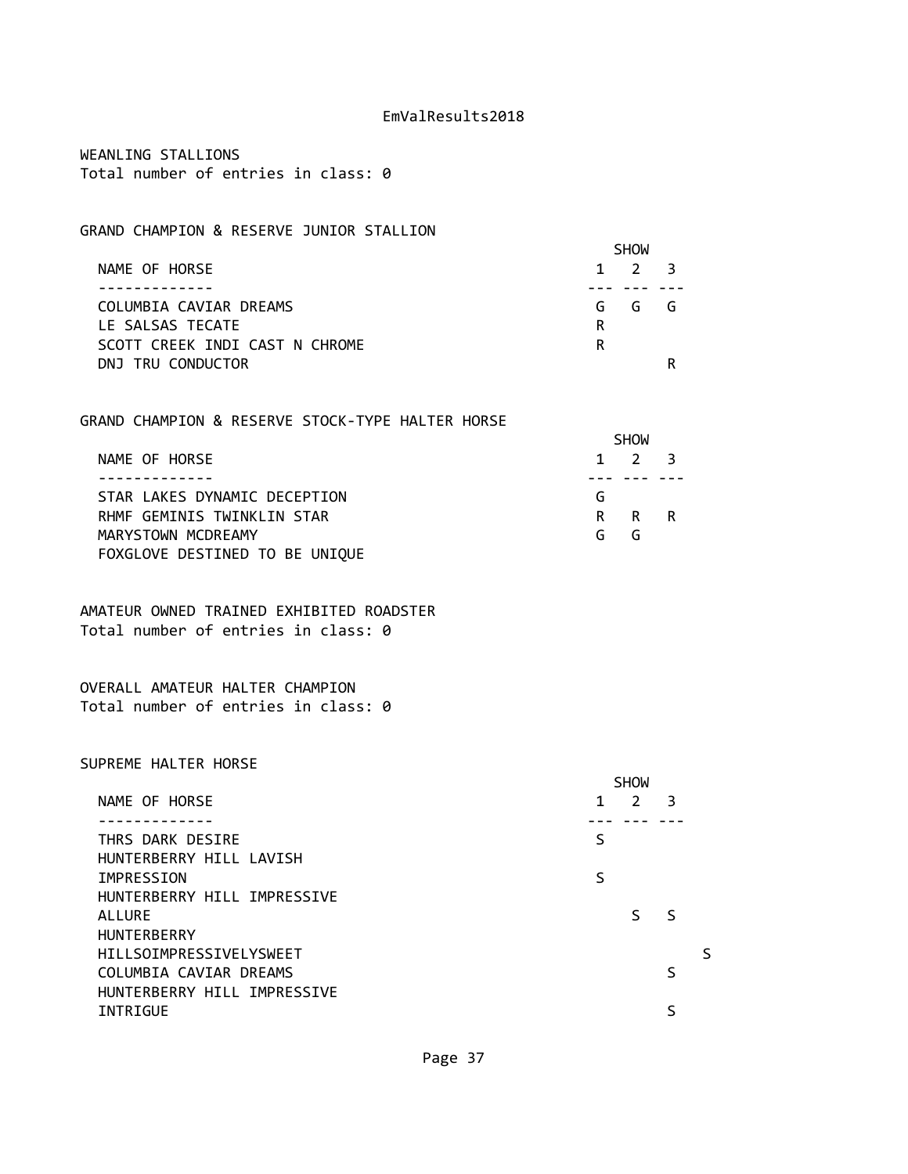WEANLING STALLIONS Total number of entries in class: 0

# GRAND CHAMPION & RESERVE JUNIOR STALLION

|                                | <b>SHOW</b> |             |  |
|--------------------------------|-------------|-------------|--|
| NAME OF HORSE                  |             | $1 \t2 \t3$ |  |
|                                |             |             |  |
| COLUMBIA CAVIAR DREAMS         |             | GGGG        |  |
| LE SALSAS TECATE               | R           |             |  |
| SCOTT CREEK INDI CAST N CHROME | R           |             |  |
| DNJ TRU CONDUCTOR              |             |             |  |

#### GRAND CHAMPION & RESERVE STOCK-TYPE HALTER HORSE

|                                | <b>SHOW</b> |             |  |  |
|--------------------------------|-------------|-------------|--|--|
| NAME OF HORSE                  |             | $1 \t2 \t3$ |  |  |
|                                |             |             |  |  |
| STAR LAKES DYNAMIC DECEPTION   | G           |             |  |  |
| RHMF GEMINIS TWINKLIN STAR     |             | R R R       |  |  |
| MARYSTOWN MCDREAMY             | G           | G           |  |  |
| FOXGLOVE DESTINED TO BE UNIQUE |             |             |  |  |

AMATEUR OWNED TRAINED EXHIBITED ROADSTER Total number of entries in class: 0

OVERALL AMATEUR HALTER CHAMPION Total number of entries in class: 0

#### SUPREME HALTER HORSE

|                                |   | <b>SHOW</b> |              |  |
|--------------------------------|---|-------------|--------------|--|
| NAME OF HORSE                  | 1 | 2           | 3            |  |
|                                |   |             |              |  |
| THRS DARK DESIRE               | S |             |              |  |
| HUNTERBERRY HILL LAVISH        |   |             |              |  |
| IMPRESSION                     | S |             |              |  |
| HUNTERBERRY HILL IMPRESSIVE    |   |             |              |  |
| <b>ALLURE</b>                  |   | ς           | <sub>S</sub> |  |
| <b>HUNTERBERRY</b>             |   |             |              |  |
| <b>HILLSOIMPRESSIVELYSWEET</b> |   |             |              |  |
| COLUMBIA CAVIAR DREAMS         |   |             |              |  |
| HUNTERBERRY HILL IMPRESSIVE    |   |             |              |  |
| INTRIGUE                       |   |             |              |  |
|                                |   |             |              |  |